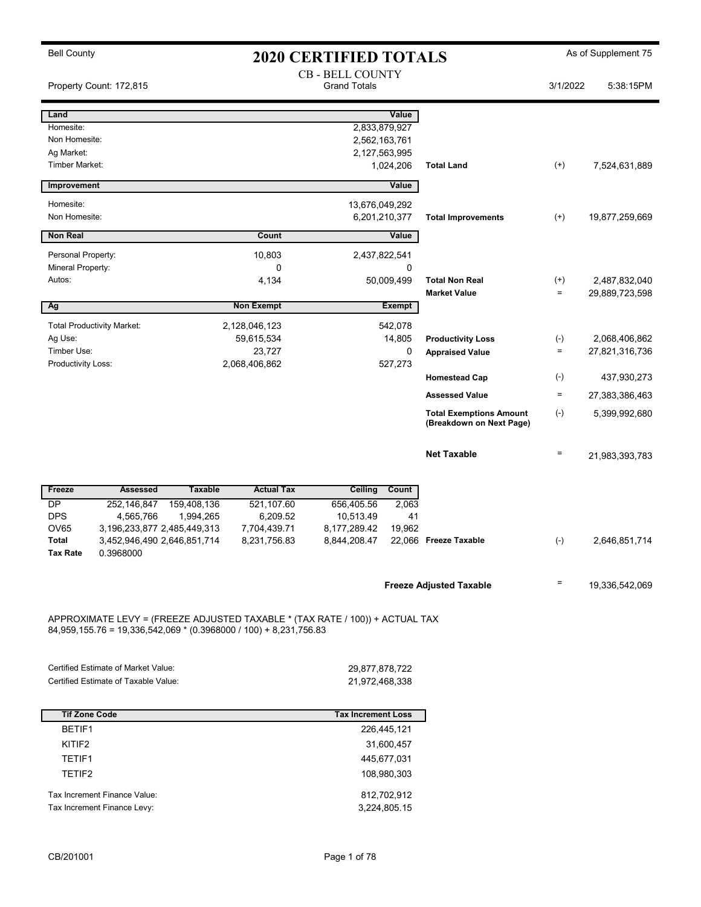| <b>Bell County</b>                                                  | <b>2020 CERTIFIED TOTALS</b>                       |                                                                              |                                                            | As of Supplement 75 |                |
|---------------------------------------------------------------------|----------------------------------------------------|------------------------------------------------------------------------------|------------------------------------------------------------|---------------------|----------------|
| Property Count: 172,815                                             |                                                    | <b>CB - BELL COUNTY</b><br><b>Grand Totals</b>                               |                                                            | 3/1/2022            | 5:38:15PM      |
| Land                                                                |                                                    | Value                                                                        |                                                            |                     |                |
| Homesite:                                                           |                                                    | 2,833,879,927                                                                |                                                            |                     |                |
| Non Homesite:                                                       |                                                    | 2,562,163,761                                                                |                                                            |                     |                |
| Ag Market:<br><b>Timber Market:</b>                                 |                                                    | 2,127,563,995<br>1,024,206                                                   | <b>Total Land</b>                                          | $^{(+)}$            | 7,524,631,889  |
|                                                                     |                                                    |                                                                              |                                                            |                     |                |
| Improvement                                                         |                                                    | Value                                                                        |                                                            |                     |                |
| Homesite:<br>Non Homesite:                                          |                                                    | 13,676,049,292                                                               |                                                            |                     |                |
|                                                                     |                                                    | 6,201,210,377                                                                | <b>Total Improvements</b>                                  | $^{(+)}$            | 19,877,259,669 |
| <b>Non Real</b>                                                     | Count                                              | Value                                                                        |                                                            |                     |                |
| Personal Property:                                                  | 10,803                                             | 2,437,822,541                                                                |                                                            |                     |                |
| Mineral Property:<br>Autos:                                         | 0<br>4,134                                         | 0<br>50,009,499                                                              | <b>Total Non Real</b>                                      | $^{(+)}$            | 2,487,832,040  |
|                                                                     |                                                    |                                                                              | <b>Market Value</b>                                        | $\equiv$            | 29,889,723,598 |
| Ag                                                                  | <b>Non Exempt</b>                                  | Exempt                                                                       |                                                            |                     |                |
| <b>Total Productivity Market:</b>                                   | 2,128,046,123                                      | 542,078                                                                      |                                                            |                     |                |
| Ag Use:                                                             | 59,615,534                                         | 14,805                                                                       | <b>Productivity Loss</b>                                   | $(-)$               | 2,068,406,862  |
| Timber Use:                                                         | 23,727                                             | $\mathbf 0$                                                                  | <b>Appraised Value</b>                                     | $\qquad \qquad =$   | 27,821,316,736 |
| Productivity Loss:                                                  | 2,068,406,862                                      | 527,273                                                                      | <b>Homestead Cap</b>                                       | $(-)$               | 437,930,273    |
|                                                                     |                                                    |                                                                              | <b>Assessed Value</b>                                      | $\equiv$            | 27,383,386,463 |
|                                                                     |                                                    |                                                                              |                                                            |                     |                |
|                                                                     |                                                    |                                                                              | <b>Total Exemptions Amount</b><br>(Breakdown on Next Page) | $(-)$               | 5,399,992,680  |
|                                                                     |                                                    |                                                                              | <b>Net Taxable</b>                                         | $\quad \  \  =$     | 21,983,393,783 |
|                                                                     |                                                    |                                                                              |                                                            |                     |                |
| <b>Assessed</b><br>Freeze                                           | <b>Actual Tax</b><br><b>Taxable</b>                | Ceiling<br>Count                                                             |                                                            |                     |                |
| <b>DP</b><br>252,146,847<br><b>DPS</b><br>4,565,766                 | 159,408,136<br>521,107.60<br>1,994,265<br>6,209.52 | 656,405.56<br>2,063<br>10,513.49<br>41                                       |                                                            |                     |                |
| <b>OV65</b><br>3, 196, 233, 877 2, 485, 449, 313                    | 7,704,439.71                                       | 8,177,289.42<br>19,962                                                       |                                                            |                     |                |
| Total<br>3,452,946,490 2,646,851,714                                | 8,231,756.83                                       | 8,844,208.47                                                                 | 22,066 Freeze Taxable                                      | $(-)$               | 2,646,851,714  |
| 0.3968000<br><b>Tax Rate</b>                                        |                                                    |                                                                              |                                                            |                     |                |
|                                                                     |                                                    |                                                                              | <b>Freeze Adjusted Taxable</b>                             | Ξ                   | 19,336,542,069 |
|                                                                     |                                                    |                                                                              |                                                            |                     |                |
| $84,959,155.76 = 19,336,542,069 * (0.3968000 / 100) + 8,231,756.83$ |                                                    | APPROXIMATE LEVY = (FREEZE ADJUSTED TAXABLE * (TAX RATE / 100)) + ACTUAL TAX |                                                            |                     |                |
|                                                                     |                                                    |                                                                              |                                                            |                     |                |
| <b>Certified Estimate of Market Value:</b>                          |                                                    | 29,877,878,722                                                               |                                                            |                     |                |
| Certified Estimate of Taxable Value:                                |                                                    | 21,972,468,338                                                               |                                                            |                     |                |
|                                                                     |                                                    |                                                                              |                                                            |                     |                |
| <b>Tif Zone Code</b>                                                |                                                    | <b>Tax Increment Loss</b>                                                    |                                                            |                     |                |
| BETIF1                                                              |                                                    | 226,445,121                                                                  |                                                            |                     |                |
| KITIF2                                                              |                                                    | 31,600,457                                                                   |                                                            |                     |                |
| TETIF1                                                              |                                                    | 445,677,031                                                                  |                                                            |                     |                |
| TETIF2                                                              |                                                    | 108,980,303                                                                  |                                                            |                     |                |
| Tax Increment Finance Value:                                        |                                                    | 812,702,912                                                                  |                                                            |                     |                |
| Tax Increment Finance Levy:                                         |                                                    | 3,224,805.15                                                                 |                                                            |                     |                |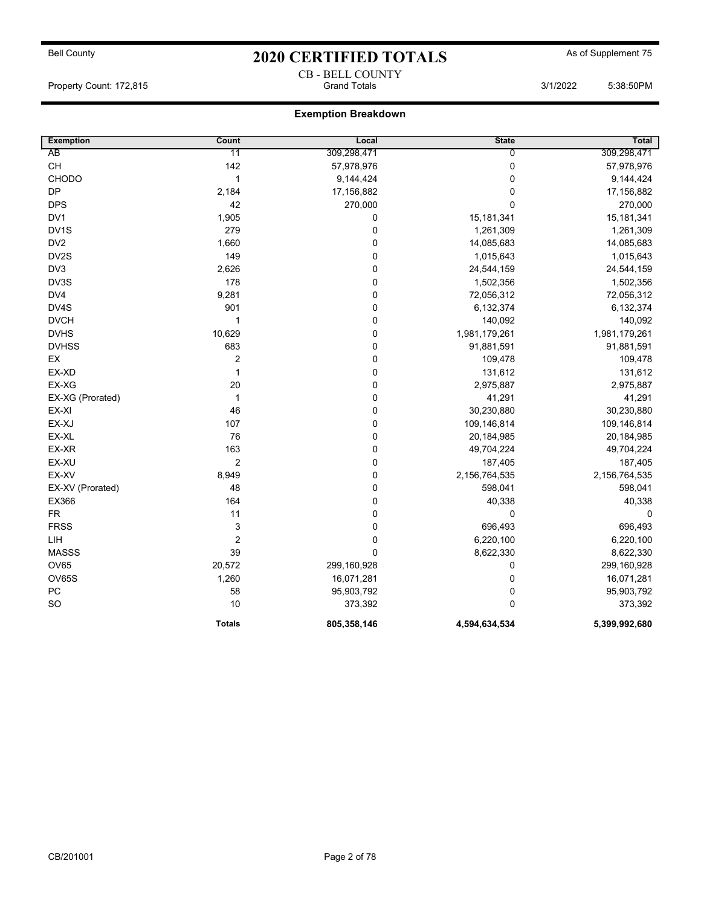CB - BELL COUNTY Property Count: 172,815 **Community Count: 172,815** Grand Totals 3/1/2022 5:38:50PM

| <b>Exemption</b>  | Count            | Local       | <b>State</b>  | <b>Total</b>  |
|-------------------|------------------|-------------|---------------|---------------|
| AB                | 11               | 309,298,471 | 0             | 309,298,471   |
| <b>CH</b>         | 142              | 57,978,976  | 0             | 57,978,976    |
| CHODO             | 1                | 9,144,424   | $\mathbf 0$   | 9,144,424     |
| DP                | 2,184            | 17,156,882  | 0             | 17,156,882    |
| <b>DPS</b>        | 42               | 270,000     | 0             | 270,000       |
| DV1               | 1,905            | $\pmb{0}$   | 15,181,341    | 15, 181, 341  |
| DV <sub>1</sub> S | 279              | 0           | 1,261,309     | 1,261,309     |
| DV <sub>2</sub>   | 1,660            | $\pmb{0}$   | 14,085,683    | 14,085,683    |
| DV2S              | 149              | 0           | 1,015,643     | 1,015,643     |
| DV3               | 2,626            | 0           | 24,544,159    | 24,544,159    |
| DV3S              | 178              | 0           | 1,502,356     | 1,502,356     |
| DV4               | 9,281            | 0           | 72,056,312    | 72,056,312    |
| DV4S              | 901              | 0           | 6,132,374     | 6,132,374     |
| <b>DVCH</b>       | $\mathbf{1}$     | $\pmb{0}$   | 140,092       | 140,092       |
| <b>DVHS</b>       | 10,629           | 0           | 1,981,179,261 | 1,981,179,261 |
| <b>DVHSS</b>      | 683              | 0           | 91,881,591    | 91,881,591    |
| EX                | 2                | 0           | 109,478       | 109,478       |
| EX-XD             | $\mathbf{1}$     | $\pmb{0}$   | 131,612       | 131,612       |
| EX-XG             | 20               | 0           | 2,975,887     | 2,975,887     |
| EX-XG (Prorated)  | $\mathbf{1}$     | $\pmb{0}$   | 41,291        | 41,291        |
| EX-XI             | 46               | 0           | 30,230,880    | 30,230,880    |
| EX-XJ             | 107              | $\pmb{0}$   | 109,146,814   | 109,146,814   |
| EX-XL             | 76               | 0           | 20,184,985    | 20, 184, 985  |
| EX-XR             | 163              | 0           | 49,704,224    | 49,704,224    |
| EX-XU             | $\overline{2}$   | 0           | 187,405       | 187,405       |
| EX-XV             | 8,949            | 0           | 2,156,764,535 | 2,156,764,535 |
| EX-XV (Prorated)  | 48               | 0           | 598,041       | 598,041       |
| EX366             | 164              | 0           | 40,338        | 40,338        |
| <b>FR</b>         | 11               | 0           | 0             | 0             |
| <b>FRSS</b>       | 3                | 0           | 696,493       | 696,493       |
| LIH               | $\boldsymbol{2}$ | $\pmb{0}$   | 6,220,100     | 6,220,100     |
| <b>MASSS</b>      | 39               | $\pmb{0}$   | 8,622,330     | 8,622,330     |
| <b>OV65</b>       | 20,572           | 299,160,928 | 0             | 299,160,928   |
| OV65S             | 1,260            | 16,071,281  | $\pmb{0}$     | 16,071,281    |
| ${\sf PC}$        | 58               | 95,903,792  | 0             | 95,903,792    |
| SO                | 10               | 373,392     | 0             | 373,392       |
|                   | <b>Totals</b>    | 805,358,146 | 4,594,634,534 | 5,399,992,680 |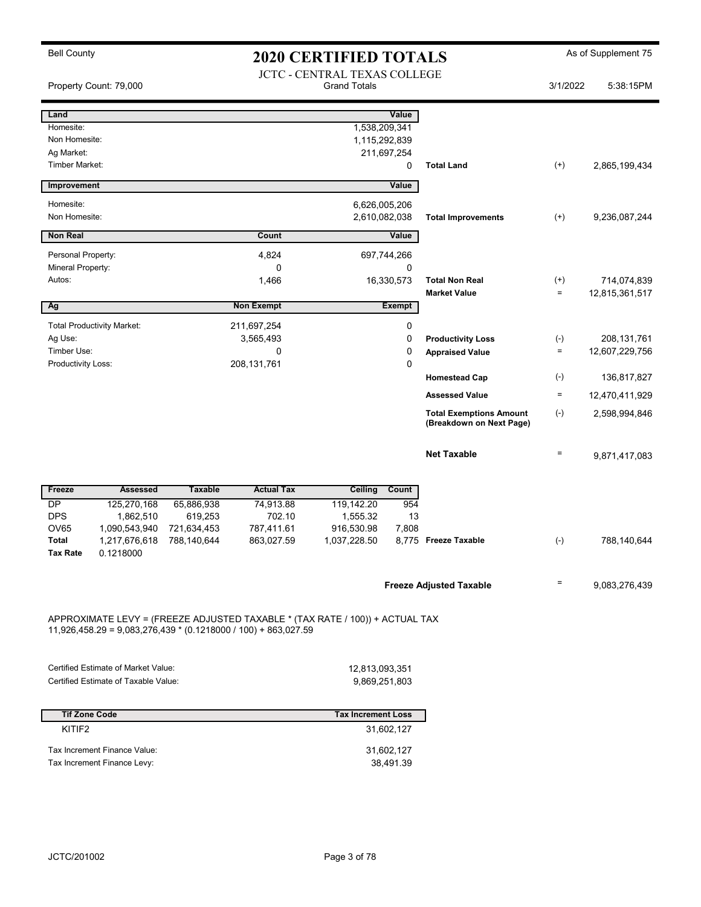| <b>Bell County</b>          | <b>2020 CERTIFIED TOTALS</b>                                                |                       |                                                                  |                                                                              |                  | As of Supplement 75                          |                      |                               |
|-----------------------------|-----------------------------------------------------------------------------|-----------------------|------------------------------------------------------------------|------------------------------------------------------------------------------|------------------|----------------------------------------------|----------------------|-------------------------------|
|                             | Property Count: 79,000                                                      |                       |                                                                  | <b>JCTC - CENTRAL TEXAS COLLEGE</b><br><b>Grand Totals</b>                   |                  |                                              | 3/1/2022             | 5:38:15PM                     |
| Land                        |                                                                             |                       |                                                                  |                                                                              | Value            |                                              |                      |                               |
| Homesite:                   |                                                                             |                       |                                                                  | 1,538,209,341                                                                |                  |                                              |                      |                               |
| Non Homesite:<br>Ag Market: |                                                                             |                       |                                                                  | 1,115,292,839                                                                |                  |                                              |                      |                               |
| Timber Market:              |                                                                             |                       |                                                                  |                                                                              | 211,697,254<br>0 | <b>Total Land</b>                            | $^{(+)}$             | 2,865,199,434                 |
| Improvement                 |                                                                             |                       |                                                                  |                                                                              | Value            |                                              |                      |                               |
| Homesite:                   |                                                                             |                       |                                                                  | 6,626,005,206                                                                |                  |                                              |                      |                               |
| Non Homesite:               |                                                                             |                       |                                                                  | 2,610,082,038                                                                |                  | <b>Total Improvements</b>                    | $^{(+)}$             | 9,236,087,244                 |
| Non Real                    |                                                                             |                       | Count                                                            |                                                                              | Value            |                                              |                      |                               |
| Personal Property:          |                                                                             |                       | 4,824                                                            |                                                                              | 697,744,266      |                                              |                      |                               |
| Mineral Property:           |                                                                             |                       | 0                                                                |                                                                              | 0                |                                              |                      |                               |
| Autos:                      |                                                                             |                       | 1,466                                                            |                                                                              | 16,330,573       | <b>Total Non Real</b><br><b>Market Value</b> | $^{(+)}$<br>$\equiv$ | 714,074,839<br>12,815,361,517 |
| Ag                          |                                                                             |                       | <b>Non Exempt</b>                                                |                                                                              | <b>Exempt</b>    |                                              |                      |                               |
|                             | <b>Total Productivity Market:</b>                                           |                       | 211,697,254                                                      |                                                                              | 0                |                                              |                      |                               |
| Ag Use:                     |                                                                             |                       | 3,565,493                                                        |                                                                              | 0                | <b>Productivity Loss</b>                     | $(\textnormal{-})$   | 208, 131, 761                 |
| Timber Use:                 |                                                                             |                       | 0                                                                |                                                                              | 0                | <b>Appraised Value</b>                       | $\equiv$             | 12,607,229,756                |
| Productivity Loss:          |                                                                             |                       | 208, 131, 761                                                    |                                                                              | 0                | <b>Homestead Cap</b>                         | $(\textnormal{-})$   | 136,817,827                   |
|                             |                                                                             |                       |                                                                  |                                                                              |                  | <b>Assessed Value</b>                        | $\equiv$             | 12,470,411,929                |
|                             |                                                                             |                       |                                                                  |                                                                              |                  | <b>Total Exemptions Amount</b>               | $(\text{-})$         | 2,598,994,846                 |
|                             |                                                                             |                       |                                                                  |                                                                              |                  | (Breakdown on Next Page)                     |                      |                               |
|                             |                                                                             |                       |                                                                  |                                                                              |                  | <b>Net Taxable</b>                           | $\equiv$             | 9,871,417,083                 |
|                             |                                                                             |                       |                                                                  |                                                                              |                  |                                              |                      |                               |
| Freeze                      | <b>Assessed</b>                                                             | <b>Taxable</b>        | <b>Actual Tax</b>                                                | <b>Ceiling</b>                                                               | Count            |                                              |                      |                               |
| DP<br><b>DPS</b>            | 125,270,168<br>1,862,510                                                    | 65,886,938<br>619,253 | 74,913.88<br>702.10                                              | 119,142.20<br>1,555.32                                                       | 954<br>13        |                                              |                      |                               |
| <b>OV65</b>                 | 1,090,543,940                                                               | 721,634,453           | 787,411.61                                                       | 916,530.98                                                                   | 7,808            |                                              |                      |                               |
| Total<br><b>Tax Rate</b>    | 1,217,676,618<br>0.1218000                                                  | 788,140,644           | 863,027.59                                                       | 1,037,228.50                                                                 |                  | 8,775 Freeze Taxable                         | $(-)$                | 788,140,644                   |
|                             |                                                                             |                       |                                                                  |                                                                              |                  | <b>Freeze Adjusted Taxable</b>               | Ξ                    | 9,083,276,439                 |
|                             |                                                                             |                       |                                                                  | APPROXIMATE LEVY = (FREEZE ADJUSTED TAXABLE * (TAX RATE / 100)) + ACTUAL TAX |                  |                                              |                      |                               |
|                             |                                                                             |                       | $11,926,458.29 = 9,083,276,439 * (0.1218000 / 100) + 863,027.59$ |                                                                              |                  |                                              |                      |                               |
|                             |                                                                             |                       |                                                                  |                                                                              |                  |                                              |                      |                               |
|                             | Certified Estimate of Market Value:<br>Certified Estimate of Taxable Value: |                       |                                                                  | 12,813,093,351<br>9,869,251,803                                              |                  |                                              |                      |                               |
|                             |                                                                             |                       |                                                                  |                                                                              |                  |                                              |                      |                               |
| <b>Tif Zone Code</b>        |                                                                             |                       |                                                                  | <b>Tax Increment Loss</b>                                                    |                  |                                              |                      |                               |
| KITIF <sub>2</sub>          |                                                                             |                       |                                                                  |                                                                              | 31,602,127       |                                              |                      |                               |
|                             | Tax Increment Finance Value:                                                |                       |                                                                  |                                                                              | 31,602,127       |                                              |                      |                               |
|                             | Tax Increment Finance Levy:                                                 |                       |                                                                  |                                                                              | 38,491.39        |                                              |                      |                               |
|                             |                                                                             |                       |                                                                  |                                                                              |                  |                                              |                      |                               |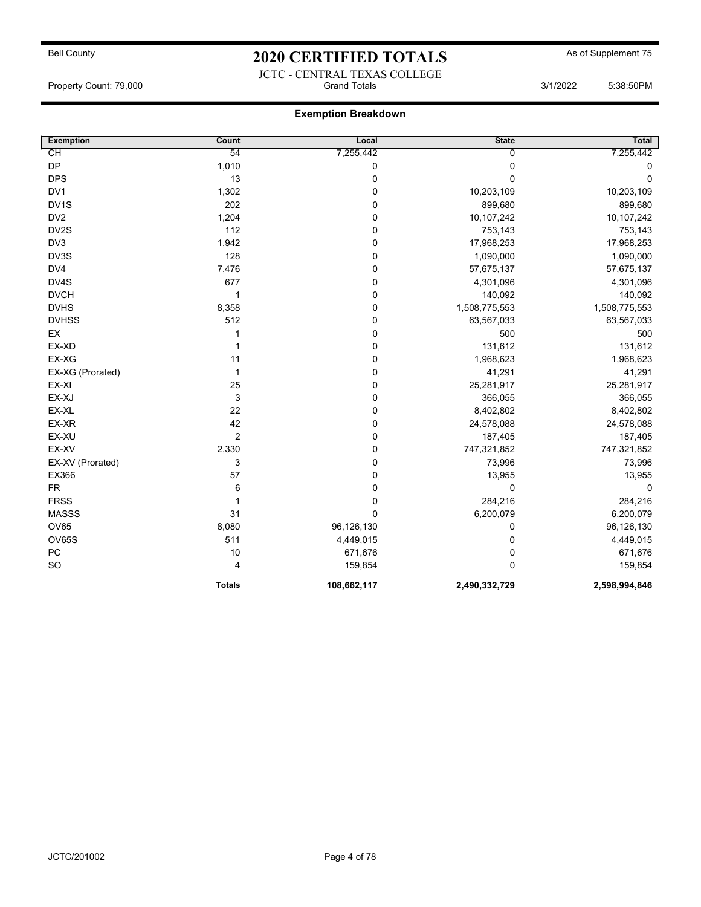### JCTC - CENTRAL TEXAS COLLEGE Property Count: 79,000 **Crand Totals 3/1/2022** 5:38:50PM

| <b>Exemption</b> | Count          | Local       | <b>State</b>   | Total         |
|------------------|----------------|-------------|----------------|---------------|
| CН               | 54             | 7,255,442   | $\overline{0}$ | 7,255,442     |
| <b>DP</b>        | 1,010          | 0           | 0              | 0             |
| <b>DPS</b>       | 13             | 0           | 0              | 0             |
| DV <sub>1</sub>  | 1,302          | 0           | 10,203,109     | 10,203,109    |
| DV1S             | 202            | 0           | 899,680        | 899,680       |
| DV <sub>2</sub>  | 1,204          | 0           | 10,107,242     | 10,107,242    |
| DV2S             | 112            | 0           | 753,143        | 753,143       |
| DV3              | 1,942          | 0           | 17,968,253     | 17,968,253    |
| DV3S             | 128            | 0           | 1,090,000      | 1,090,000     |
| DV4              | 7,476          | 0           | 57,675,137     | 57,675,137    |
| DV4S             | 677            | 0           | 4,301,096      | 4,301,096     |
| <b>DVCH</b>      | $\mathbf{1}$   | 0           | 140,092        | 140,092       |
| <b>DVHS</b>      | 8,358          | 0           | 1,508,775,553  | 1,508,775,553 |
| <b>DVHSS</b>     | 512            | 0           | 63,567,033     | 63,567,033    |
| EX               | 1              | 0           | 500            | 500           |
| EX-XD            | 1              | 0           | 131,612        | 131,612       |
| EX-XG            | 11             | 0           | 1,968,623      | 1,968,623     |
| EX-XG (Prorated) | 1              | 0           | 41,291         | 41,291        |
| EX-XI            | 25             | 0           | 25,281,917     | 25,281,917    |
| EX-XJ            | 3              | 0           | 366,055        | 366,055       |
| EX-XL            | 22             | 0           | 8,402,802      | 8,402,802     |
| EX-XR            | 42             | 0           | 24,578,088     | 24,578,088    |
| EX-XU            | $\overline{2}$ | 0           | 187,405        | 187,405       |
| EX-XV            | 2,330          | 0           | 747,321,852    | 747,321,852   |
| EX-XV (Prorated) | 3              | 0           | 73,996         | 73,996        |
| EX366            | 57             | 0           | 13,955         | 13,955        |
| <b>FR</b>        | 6              | $\pmb{0}$   | 0              | $\mathbf 0$   |
| <b>FRSS</b>      | $\mathbf{1}$   | 0           | 284,216        | 284,216       |
| <b>MASSS</b>     | 31             | $\pmb{0}$   | 6,200,079      | 6,200,079     |
| OV65             | 8,080          | 96,126,130  | 0              | 96,126,130    |
| OV65S            | 511            | 4,449,015   | 0              | 4,449,015     |
| ${\sf PC}$       | 10             | 671,676     | 0              | 671,676       |
| <b>SO</b>        | $\overline{4}$ | 159,854     | $\mathbf 0$    | 159,854       |
|                  | <b>Totals</b>  | 108,662,117 | 2,490,332,729  | 2,598,994,846 |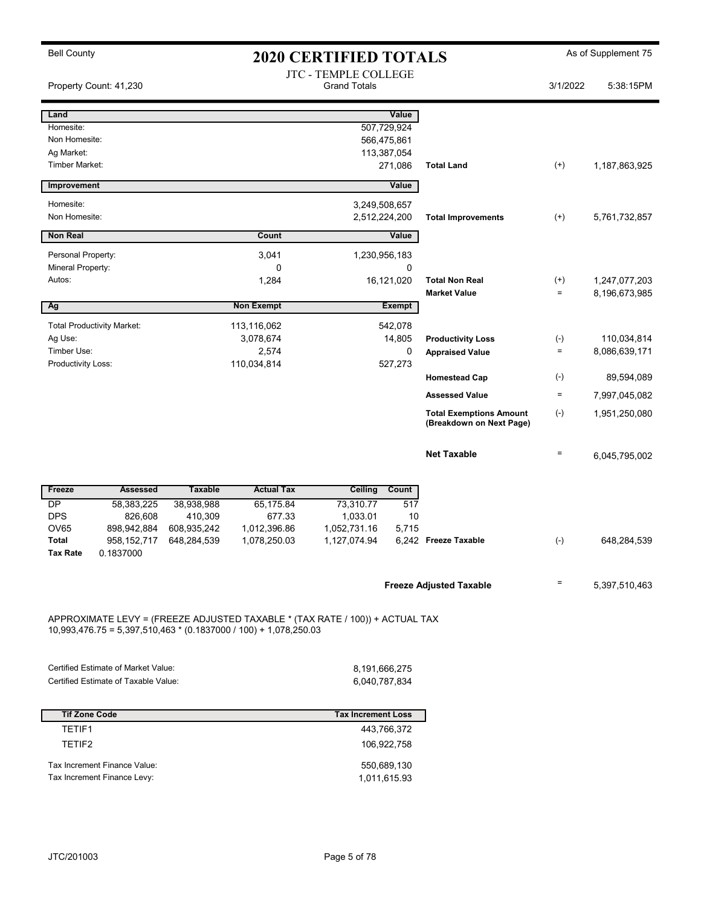Bell County **As of Supplement 75** 2020 CERTIFIED TOTALS As of Supplement 75 JTC - TEMPLE COLLEGE Property Count: 41,230 **5:38:15PM** Grand Totals 3/1/2022 5:38:15PM Land Value Homesite: 507,729,924 Non Homesite: 566,475,861 Ag Market: 113,387,054 Timber Market: 271,086 Total Land (+) 1,187,863,925 **Improvement** Value Homesite: 3,249,508,657 Non Homesite: 2,512,224,200 Total Improvements (+) 5,761,732,857 **Non Real Value Count Count Count Count** Value Personal Property: 2,041 230,956,183 Mineral Property: 0 0 Autos: 1,284 1,284 16,121,020 Total Non Real (+) 1,247,077,203 Market Value  $= 8,196,673,985$ Ag Non Exempt Exempt Exempt Total Productivity Market: 113,116,062 542,078 Ag Use: 3,078,674 14,805 110,034,814 Productivity Loss (-) Timber Use: 2,574 2,574 2,574 0 Appraised Value = 8,086,639,171 Productivity Loss: 110,034,814 527,273 Homestead Cap (-) 89,594,089 Assessed Value  $= 7,997,045,082$ Total Exemptions Amount (-) (Breakdown on Next Page) 1,951,250,080 **Net Taxable**  $= 6,045,795,002$ Freeze **Assessed** Taxable Actual Tax Ceiling Count DP 58,383,225 38,938,988 65,175.84 73,310.77 517 DPS 826,608 410,309 677.33 1,033.01 10 OV65 898,942,884 608,935,242 1,012,396.86 1,052,731.16 5,715 Total 958,152,717 648,284,539 1,078,250.03 1,127,074.94 6,242 Freeze Taxable (-) 648,284,539 Tax Rate 0.1837000 Freeze Adjusted Taxable  $\overline{5,397,510,463}$ APPROXIMATE LEVY = (FREEZE ADJUSTED TAXABLE \* (TAX RATE / 100)) + ACTUAL TAX 10,993,476.75 = 5,397,510,463 \* (0.1837000 / 100) + 1,078,250.03 Certified Estimate of Market Value: 8,191,666,275 Certified Estimate of Taxable Value: 6,040,787,834 Tif Zone Code Tax Increment Loss TETIF1 443,766,372 TETIF2 106,922,758

Tax Increment Finance Value: 550,689,130 Tax Increment Finance Levy: 1,011,615.93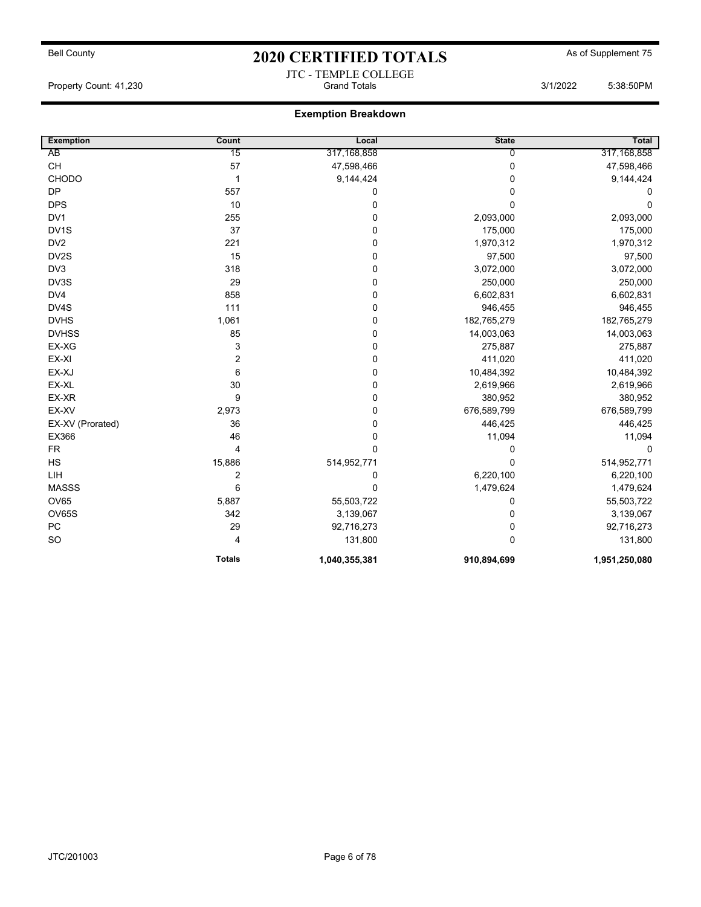## Bell County **As of Supplement 75** 2020 CERTIFIED TOTALS As of Supplement 75 JTC - TEMPLE COLLEGE

Property Count: 41,230 **Crambus** Grand Totals 3/1/2022 5:38:50PM

| <b>Exemption</b>  | Count          | Local         | <b>State</b>   | <b>Total</b>  |
|-------------------|----------------|---------------|----------------|---------------|
| AB                | 15             | 317, 168, 858 | $\overline{0}$ | 317,168,858   |
| CH                | 57             | 47,598,466    | 0              | 47,598,466    |
| <b>CHODO</b>      | $\mathbf 1$    | 9,144,424     | 0              | 9,144,424     |
| DP                | 557            | 0             | 0              | 0             |
| <b>DPS</b>        | 10             | $\mathbf 0$   | $\Omega$       | 0             |
| DV <sub>1</sub>   | 255            | 0             | 2,093,000      | 2,093,000     |
| DV <sub>1</sub> S | 37             | 0             | 175,000        | 175,000       |
| DV <sub>2</sub>   | 221            | 0             | 1,970,312      | 1,970,312     |
| DV2S              | 15             | 0             | 97,500         | 97,500        |
| DV <sub>3</sub>   | 318            | 0             | 3,072,000      | 3,072,000     |
| DV3S              | 29             | 0             | 250,000        | 250,000       |
| DV4               | 858            | 0             | 6,602,831      | 6,602,831     |
| DV4S              | 111            | 0             | 946,455        | 946,455       |
| <b>DVHS</b>       | 1,061          | 0             | 182,765,279    | 182,765,279   |
| <b>DVHSS</b>      | 85             | 0             | 14,003,063     | 14,003,063    |
| EX-XG             | 3              | 0             | 275,887        | 275,887       |
| EX-XI             | $\overline{2}$ | 0             | 411,020        | 411,020       |
| EX-XJ             | 6              | 0             | 10,484,392     | 10,484,392    |
| EX-XL             | 30             | 0             | 2,619,966      | 2,619,966     |
| EX-XR             | 9              | 0             | 380,952        | 380,952       |
| EX-XV             | 2,973          | 0             | 676,589,799    | 676,589,799   |
| EX-XV (Prorated)  | 36             | 0             | 446,425        | 446,425       |
| EX366             | 46             | 0             | 11,094         | 11,094        |
| <b>FR</b>         | 4              | 0             | $\Omega$       | $\Omega$      |
| HS                | 15,886         | 514,952,771   | 0              | 514,952,771   |
| LIH               | $\overline{2}$ | 0             | 6,220,100      | 6,220,100     |
| <b>MASSS</b>      | 6              | 0             | 1,479,624      | 1,479,624     |
| OV65              | 5,887          | 55,503,722    | 0              | 55,503,722    |
| OV65S             | 342            | 3,139,067     | 0              | 3,139,067     |
| PC                | 29             | 92,716,273    | 0              | 92,716,273    |
| <b>SO</b>         | 4              | 131,800       | $\Omega$       | 131,800       |
|                   | <b>Totals</b>  | 1,040,355,381 | 910,894,699    | 1,951,250,080 |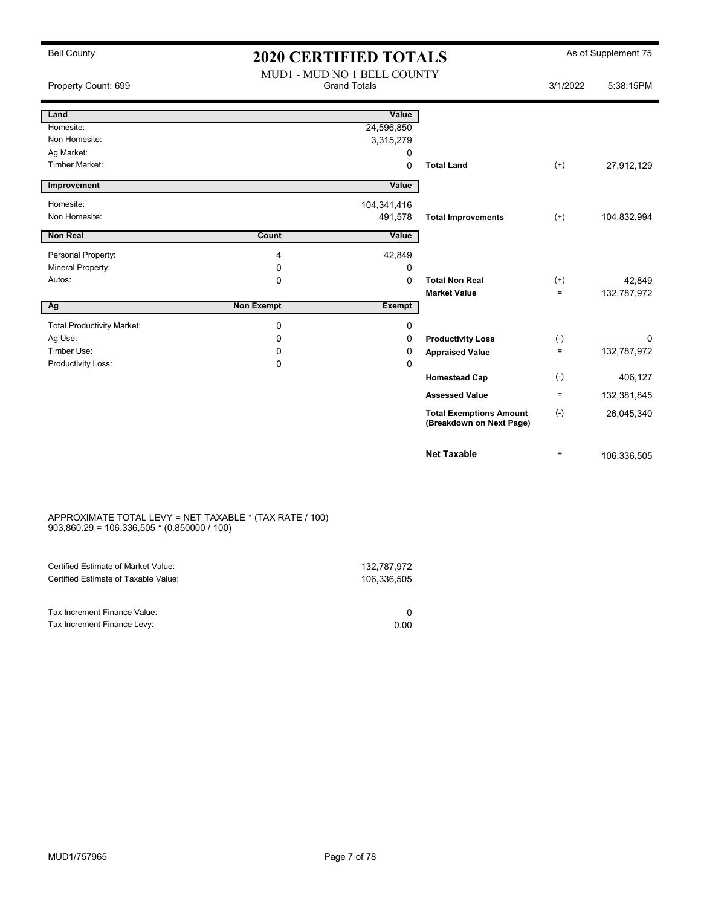| <b>Bell County</b>                | <b>2020 CERTIFIED TOTALS</b> |                             |                                                            |          | As of Supplement 75 |
|-----------------------------------|------------------------------|-----------------------------|------------------------------------------------------------|----------|---------------------|
|                                   |                              | MUD1 - MUD NO 1 BELL COUNTY |                                                            |          |                     |
| Property Count: 699               |                              | <b>Grand Totals</b>         |                                                            | 3/1/2022 | 5:38:15PM           |
|                                   |                              |                             |                                                            |          |                     |
| Land                              |                              | Value                       |                                                            |          |                     |
| Homesite:                         |                              | 24,596,850                  |                                                            |          |                     |
| Non Homesite:                     |                              | 3,315,279                   |                                                            |          |                     |
| Ag Market:                        |                              | 0                           |                                                            |          |                     |
| Timber Market:                    |                              | $\mathbf 0$                 | <b>Total Land</b>                                          | $^{(+)}$ | 27,912,129          |
| Improvement                       |                              | Value                       |                                                            |          |                     |
| Homesite:                         |                              | 104,341,416                 |                                                            |          |                     |
| Non Homesite:                     |                              | 491,578                     | <b>Total Improvements</b>                                  | $(+)$    | 104,832,994         |
| <b>Non Real</b>                   | Count                        | Value                       |                                                            |          |                     |
|                                   |                              |                             |                                                            |          |                     |
| Personal Property:                | 4                            | 42,849                      |                                                            |          |                     |
| Mineral Property:                 | 0                            | 0                           |                                                            |          |                     |
| Autos:                            | $\Omega$                     | $\Omega$                    | <b>Total Non Real</b>                                      | $^{(+)}$ | 42,849              |
|                                   |                              |                             | <b>Market Value</b>                                        | $=$      | 132,787,972         |
| Ag                                | <b>Non Exempt</b>            | <b>Exempt</b>               |                                                            |          |                     |
| <b>Total Productivity Market:</b> | $\mathbf 0$                  | $\mathbf 0$                 |                                                            |          |                     |
| Ag Use:                           | 0                            | 0                           | <b>Productivity Loss</b>                                   | $(-)$    | $\Omega$            |
| Timber Use:                       | 0                            | 0                           | <b>Appraised Value</b>                                     | $\equiv$ | 132,787,972         |
| Productivity Loss:                | $\Omega$                     | $\Omega$                    |                                                            |          |                     |
|                                   |                              |                             | <b>Homestead Cap</b>                                       | $(-)$    | 406,127             |
|                                   |                              |                             | <b>Assessed Value</b>                                      | $\equiv$ | 132,381,845         |
|                                   |                              |                             | <b>Total Exemptions Amount</b><br>(Breakdown on Next Page) | $(-)$    | 26,045,340          |
|                                   |                              |                             | <b>Net Taxable</b>                                         | $\equiv$ | 106,336,505         |

#### APPROXIMATE TOTAL LEVY = NET TAXABLE \* (TAX RATE / 100) 903,860.29 = 106,336,505 \* (0.850000 / 100)

| Certified Estimate of Market Value:<br>Certified Estimate of Taxable Value: | 132,787,972<br>106,336,505 |
|-----------------------------------------------------------------------------|----------------------------|
| Tax Increment Finance Value:                                                |                            |
| Tax Increment Finance Levy:                                                 | 0.00                       |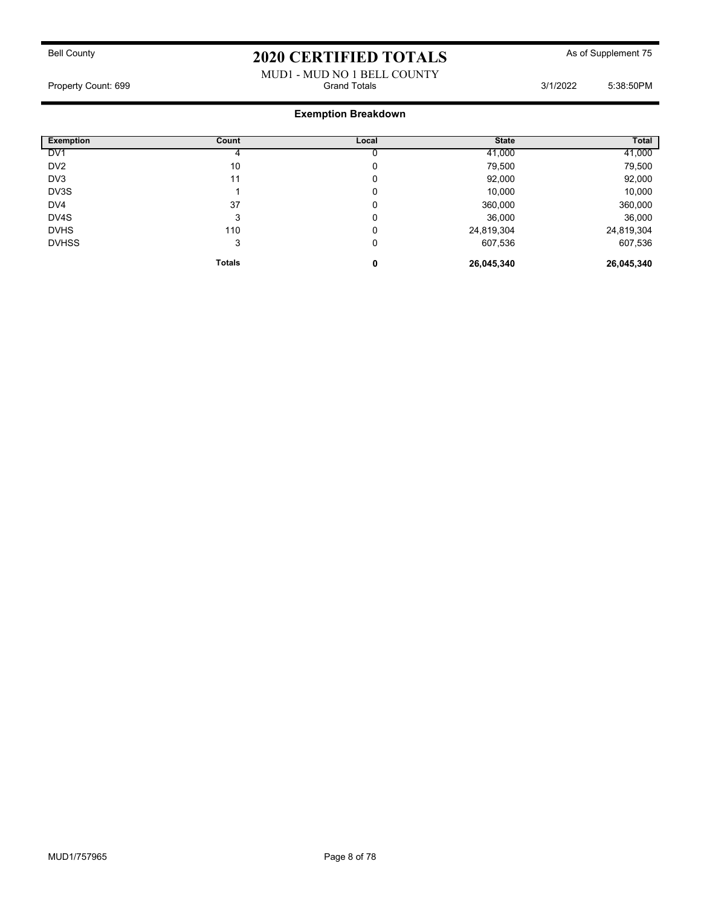### MUD1 - MUD NO 1 BELL COUNTY Property Count: 699 Grand Totals 3/1/2022 5:38:50PM

| <b>Exemption</b> |               |       | <b>State</b> | Total      |
|------------------|---------------|-------|--------------|------------|
|                  | Count         | Local |              |            |
| DV <sub>1</sub>  |               |       | 41,000       | 41,000     |
| DV <sub>2</sub>  | 10            | 0     | 79,500       | 79,500     |
| DV3              | 11            | 0     | 92,000       | 92,000     |
| DV3S             |               | 0     | 10,000       | 10,000     |
| DV4              | 37            | 0     | 360,000      | 360,000    |
| DV4S             | 3             | 0     | 36,000       | 36,000     |
| <b>DVHS</b>      | 110           | 0     | 24,819,304   | 24,819,304 |
| <b>DVHSS</b>     | 3             | 0     | 607,536      | 607,536    |
|                  | <b>Totals</b> | 0     | 26,045,340   | 26,045,340 |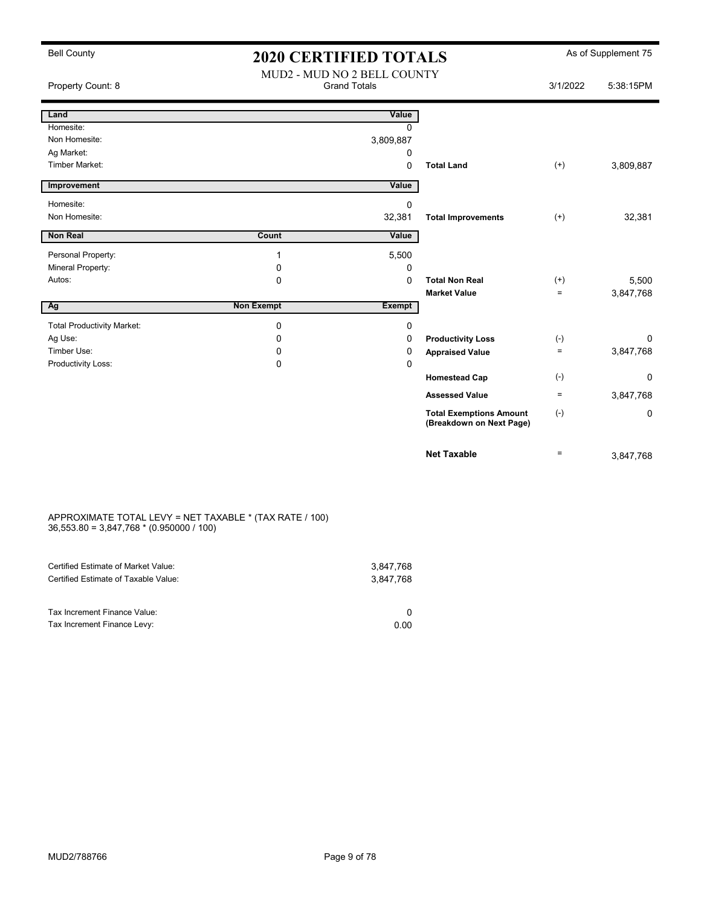|  | <b>Bell County</b> |
|--|--------------------|
|--|--------------------|

### 2020 CERTIFIED TOTALS As of Supplement 75 MUD2 - MUD NO 2 BELL COUNTY

| 11,0000 | E.20.4EDM |
|---------|-----------|

| Property Count: 8                 |                   | <b>Grand Totals</b> |                                                            | 3/1/2022          | 5:38:15PM |
|-----------------------------------|-------------------|---------------------|------------------------------------------------------------|-------------------|-----------|
| Land                              |                   | Value               |                                                            |                   |           |
| Homesite:                         |                   | $\Omega$            |                                                            |                   |           |
| Non Homesite:                     |                   | 3,809,887           |                                                            |                   |           |
| Ag Market:                        |                   | 0                   |                                                            |                   |           |
| <b>Timber Market:</b>             |                   | 0                   | <b>Total Land</b>                                          | $^{(+)}$          | 3,809,887 |
| Improvement                       |                   | Value               |                                                            |                   |           |
| Homesite:                         |                   | 0                   |                                                            |                   |           |
| Non Homesite:                     |                   | 32,381              | <b>Total Improvements</b>                                  | $^{(+)}$          | 32,381    |
| <b>Non Real</b>                   | Count             | Value               |                                                            |                   |           |
| Personal Property:                |                   | 5,500               |                                                            |                   |           |
| Mineral Property:                 | 0                 | 0                   |                                                            |                   |           |
| Autos:                            | 0                 | 0                   | <b>Total Non Real</b>                                      | $^{(+)}$          | 5,500     |
|                                   |                   |                     | <b>Market Value</b>                                        | $\equiv$          | 3,847,768 |
| Ag                                | <b>Non Exempt</b> | <b>Exempt</b>       |                                                            |                   |           |
| <b>Total Productivity Market:</b> | 0                 | 0                   |                                                            |                   |           |
| Ag Use:                           | 0                 | 0                   | <b>Productivity Loss</b>                                   | $(-)$             | $\Omega$  |
| Timber Use:                       | 0                 | 0                   | <b>Appraised Value</b>                                     | $\equiv$          | 3,847,768 |
| Productivity Loss:                | 0                 | 0                   |                                                            |                   |           |
|                                   |                   |                     | <b>Homestead Cap</b>                                       | $(-)$             | 0         |
|                                   |                   |                     | <b>Assessed Value</b>                                      | $\equiv$          | 3,847,768 |
|                                   |                   |                     | <b>Total Exemptions Amount</b><br>(Breakdown on Next Page) | $(-)$             | 0         |
|                                   |                   |                     | <b>Net Taxable</b>                                         | $\qquad \qquad =$ | 3,847,768 |

#### APPROXIMATE TOTAL LEVY = NET TAXABLE \* (TAX RATE / 100) 36,553.80 = 3,847,768 \* (0.950000 / 100)

| Certified Estimate of Market Value:                         | 3,847,768 |
|-------------------------------------------------------------|-----------|
| Certified Estimate of Taxable Value:                        | 3,847,768 |
| Tax Increment Finance Value:<br>Tax Increment Finance Levy: | 0.00      |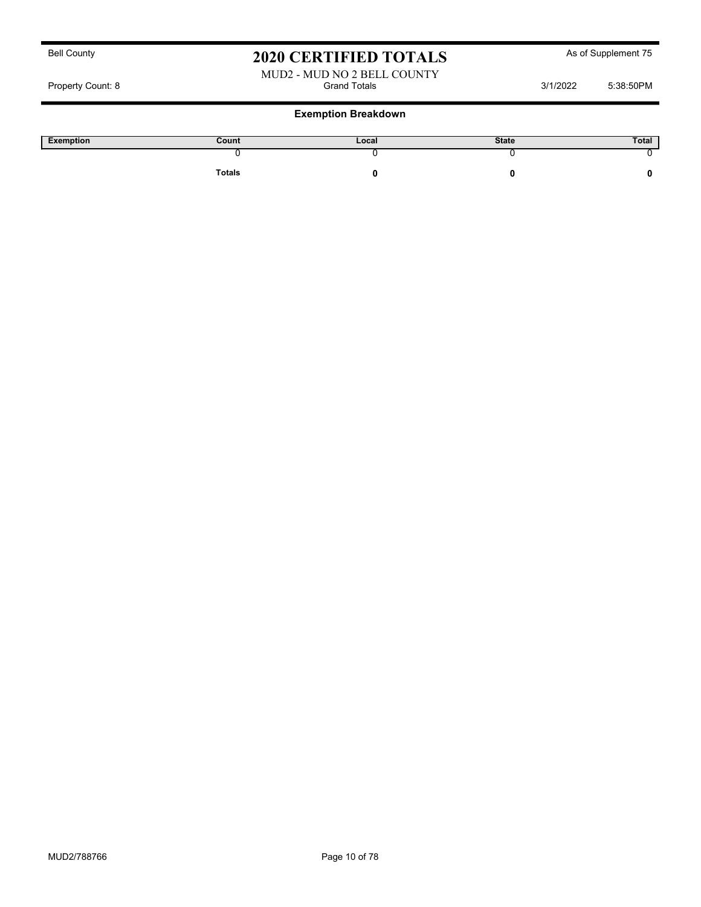#### MUD2 - MUD NO 2 BELL COUNTY Property Count: 8 Grand Totals 3/1/2022 5:38:50PM

| Exemption | Count         | Local | <b>State</b> | Total |
|-----------|---------------|-------|--------------|-------|
|           |               |       |              |       |
|           | <b>Totals</b> |       |              |       |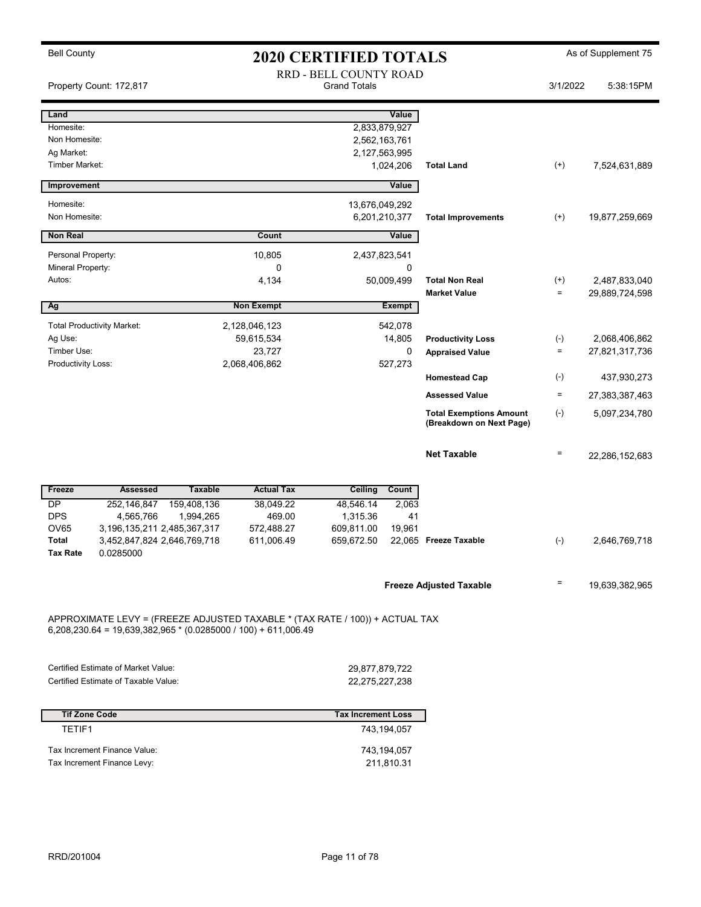|  | <b>Bell County</b> |
|--|--------------------|
|--|--------------------|

# 2020 CERTIFIED TOTALS As of Supplement 75

|                                               | Property Count: 172,817                                                     |                          |                                                                                                                                                  | RRD - BELL COUNTY ROAD<br><b>Grand Totals</b> |                                             |                                                    | 3/1/2022             | 5:38:15PM                       |
|-----------------------------------------------|-----------------------------------------------------------------------------|--------------------------|--------------------------------------------------------------------------------------------------------------------------------------------------|-----------------------------------------------|---------------------------------------------|----------------------------------------------------|----------------------|---------------------------------|
| Land<br>Homesite:                             |                                                                             |                          |                                                                                                                                                  |                                               | Value<br>2,833,879,927                      |                                                    |                      |                                 |
| Non Homesite:<br>Ag Market:<br>Timber Market: |                                                                             |                          |                                                                                                                                                  |                                               | 2,562,163,761<br>2,127,563,995<br>1,024,206 | <b>Total Land</b>                                  | $^{(+)}$             | 7,524,631,889                   |
| Improvement                                   |                                                                             |                          |                                                                                                                                                  |                                               | Value                                       |                                                    |                      |                                 |
| Homesite:<br>Non Homesite:                    |                                                                             |                          |                                                                                                                                                  | 13,676,049,292                                | 6,201,210,377                               | <b>Total Improvements</b>                          | $^{(+)}$             | 19,877,259,669                  |
| <b>Non Real</b>                               |                                                                             |                          | Count                                                                                                                                            |                                               | Value                                       |                                                    |                      |                                 |
| Personal Property:<br>Mineral Property:       |                                                                             |                          | 10,805<br>0                                                                                                                                      |                                               | 2,437,823,541<br>0                          |                                                    |                      |                                 |
| Autos:                                        |                                                                             |                          | 4,134                                                                                                                                            |                                               | 50,009,499                                  | <b>Total Non Real</b><br><b>Market Value</b>       | $^{(+)}$<br>$\equiv$ | 2,487,833,040<br>29,889,724,598 |
| Ag                                            |                                                                             |                          | <b>Non Exempt</b>                                                                                                                                |                                               | <b>Exempt</b>                               |                                                    |                      |                                 |
| Ag Use:<br>Timber Use:                        | <b>Total Productivity Market:</b>                                           |                          | 2,128,046,123<br>59,615,534<br>23,727                                                                                                            |                                               | 542,078<br>14,805<br>0                      | <b>Productivity Loss</b><br><b>Appraised Value</b> | $(-)$<br>$\equiv$    | 2,068,406,862<br>27,821,317,736 |
| Productivity Loss:                            |                                                                             |                          | 2,068,406,862                                                                                                                                    |                                               | 527,273                                     | <b>Homestead Cap</b>                               | $(-)$                | 437,930,273                     |
|                                               |                                                                             |                          |                                                                                                                                                  |                                               |                                             | <b>Assessed Value</b>                              | $\equiv$             | 27,383,387,463                  |
|                                               |                                                                             |                          |                                                                                                                                                  |                                               |                                             | <b>Total Exemptions Amount</b>                     | $(\text{-})$         | 5,097,234,780                   |
|                                               |                                                                             |                          |                                                                                                                                                  |                                               |                                             | (Breakdown on Next Page)                           |                      |                                 |
|                                               |                                                                             |                          |                                                                                                                                                  |                                               |                                             | <b>Net Taxable</b>                                 | Ξ                    | 22,286,152,683                  |
| Freeze                                        | <b>Assessed</b>                                                             | <b>Taxable</b>           | <b>Actual Tax</b>                                                                                                                                | Ceiling                                       | Count                                       |                                                    |                      |                                 |
| DP<br><b>DPS</b><br><b>OV65</b>               | 252,146,847<br>4,565,766<br>3, 196, 135, 211 2, 485, 367, 317               | 159,408,136<br>1,994,265 | 38,049.22<br>469.00<br>572,488.27                                                                                                                | 48,546.14<br>1,315.36<br>609,811.00           | 2,063<br>41<br>19,961                       |                                                    |                      |                                 |
| Total<br><b>Tax Rate</b>                      | 3,452,847,824 2,646,769,718<br>0.0285000                                    |                          | 611,006.49                                                                                                                                       | 659,672.50                                    |                                             | 22,065 Freeze Taxable                              | $(-)$                | 2,646,769,718                   |
|                                               |                                                                             |                          |                                                                                                                                                  |                                               |                                             | <b>Freeze Adjusted Taxable</b>                     | $\equiv$             | 19,639,382,965                  |
|                                               |                                                                             |                          | APPROXIMATE LEVY = (FREEZE ADJUSTED TAXABLE * (TAX RATE / 100)) + ACTUAL TAX<br>$6,208,230.64 = 19,639,382,965 * (0.0285000 / 100) + 611,006.49$ |                                               |                                             |                                                    |                      |                                 |
|                                               | Certified Estimate of Market Value:<br>Certified Estimate of Taxable Value: |                          |                                                                                                                                                  | 29,877,879,722<br>22,275,227,238              |                                             |                                                    |                      |                                 |
| <b>Tif Zone Code</b>                          |                                                                             |                          |                                                                                                                                                  | <b>Tax Increment Loss</b>                     |                                             |                                                    |                      |                                 |
| TETIF1                                        |                                                                             |                          |                                                                                                                                                  |                                               | 743,194,057                                 |                                                    |                      |                                 |
|                                               | Tax Increment Finance Value:<br>Tax Increment Finance Levy:                 |                          |                                                                                                                                                  |                                               | 743,194,057<br>211,810.31                   |                                                    |                      |                                 |
|                                               |                                                                             |                          |                                                                                                                                                  |                                               |                                             |                                                    |                      |                                 |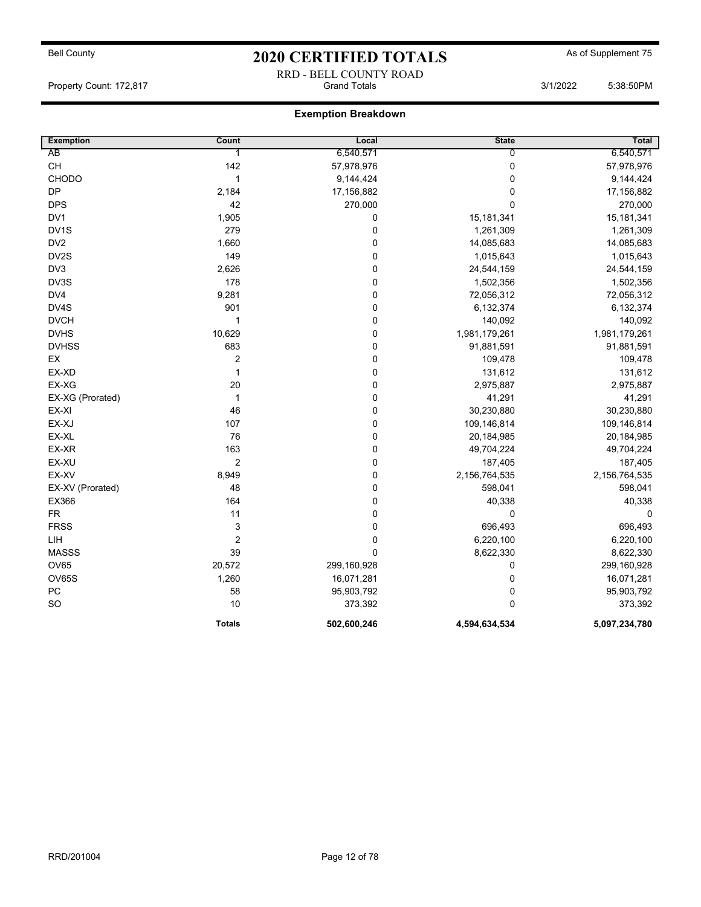## Bell County **As of Supplement 75** 2020 CERTIFIED TOTALS As of Supplement 75 RRD - BELL COUNTY ROAD

Property Count: 172,817 **Community Count: 172,817** Grand Totals 3/1/2022 5:38:50PM

| <b>Exemption</b> | Count          | Local       | <b>State</b>  | Total         |
|------------------|----------------|-------------|---------------|---------------|
| AB               | 1              | 6,540,571   | 0             | 6,540,571     |
| CH               | 142            | 57,978,976  | $\pmb{0}$     | 57,978,976    |
| CHODO            | $\mathbf{1}$   | 9,144,424   | $\pmb{0}$     | 9,144,424     |
| <b>DP</b>        | 2,184          | 17,156,882  | 0             | 17,156,882    |
| <b>DPS</b>       | 42             | 270,000     | $\Omega$      | 270,000       |
| DV <sub>1</sub>  | 1,905          | $\pmb{0}$   | 15,181,341    | 15, 181, 341  |
| DV1S             | 279            | $\pmb{0}$   | 1,261,309     | 1,261,309     |
| DV <sub>2</sub>  | 1,660          | $\pmb{0}$   | 14,085,683    | 14,085,683    |
| DV2S             | 149            | $\pmb{0}$   | 1,015,643     | 1,015,643     |
| DV3              | 2,626          | $\pmb{0}$   | 24,544,159    | 24,544,159    |
| DV3S             | 178            | 0           | 1,502,356     | 1,502,356     |
| DV4              | 9,281          | $\pmb{0}$   | 72,056,312    | 72,056,312    |
| DV4S             | 901            | $\mathbf 0$ | 6,132,374     | 6,132,374     |
| <b>DVCH</b>      | 1              | $\pmb{0}$   | 140,092       | 140,092       |
| <b>DVHS</b>      | 10,629         | $\pmb{0}$   | 1,981,179,261 | 1,981,179,261 |
| <b>DVHSS</b>     | 683            | $\mathbf 0$ | 91,881,591    | 91,881,591    |
| EX               | 2              | 0           | 109,478       | 109,478       |
| EX-XD            | $\mathbf{1}$   | 0           | 131,612       | 131,612       |
| EX-XG            | 20             | $\pmb{0}$   | 2,975,887     | 2,975,887     |
| EX-XG (Prorated) | $\overline{1}$ | $\pmb{0}$   | 41,291        | 41,291        |
| EX-XI            | 46             | $\pmb{0}$   | 30,230,880    | 30,230,880    |
| EX-XJ            | 107            | $\pmb{0}$   | 109,146,814   | 109,146,814   |
| EX-XL            | 76             | $\pmb{0}$   | 20,184,985    | 20,184,985    |
| EX-XR            | 163            | 0           | 49,704,224    | 49,704,224    |
| EX-XU            | $\overline{c}$ | $\pmb{0}$   | 187,405       | 187,405       |
| EX-XV            | 8,949          | $\pmb{0}$   | 2,156,764,535 | 2,156,764,535 |
| EX-XV (Prorated) | 48             | $\pmb{0}$   | 598,041       | 598,041       |
| EX366            | 164            | $\pmb{0}$   | 40,338        | 40,338        |
| <b>FR</b>        | 11             | $\mathbf 0$ | $\mathbf 0$   | 0             |
| <b>FRSS</b>      | 3              | $\pmb{0}$   | 696,493       | 696,493       |
| LIH              | $\overline{2}$ | $\mathbf 0$ | 6,220,100     | 6,220,100     |
| <b>MASSS</b>     | 39             | $\mathbf 0$ | 8,622,330     | 8,622,330     |
| OV65             | 20,572         | 299,160,928 | 0             | 299,160,928   |
| OV65S            | 1,260          | 16,071,281  | $\mathbf 0$   | 16,071,281    |
| PC               | 58             | 95,903,792  | $\mathbf 0$   | 95,903,792    |
| <b>SO</b>        | 10             | 373,392     | $\mathbf 0$   | 373,392       |
|                  | <b>Totals</b>  | 502,600,246 | 4,594,634,534 | 5,097,234,780 |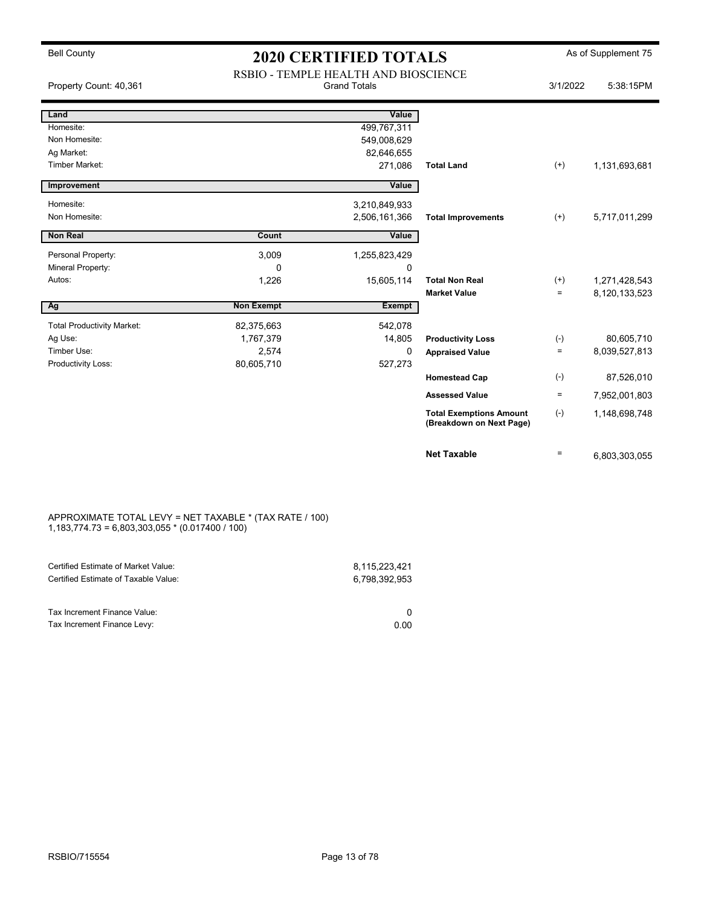| Property Count: 40,361            |                   | RSBIO - TEMPLE HEALTH AND BIOSCIENCE<br><b>Grand Totals</b> |                                                            | 3/1/2022 | 5:38:15PM     |
|-----------------------------------|-------------------|-------------------------------------------------------------|------------------------------------------------------------|----------|---------------|
| Land                              |                   | Value                                                       |                                                            |          |               |
| Homesite:                         |                   | 499,767,311                                                 |                                                            |          |               |
| Non Homesite:                     |                   | 549,008,629                                                 |                                                            |          |               |
| Ag Market:                        |                   | 82,646,655                                                  |                                                            |          |               |
| <b>Timber Market:</b>             |                   | 271,086                                                     | <b>Total Land</b>                                          | $^{(+)}$ | 1,131,693,681 |
| Improvement                       |                   | Value                                                       |                                                            |          |               |
| Homesite:                         |                   | 3,210,849,933                                               |                                                            |          |               |
| Non Homesite:                     |                   | 2,506,161,366                                               | <b>Total Improvements</b>                                  | $(+)$    | 5,717,011,299 |
| <b>Non Real</b>                   | Count             | Value                                                       |                                                            |          |               |
| Personal Property:                | 3,009             | 1,255,823,429                                               |                                                            |          |               |
| Mineral Property:                 | 0                 | 0                                                           |                                                            |          |               |
| Autos:                            | 1,226             | 15,605,114                                                  | <b>Total Non Real</b>                                      | $(+)$    | 1,271,428,543 |
|                                   |                   |                                                             | <b>Market Value</b>                                        | $=$      | 8,120,133,523 |
| Ag                                | <b>Non Exempt</b> | <b>Exempt</b>                                               |                                                            |          |               |
| <b>Total Productivity Market:</b> | 82,375,663        | 542,078                                                     |                                                            |          |               |
| Ag Use:                           | 1,767,379         | 14,805                                                      | <b>Productivity Loss</b>                                   | $(-)$    | 80,605,710    |
| Timber Use:                       | 2,574             | 0                                                           | <b>Appraised Value</b>                                     | $\equiv$ | 8,039,527,813 |
| Productivity Loss:                | 80,605,710        | 527,273                                                     |                                                            |          |               |
|                                   |                   |                                                             | <b>Homestead Cap</b>                                       | $(-)$    | 87,526,010    |
|                                   |                   |                                                             | <b>Assessed Value</b>                                      | $\equiv$ | 7,952,001,803 |
|                                   |                   |                                                             | <b>Total Exemptions Amount</b><br>(Breakdown on Next Page) | $(-)$    | 1,148,698,748 |
|                                   |                   |                                                             | <b>Net Taxable</b>                                         | $=$      | 6,803,303,055 |

#### APPROXIMATE TOTAL LEVY = NET TAXABLE \* (TAX RATE / 100) 1,183,774.73 = 6,803,303,055 \* (0.017400 / 100)

| Certified Estimate of Market Value:<br>Certified Estimate of Taxable Value: | 8.115.223.421<br>6.798.392.953 |
|-----------------------------------------------------------------------------|--------------------------------|
| Tax Increment Finance Value:                                                |                                |
| Tax Increment Finance Levy:                                                 | 0.00                           |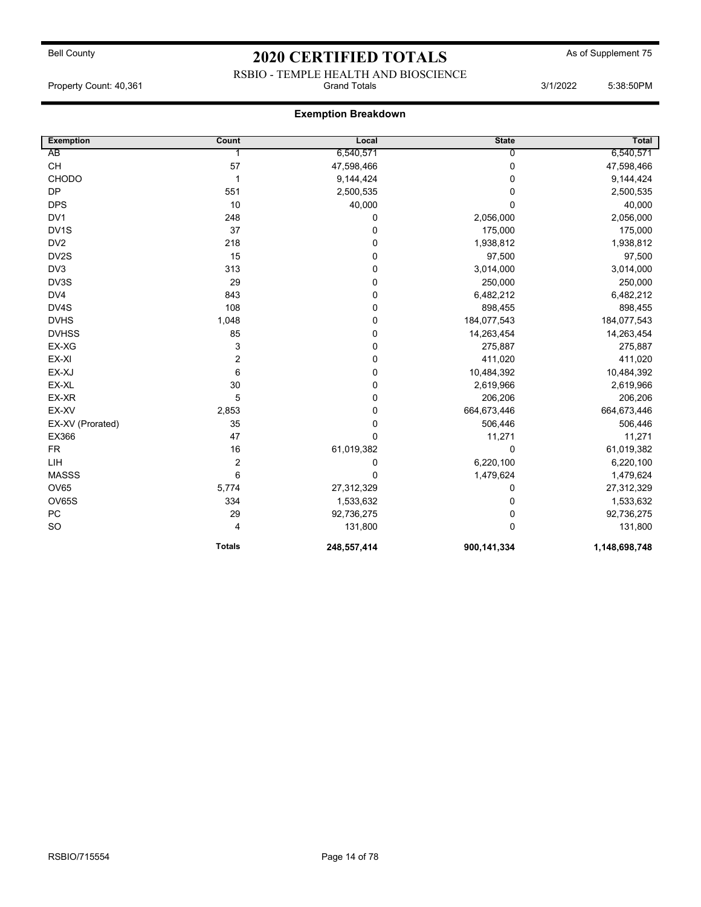### RSBIO - TEMPLE HEALTH AND BIOSCIENCE Property Count: 40,361 **State 19:38:50PM** Grand Totals 3/1/2022 5:38:50PM

| <b>Exemption</b> | Count                   | Local       | <b>State</b> | Total         |
|------------------|-------------------------|-------------|--------------|---------------|
| AB               |                         | 6,540,571   | $\Omega$     | 6,540,571     |
| <b>CH</b>        | 57                      | 47,598,466  | 0            | 47,598,466    |
| CHODO            | $\mathbf 1$             | 9,144,424   | 0            | 9,144,424     |
| <b>DP</b>        | 551                     | 2,500,535   | 0            | 2,500,535     |
| <b>DPS</b>       | 10                      | 40,000      | 0            | 40,000        |
| DV1              | 248                     | 0           | 2,056,000    | 2,056,000     |
| DV1S             | 37                      | 0           | 175,000      | 175,000       |
| DV <sub>2</sub>  | 218                     | 0           | 1,938,812    | 1,938,812     |
| DV2S             | 15                      | 0           | 97,500       | 97,500        |
| DV <sub>3</sub>  | 313                     | 0           | 3,014,000    | 3,014,000     |
| DV3S             | 29                      | 0           | 250,000      | 250,000       |
| DV4              | 843                     | 0           | 6,482,212    | 6,482,212     |
| DV4S             | 108                     | 0           | 898,455      | 898,455       |
| <b>DVHS</b>      | 1,048                   | 0           | 184,077,543  | 184,077,543   |
| <b>DVHSS</b>     | 85                      | 0           | 14,263,454   | 14,263,454    |
| EX-XG            | 3                       | 0           | 275,887      | 275,887       |
| EX-XI            | $\overline{\mathbf{c}}$ | 0           | 411,020      | 411,020       |
| EX-XJ            | 6                       | 0           | 10,484,392   | 10,484,392    |
| EX-XL            | 30                      | 0           | 2,619,966    | 2,619,966     |
| EX-XR            | 5                       | 0           | 206,206      | 206,206       |
| EX-XV            | 2,853                   | 0           | 664,673,446  | 664,673,446   |
| EX-XV (Prorated) | 35                      | 0           | 506,446      | 506,446       |
| EX366            | 47                      | $\mathbf 0$ | 11,271       | 11,271        |
| <b>FR</b>        | 16                      | 61,019,382  | 0            | 61,019,382    |
| LIH              | $\boldsymbol{2}$        | 0           | 6,220,100    | 6,220,100     |
| <b>MASSS</b>     | 6                       | 0           | 1,479,624    | 1,479,624     |
| <b>OV65</b>      | 5,774                   | 27,312,329  | 0            | 27,312,329    |
| OV65S            | 334                     | 1,533,632   | 0            | 1,533,632     |
| ${\sf PC}$       | 29                      | 92,736,275  | 0            | 92,736,275    |
| SO               | 4                       | 131,800     | 0            | 131,800       |
|                  | <b>Totals</b>           | 248,557,414 | 900,141,334  | 1,148,698,748 |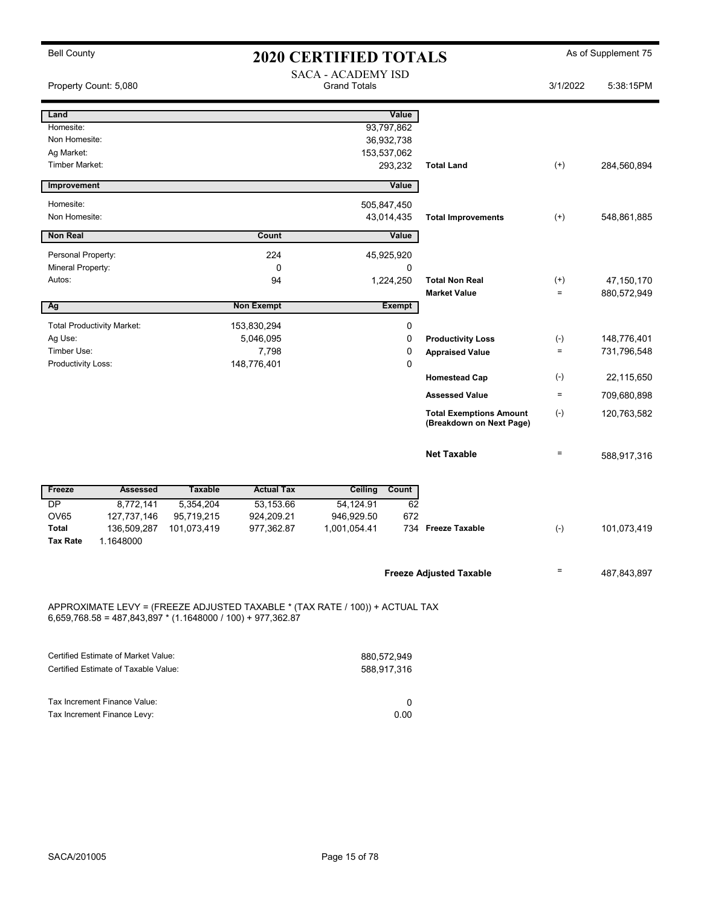| <b>Bell County</b><br><b>2020 CERTIFIED TOTALS</b>                                                                                            |                 |                |                   |                                                  | As of Supplement 75 |                                                            |                   |             |
|-----------------------------------------------------------------------------------------------------------------------------------------------|-----------------|----------------|-------------------|--------------------------------------------------|---------------------|------------------------------------------------------------|-------------------|-------------|
| Property Count: 5,080                                                                                                                         |                 |                |                   | <b>SACA - ACADEMY ISD</b><br><b>Grand Totals</b> |                     |                                                            | 3/1/2022          | 5:38:15PM   |
| Land                                                                                                                                          |                 |                |                   |                                                  | Value               |                                                            |                   |             |
| Homesite:                                                                                                                                     |                 |                |                   |                                                  | 93,797,862          |                                                            |                   |             |
| Non Homesite:                                                                                                                                 |                 |                |                   |                                                  | 36,932,738          |                                                            |                   |             |
| Ag Market:                                                                                                                                    |                 |                |                   | 153,537,062                                      |                     |                                                            |                   |             |
| <b>Timber Market:</b>                                                                                                                         |                 |                |                   |                                                  | 293,232             | <b>Total Land</b>                                          | $^{(+)}$          | 284,560,894 |
| Improvement                                                                                                                                   |                 |                |                   |                                                  | Value               |                                                            |                   |             |
| Homesite:                                                                                                                                     |                 |                |                   | 505,847,450                                      |                     |                                                            |                   |             |
| Non Homesite:                                                                                                                                 |                 |                |                   |                                                  | 43,014,435          | <b>Total Improvements</b>                                  | $^{(+)}$          | 548,861,885 |
| <b>Non Real</b>                                                                                                                               |                 |                | Count             |                                                  | Value               |                                                            |                   |             |
| Personal Property:                                                                                                                            |                 |                | 224               |                                                  | 45,925,920          |                                                            |                   |             |
| Mineral Property:                                                                                                                             |                 |                | 0                 |                                                  | 0                   |                                                            |                   |             |
| Autos:                                                                                                                                        |                 |                | 94                |                                                  | 1,224,250           | <b>Total Non Real</b>                                      | $^{(+)}$          | 47,150,170  |
|                                                                                                                                               |                 |                |                   |                                                  |                     | <b>Market Value</b>                                        | $\equiv$          | 880,572,949 |
| Ag                                                                                                                                            |                 |                | <b>Non Exempt</b> |                                                  | <b>Exempt</b>       |                                                            |                   |             |
| <b>Total Productivity Market:</b>                                                                                                             |                 |                | 153,830,294       |                                                  | 0                   |                                                            |                   |             |
| Ag Use:                                                                                                                                       |                 |                | 5,046,095         |                                                  | 0                   | <b>Productivity Loss</b>                                   | $(-)$             | 148,776,401 |
| Timber Use:                                                                                                                                   |                 |                | 7,798             |                                                  | 0                   | <b>Appraised Value</b>                                     | $\equiv$          | 731,796,548 |
| Productivity Loss:                                                                                                                            |                 |                | 148,776,401       |                                                  | 0                   |                                                            |                   |             |
|                                                                                                                                               |                 |                |                   |                                                  |                     | <b>Homestead Cap</b>                                       | $(\cdot)$         | 22,115,650  |
|                                                                                                                                               |                 |                |                   |                                                  |                     | <b>Assessed Value</b>                                      | $\qquad \qquad =$ | 709,680,898 |
|                                                                                                                                               |                 |                |                   |                                                  |                     | <b>Total Exemptions Amount</b><br>(Breakdown on Next Page) | $(\text{-})$      | 120,763,582 |
|                                                                                                                                               |                 |                |                   |                                                  |                     | <b>Net Taxable</b>                                         | $\equiv$          | 588,917,316 |
| Freeze                                                                                                                                        | <b>Assessed</b> | <b>Taxable</b> | <b>Actual Tax</b> | Ceiling                                          | Count               |                                                            |                   |             |
| <b>DP</b>                                                                                                                                     | 8,772,141       | 5,354,204      | 53,153.66         | 54,124.91                                        | 62                  |                                                            |                   |             |
| <b>OV65</b>                                                                                                                                   | 127,737,146     | 95,719,215     | 924,209.21        | 946,929.50                                       | 672                 |                                                            |                   |             |
| <b>Total</b>                                                                                                                                  | 136,509,287     | 101,073,419    | 977,362.87        | 1,001,054.41                                     |                     | 734 Freeze Taxable                                         | $(-)$             | 101,073,419 |
| <b>Tax Rate</b>                                                                                                                               | 1.1648000       |                |                   |                                                  |                     |                                                            |                   |             |
|                                                                                                                                               |                 |                |                   |                                                  |                     | <b>Freeze Adjusted Taxable</b>                             | $\qquad \qquad =$ | 487,843,897 |
| APPROXIMATE LEVY = (FREEZE ADJUSTED TAXABLE * (TAX RATE / 100)) + ACTUAL TAX<br>$6,659,768.58 = 487,843,897 * (1.1648000 / 100) + 977,362.87$ |                 |                |                   |                                                  |                     |                                                            |                   |             |

| Certified Estimate of Market Value:  | 880.572.949  |
|--------------------------------------|--------------|
| Certified Estimate of Taxable Value: | 588.917.316  |
|                                      |              |
|                                      |              |
| Tax Increment Finance Value:         | <sup>0</sup> |
| Tax Increment Finance Levy:          | 0.00         |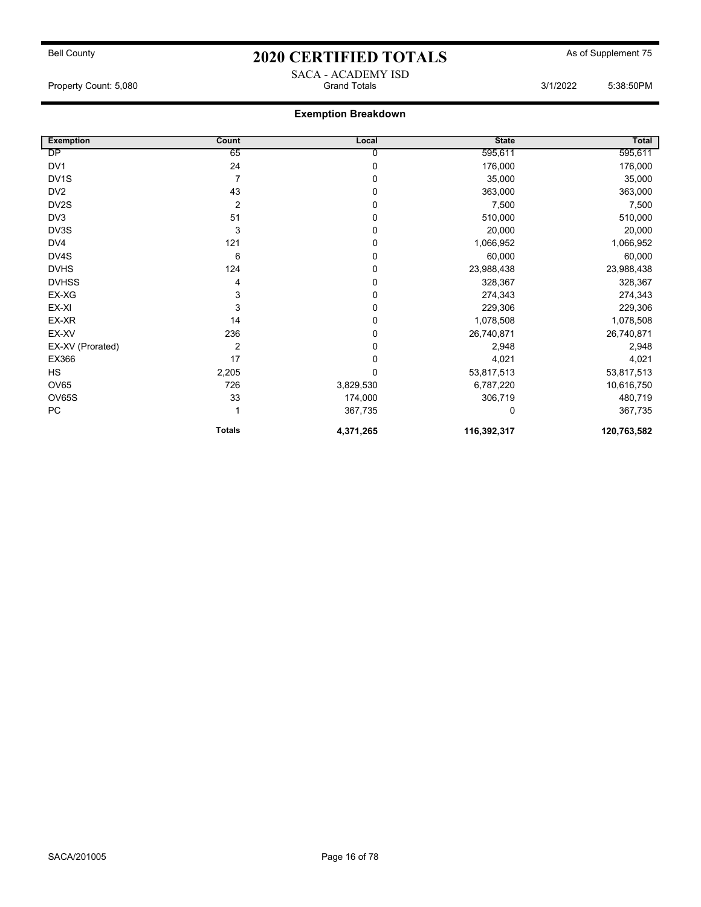## Bell County **As of Supplement 75** 2020 CERTIFIED TOTALS As of Supplement 75 SACA - ACADEMY ISD

Property Count: 5,080 **Crand Totals 3/1/2022** 5:38:50PM

| <b>Exemption</b>  | Count         | Local     | <b>State</b> | Total       |
|-------------------|---------------|-----------|--------------|-------------|
| DP                | 65            | 0         | 595,611      | 595,611     |
| DV1               | 24            | 0         | 176,000      | 176,000     |
| DV <sub>1</sub> S | 7             | 0         | 35,000       | 35,000      |
| DV <sub>2</sub>   | 43            | 0         | 363,000      | 363,000     |
| DV2S              | 2             | 0         | 7,500        | 7,500       |
| DV3               | 51            | 0         | 510,000      | 510,000     |
| DV3S              | 3             | 0         | 20,000       | 20,000      |
| DV4               | 121           | 0         | 1,066,952    | 1,066,952   |
| DV4S              | 6             | 0         | 60,000       | 60,000      |
| <b>DVHS</b>       | 124           | 0         | 23,988,438   | 23,988,438  |
| <b>DVHSS</b>      | 4             | 0         | 328,367      | 328,367     |
| EX-XG             | 3             | 0         | 274,343      | 274,343     |
| EX-XI             | 3             | 0         | 229,306      | 229,306     |
| EX-XR             | 14            | 0         | 1,078,508    | 1,078,508   |
| EX-XV             | 236           | 0         | 26,740,871   | 26,740,871  |
| EX-XV (Prorated)  | 2             | 0         | 2,948        | 2,948       |
| EX366             | 17            | 0         | 4,021        | 4,021       |
| <b>HS</b>         | 2,205         | 0         | 53,817,513   | 53,817,513  |
| <b>OV65</b>       | 726           | 3,829,530 | 6,787,220    | 10,616,750  |
| OV65S             | 33            | 174,000   | 306,719      | 480,719     |
| <b>PC</b>         |               | 367,735   | 0            | 367,735     |
|                   | <b>Totals</b> | 4,371,265 | 116,392,317  | 120,763,582 |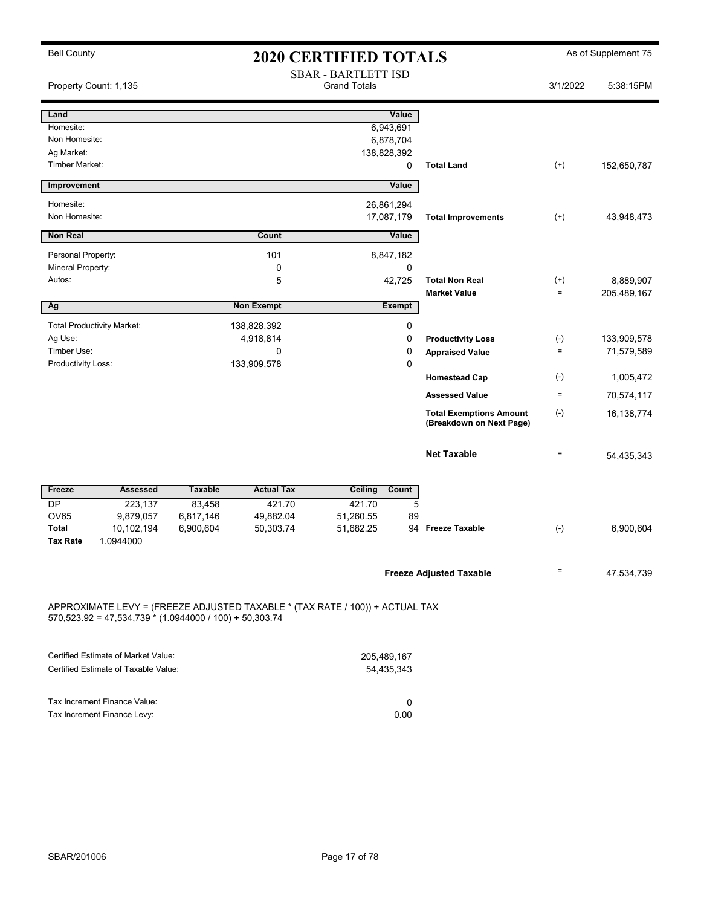| <b>Bell County</b>    |                                                           | <b>2020 CERTIFIED TOTALS</b>                      |                   |                                                                              |                                                            |                    | As of Supplement 75 |
|-----------------------|-----------------------------------------------------------|---------------------------------------------------|-------------------|------------------------------------------------------------------------------|------------------------------------------------------------|--------------------|---------------------|
| Property Count: 1,135 |                                                           | <b>SBAR - BARTLETT ISD</b><br><b>Grand Totals</b> |                   |                                                                              |                                                            | 3/1/2022           | 5:38:15PM           |
| Land                  |                                                           |                                                   |                   | Value                                                                        |                                                            |                    |                     |
| Homesite:             |                                                           |                                                   |                   | 6,943,691                                                                    |                                                            |                    |                     |
| Non Homesite:         |                                                           |                                                   |                   | 6,878,704                                                                    |                                                            |                    |                     |
| Ag Market:            |                                                           |                                                   |                   | 138,828,392                                                                  |                                                            |                    |                     |
| Timber Market:        |                                                           |                                                   |                   | 0                                                                            | <b>Total Land</b>                                          | $^{(+)}$           | 152,650,787         |
| Improvement           |                                                           |                                                   |                   | Value                                                                        |                                                            |                    |                     |
| Homesite:             |                                                           |                                                   |                   | 26,861,294                                                                   |                                                            |                    |                     |
| Non Homesite:         |                                                           |                                                   |                   | 17,087,179                                                                   | <b>Total Improvements</b>                                  | $(+)$              | 43,948,473          |
| <b>Non Real</b>       |                                                           |                                                   | Count             | Value                                                                        |                                                            |                    |                     |
| Personal Property:    |                                                           |                                                   | 101               | 8,847,182                                                                    |                                                            |                    |                     |
| Mineral Property:     |                                                           |                                                   | 0                 | 0                                                                            |                                                            |                    |                     |
| Autos:                |                                                           |                                                   | 5                 | 42,725                                                                       | <b>Total Non Real</b>                                      | $^{(+)}$           | 8,889,907           |
|                       |                                                           |                                                   |                   |                                                                              | <b>Market Value</b>                                        | $\equiv$           | 205,489,167         |
| Ag                    |                                                           |                                                   | <b>Non Exempt</b> | Exempt                                                                       |                                                            |                    |                     |
|                       | <b>Total Productivity Market:</b>                         |                                                   | 138,828,392       | 0                                                                            |                                                            |                    |                     |
| Ag Use:               |                                                           |                                                   | 4,918,814         | 0                                                                            | <b>Productivity Loss</b>                                   | $(\textnormal{-})$ | 133,909,578         |
| Timber Use:           |                                                           |                                                   | 0                 | $\mathbf 0$                                                                  | <b>Appraised Value</b>                                     | $\quad =$          | 71,579,589          |
| Productivity Loss:    |                                                           |                                                   | 133,909,578       | 0                                                                            |                                                            |                    |                     |
|                       |                                                           |                                                   |                   |                                                                              | <b>Homestead Cap</b>                                       | $(\cdot)$          | 1,005,472           |
|                       |                                                           |                                                   |                   |                                                                              | <b>Assessed Value</b>                                      | $=$                | 70,574,117          |
|                       |                                                           |                                                   |                   |                                                                              | <b>Total Exemptions Amount</b><br>(Breakdown on Next Page) | $(\text{-})$       | 16, 138, 774        |
|                       |                                                           |                                                   |                   |                                                                              | <b>Net Taxable</b>                                         | $\qquad \qquad =$  | 54,435,343          |
| Freeze                | <b>Assessed</b>                                           | <b>Taxable</b>                                    | <b>Actual Tax</b> | Ceiling<br>Count                                                             |                                                            |                    |                     |
| <b>DP</b>             | 223,137                                                   | 83,458                                            | 421.70            | 421.70                                                                       | 5                                                          |                    |                     |
| <b>OV65</b>           | 9,879,057                                                 | 6,817,146                                         | 49,882.04         | 51,260.55                                                                    | 89                                                         |                    |                     |
| <b>Total</b>          | 10,102,194                                                | 6,900,604                                         | 50,303.74         | 51,682.25                                                                    | <b>Freeze Taxable</b><br>94                                | $(-)$              | 6,900,604           |
| <b>Tax Rate</b>       | 1.0944000                                                 |                                                   |                   |                                                                              |                                                            |                    |                     |
|                       |                                                           |                                                   |                   |                                                                              | <b>Freeze Adjusted Taxable</b>                             | $=$                | 47,534,739          |
|                       | $570,523.92 = 47,534,739 * (1.0944000 / 100) + 50,303.74$ |                                                   |                   | APPROXIMATE LEVY = (FREEZE ADJUSTED TAXABLE * (TAX RATE / 100)) + ACTUAL TAX |                                                            |                    |                     |

| Certified Estimate of Market Value:  | 205.489.167 |
|--------------------------------------|-------------|
| Certified Estimate of Taxable Value: | 54.435.343  |
|                                      |             |
| Tax Increment Finance Value:         |             |
| Tax Increment Finance Levy:          | 0.00        |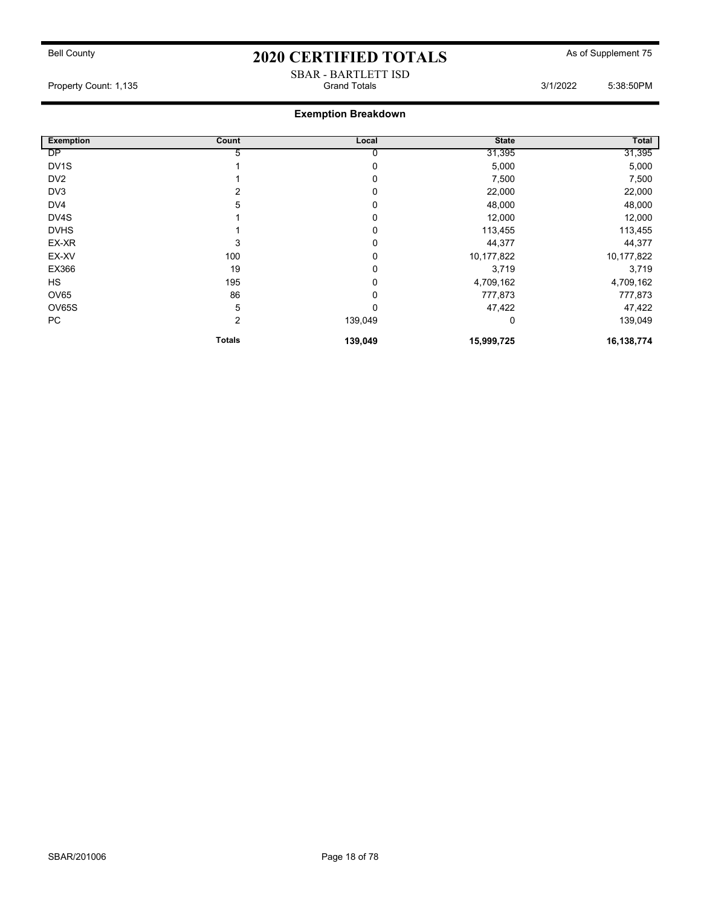#### SBAR - BARTLETT ISD Property Count: 1,135 **Crambuse 2018** Grand Totals 3/1/2022 5:38:50PM

| <b>Exemption</b>  | Count         | Local    | <b>State</b> | Total      |
|-------------------|---------------|----------|--------------|------------|
| <b>DP</b>         | 5             | 0        | 31,395       | 31,395     |
| DV <sub>1</sub> S |               | 0        | 5,000        | 5,000      |
| DV <sub>2</sub>   |               | 0        | 7,500        | 7,500      |
| DV3               |               | 0        | 22,000       | 22,000     |
| DV4               | 5             | 0        | 48,000       | 48,000     |
| DV4S              |               | 0        | 12,000       | 12,000     |
| <b>DVHS</b>       |               | $\Omega$ | 113,455      | 113,455    |
| EX-XR             | 3             | 0        | 44,377       | 44,377     |
| EX-XV             | 100           | 0        | 10,177,822   | 10,177,822 |
| EX366             | 19            | 0        | 3,719        | 3,719      |
| <b>HS</b>         | 195           | 0        | 4,709,162    | 4,709,162  |
| OV65              | 86            | 0        | 777,873      | 777,873    |
| OV65S             | 5             | 0        | 47,422       | 47,422     |
| PC                | 2             | 139,049  | 0            | 139,049    |
|                   | <b>Totals</b> | 139,049  | 15,999,725   | 16,138,774 |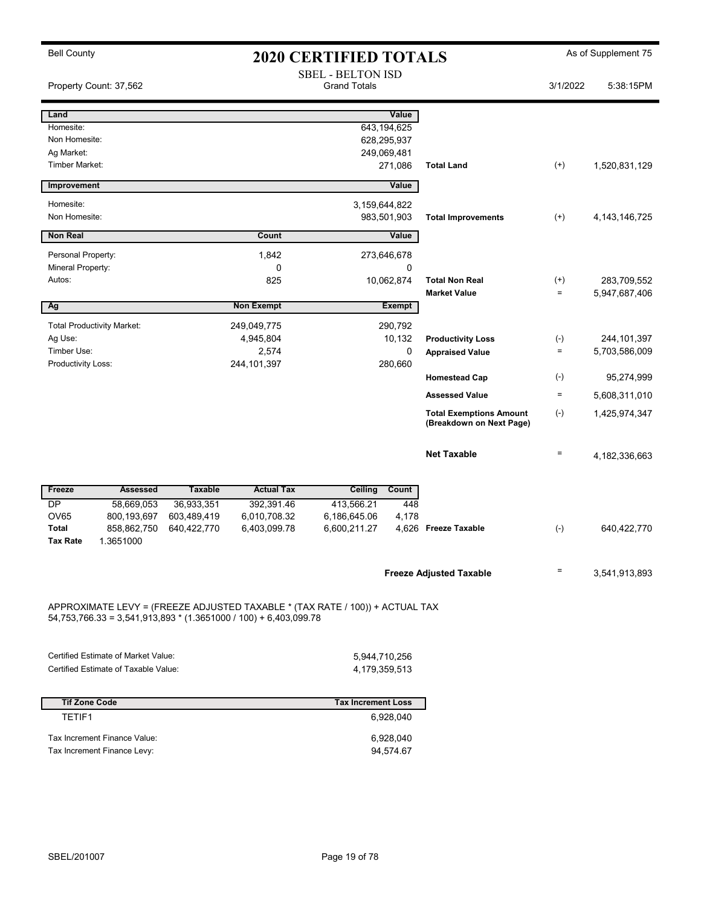| <b>Bell County</b>          |                                   |                |                                                                              | <b>2020 CERTIFIED TOTALS</b>                    |                        |                                                            |                   | As of Supplement 75 |
|-----------------------------|-----------------------------------|----------------|------------------------------------------------------------------------------|-------------------------------------------------|------------------------|------------------------------------------------------------|-------------------|---------------------|
|                             | Property Count: 37,562            |                |                                                                              | <b>SBEL - BELTON ISD</b><br><b>Grand Totals</b> |                        |                                                            | 3/1/2022          | 5:38:15PM           |
| Land                        |                                   |                |                                                                              |                                                 | Value                  |                                                            |                   |                     |
| Homesite:                   |                                   |                |                                                                              |                                                 | 643, 194, 625          |                                                            |                   |                     |
| Non Homesite:<br>Ag Market: |                                   |                |                                                                              |                                                 | 628,295,937            |                                                            |                   |                     |
| <b>Timber Market:</b>       |                                   |                |                                                                              |                                                 | 249,069,481<br>271,086 | <b>Total Land</b>                                          | $^{(+)}$          | 1,520,831,129       |
|                             |                                   |                |                                                                              |                                                 |                        |                                                            |                   |                     |
| Improvement                 |                                   |                |                                                                              |                                                 | Value                  |                                                            |                   |                     |
| Homesite:                   |                                   |                |                                                                              |                                                 | 3,159,644,822          |                                                            |                   |                     |
| Non Homesite:               |                                   |                |                                                                              |                                                 | 983,501,903            | <b>Total Improvements</b>                                  | $(+)$             | 4, 143, 146, 725    |
| <b>Non Real</b>             |                                   |                | Count                                                                        |                                                 | Value                  |                                                            |                   |                     |
| Personal Property:          |                                   |                | 1,842                                                                        |                                                 | 273,646,678            |                                                            |                   |                     |
| Mineral Property:           |                                   |                | 0                                                                            |                                                 | 0                      |                                                            |                   |                     |
| Autos:                      |                                   |                | 825                                                                          |                                                 | 10,062,874             | <b>Total Non Real</b>                                      | $^{(+)}$          | 283,709,552         |
|                             |                                   |                | <b>Non Exempt</b>                                                            |                                                 |                        | <b>Market Value</b>                                        | $\equiv$          | 5,947,687,406       |
| Ag                          |                                   |                |                                                                              |                                                 | <b>Exempt</b>          |                                                            |                   |                     |
|                             | <b>Total Productivity Market:</b> |                | 249,049,775                                                                  |                                                 | 290,792                |                                                            |                   |                     |
| Ag Use:<br>Timber Use:      |                                   |                | 4,945,804                                                                    |                                                 | 10,132<br>$\mathbf 0$  | <b>Productivity Loss</b>                                   | $(-)$<br>$\equiv$ | 244, 101, 397       |
| Productivity Loss:          |                                   |                | 2,574<br>244, 101, 397                                                       |                                                 | 280,660                | <b>Appraised Value</b>                                     |                   | 5,703,586,009       |
|                             |                                   |                |                                                                              |                                                 |                        | <b>Homestead Cap</b>                                       | $(-)$             | 95,274,999          |
|                             |                                   |                |                                                                              |                                                 |                        | <b>Assessed Value</b>                                      | $\equiv$          | 5,608,311,010       |
|                             |                                   |                |                                                                              |                                                 |                        | <b>Total Exemptions Amount</b><br>(Breakdown on Next Page) | $(-)$             | 1,425,974,347       |
|                             |                                   |                |                                                                              |                                                 |                        | <b>Net Taxable</b>                                         | $\equiv$          | 4, 182, 336, 663    |
| Freeze                      | <b>Assessed</b>                   | <b>Taxable</b> | <b>Actual Tax</b>                                                            | Ceiling                                         | Count                  |                                                            |                   |                     |
| $\overline{DP}$             | 58,669,053                        | 36,933,351     | 392,391.46                                                                   | 413,566.21                                      | 448                    |                                                            |                   |                     |
| OV65                        | 800,193,697                       | 603,489,419    | 6,010,708.32                                                                 | 6,186,645.06                                    | 4,178                  |                                                            |                   |                     |
| Total<br><b>Tax Rate</b>    | 858,862,750<br>1.3651000          | 640,422,770    | 6,403,099.78                                                                 | 6,600,211.27                                    | 4,626                  | <b>Freeze Taxable</b>                                      | $(-)$             | 640,422,770         |
|                             |                                   |                |                                                                              |                                                 |                        |                                                            |                   |                     |
|                             |                                   |                |                                                                              |                                                 |                        | <b>Freeze Adjusted Taxable</b>                             | Ξ                 | 3,541,913,893       |
|                             |                                   |                | APPROXIMATE LEVY = (FREEZE ADJUSTED TAXABLE * (TAX RATE / 100)) + ACTUAL TAX |                                                 |                        |                                                            |                   |                     |
|                             |                                   |                | $54,753,766.33 = 3,541,913,893$ * (1.3651000 / 100) + 6,403,099.78           |                                                 |                        |                                                            |                   |                     |

| Certified Estimate of Market Value:  | 5.944.710.256 |
|--------------------------------------|---------------|
| Certified Estimate of Taxable Value: | 4.179.359.513 |

| <b>Tif Zone Code</b>         | <b>Tax Increment Loss</b> |
|------------------------------|---------------------------|
| TFTIF1                       | 6.928.040                 |
| Tax Increment Finance Value: | 6.928.040                 |
| Tax Increment Finance Levy:  | 94.574.67                 |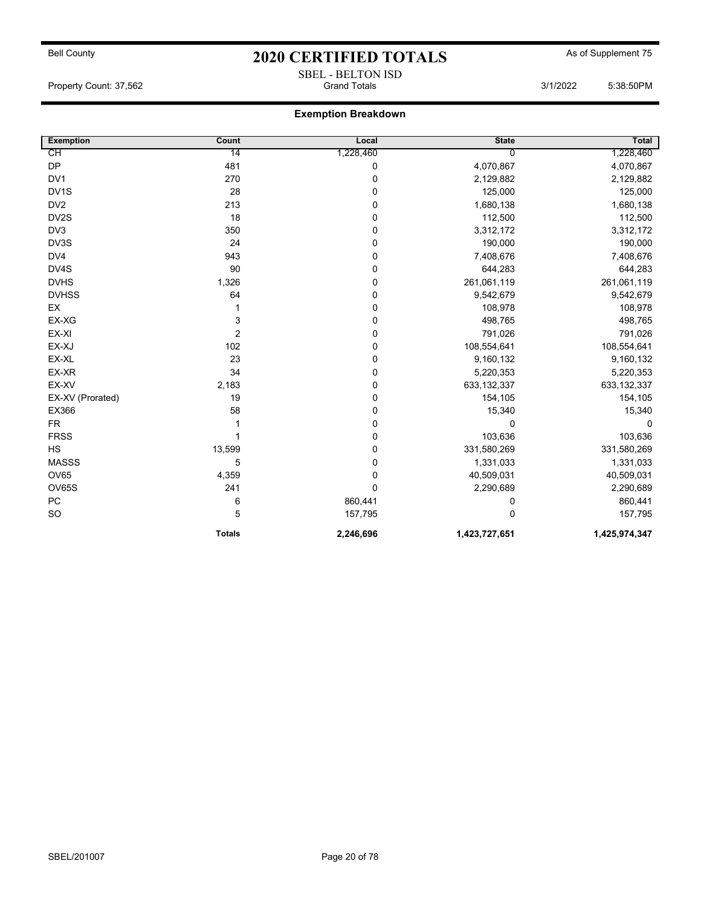## Bell County **As of Supplement 75** 2020 CERTIFIED TOTALS As of Supplement 75 SBEL - BELTON ISD

Property Count: 37,562 **State 37,562** and Stand Totals 3/1/2022 5:38:50PM

| <b>Exemption</b>  | Count          | Local       | <b>State</b>  | Total         |
|-------------------|----------------|-------------|---------------|---------------|
| СH                | 14             | 1,228,460   | $\Omega$      | 1,228,460     |
| <b>DP</b>         | 481            | 0           | 4,070,867     | 4,070,867     |
| DV1               | 270            | $\mathbf 0$ | 2,129,882     | 2,129,882     |
| DV <sub>1</sub> S | 28             | 0           | 125,000       | 125,000       |
| DV <sub>2</sub>   | 213            | 0           | 1,680,138     | 1,680,138     |
| DV <sub>2</sub> S | 18             | 0           | 112,500       | 112,500       |
| DV <sub>3</sub>   | 350            | 0           | 3,312,172     | 3,312,172     |
| DV3S              | 24             | 0           | 190,000       | 190,000       |
| DV4               | 943            | 0           | 7,408,676     | 7,408,676     |
| DV4S              | 90             | 0           | 644,283       | 644,283       |
| <b>DVHS</b>       | 1,326          | 0           | 261,061,119   | 261,061,119   |
| <b>DVHSS</b>      | 64             | 0           | 9,542,679     | 9,542,679     |
| EX                |                | 0           | 108,978       | 108,978       |
| EX-XG             | 3              | 0           | 498,765       | 498,765       |
| EX-XI             | $\overline{c}$ | 0           | 791,026       | 791,026       |
| EX-XJ             | 102            | 0           | 108,554,641   | 108,554,641   |
| EX-XL             | 23             | 0           | 9,160,132     | 9,160,132     |
| EX-XR             | 34             | 0           | 5,220,353     | 5,220,353     |
| EX-XV             | 2,183          | 0           | 633,132,337   | 633, 132, 337 |
| EX-XV (Prorated)  | 19             | 0           | 154,105       | 154,105       |
| EX366             | 58             | 0           | 15,340        | 15,340        |
| <b>FR</b>         |                | 0           | $\Omega$      | 0             |
| <b>FRSS</b>       |                | 0           | 103,636       | 103,636       |
| HS                | 13,599         | 0           | 331,580,269   | 331,580,269   |
| <b>MASSS</b>      | 5              | 0           | 1,331,033     | 1,331,033     |
| OV65              | 4,359          | 0           | 40,509,031    | 40,509,031    |
| <b>OV65S</b>      | 241            | $\mathbf 0$ | 2,290,689     | 2,290,689     |
| PC                | 6              | 860,441     | 0             | 860,441       |
| SO                | 5              | 157,795     | 0             | 157,795       |
|                   | <b>Totals</b>  | 2,246,696   | 1,423,727,651 | 1,425,974,347 |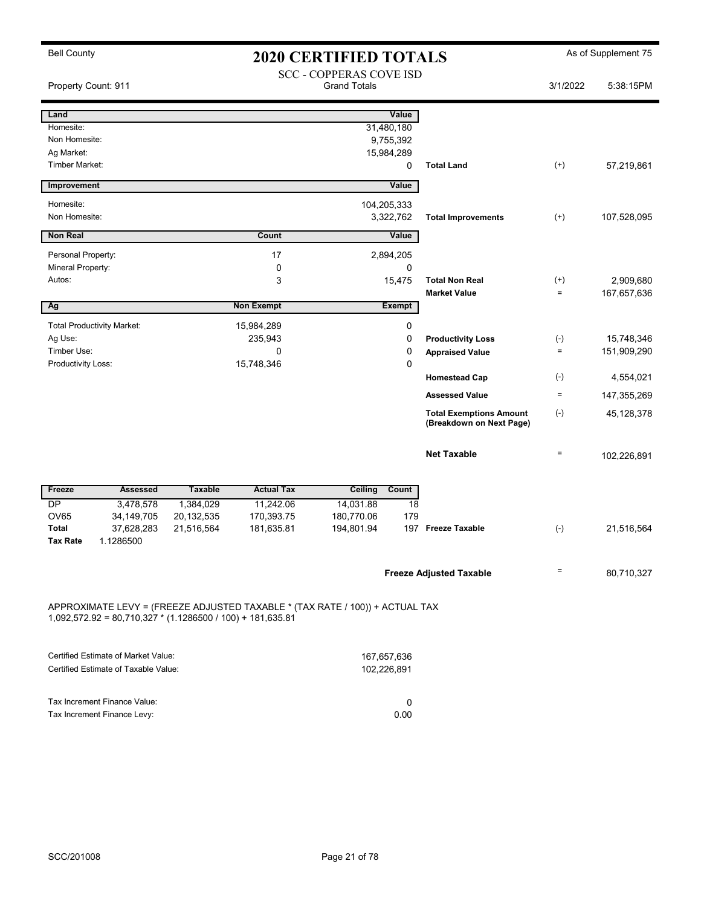| Property Count: 911               |                                                       |                   |                                                     |             | <b>2020 CERTIFIED TOTALS</b>                                                                                                                       |                                                                                                                                      |                       |
|-----------------------------------|-------------------------------------------------------|-------------------|-----------------------------------------------------|-------------|----------------------------------------------------------------------------------------------------------------------------------------------------|--------------------------------------------------------------------------------------------------------------------------------------|-----------------------|
|                                   | <b>SCC - COPPERAS COVE ISD</b><br><b>Grand Totals</b> |                   |                                                     | 3/1/2022    | 5:38:15PM                                                                                                                                          |                                                                                                                                      |                       |
|                                   |                                                       |                   |                                                     | Value       |                                                                                                                                                    |                                                                                                                                      |                       |
|                                   |                                                       |                   | 31,480,180                                          |             |                                                                                                                                                    |                                                                                                                                      |                       |
|                                   |                                                       |                   | 9,755,392                                           |             |                                                                                                                                                    |                                                                                                                                      |                       |
|                                   |                                                       |                   | 15,984,289                                          |             |                                                                                                                                                    |                                                                                                                                      |                       |
|                                   |                                                       |                   |                                                     | 0           | <b>Total Land</b>                                                                                                                                  | $(+)$                                                                                                                                | 57,219,861            |
|                                   |                                                       |                   |                                                     | Value       |                                                                                                                                                    |                                                                                                                                      |                       |
|                                   |                                                       |                   |                                                     |             |                                                                                                                                                    |                                                                                                                                      |                       |
|                                   |                                                       |                   |                                                     |             | <b>Total Improvements</b>                                                                                                                          | $(+)$                                                                                                                                | 107,528,095           |
|                                   |                                                       | Count             |                                                     |             |                                                                                                                                                    |                                                                                                                                      |                       |
|                                   |                                                       |                   |                                                     |             |                                                                                                                                                    |                                                                                                                                      |                       |
|                                   |                                                       | 0                 |                                                     | 0           |                                                                                                                                                    |                                                                                                                                      |                       |
|                                   |                                                       | 3                 |                                                     |             | <b>Total Non Real</b>                                                                                                                              | $^{(+)}$                                                                                                                             | 2,909,680             |
|                                   |                                                       |                   |                                                     |             | <b>Market Value</b>                                                                                                                                | $\equiv$                                                                                                                             | 167,657,636           |
|                                   |                                                       |                   |                                                     |             |                                                                                                                                                    |                                                                                                                                      |                       |
| <b>Total Productivity Market:</b> |                                                       |                   |                                                     | $\pmb{0}$   |                                                                                                                                                    |                                                                                                                                      |                       |
|                                   |                                                       | 235,943           |                                                     | $\mathbf 0$ | <b>Productivity Loss</b>                                                                                                                           | $(\textnormal{-})$                                                                                                                   | 15,748,346            |
|                                   |                                                       | 0                 |                                                     | 0           | <b>Appraised Value</b>                                                                                                                             | $\equiv$                                                                                                                             | 151,909,290           |
|                                   |                                                       | 15,748,346        |                                                     | $\mathbf 0$ |                                                                                                                                                    |                                                                                                                                      |                       |
|                                   |                                                       |                   |                                                     |             | <b>Homestead Cap</b>                                                                                                                               |                                                                                                                                      | 4,554,021             |
|                                   |                                                       |                   |                                                     |             | <b>Assessed Value</b>                                                                                                                              | $\equiv$                                                                                                                             | 147,355,269           |
|                                   |                                                       |                   |                                                     |             | <b>Total Exemptions Amount</b><br>(Breakdown on Next Page)                                                                                         | $(\text{-})$                                                                                                                         | 45,128,378            |
|                                   |                                                       |                   |                                                     |             | <b>Net Taxable</b>                                                                                                                                 | $\equiv$                                                                                                                             | 102,226,891           |
| <b>Assessed</b>                   | <b>Taxable</b>                                        | <b>Actual Tax</b> | <b>Ceiling</b>                                      |             |                                                                                                                                                    |                                                                                                                                      |                       |
| 3,478,578                         | 1,384,029                                             | 11,242.06         | 14,031.88                                           | 18          |                                                                                                                                                    |                                                                                                                                      |                       |
| 34, 149, 705                      | 20, 132, 535                                          | 170,393.75        | 180,770.06                                          | 179         |                                                                                                                                                    |                                                                                                                                      |                       |
| 37,628,283                        |                                                       |                   |                                                     |             |                                                                                                                                                    |                                                                                                                                      | 21,516,564            |
|                                   |                                                       |                   |                                                     |             |                                                                                                                                                    |                                                                                                                                      |                       |
|                                   |                                                       |                   |                                                     |             |                                                                                                                                                    | $\quad \  \  =$                                                                                                                      | 80,710,327            |
|                                   | 1.1286500                                             | 21,516,564        | 17<br><b>Non Exempt</b><br>15,984,289<br>181,635.81 | 194,801.94  | 104,205,333<br>3,322,762<br>Value<br>2,894,205<br>15,475<br><b>Exempt</b><br>Count<br>$1,092,572.92 = 80,710,327$ * (1.1286500 / 100) + 181,635.81 | 197 Freeze Taxable<br><b>Freeze Adjusted Taxable</b><br>APPROXIMATE LEVY = (FREEZE ADJUSTED TAXABLE * (TAX RATE / 100)) + ACTUAL TAX | $(-)$<br>$(\text{-})$ |

| Certified Estimate of Market Value:  | 167.657.636 |
|--------------------------------------|-------------|
| Certified Estimate of Taxable Value: | 102.226.891 |
|                                      |             |
|                                      |             |
| Tax Increment Finance Value:         |             |
| Tax Increment Finance Levy:          | 0.00        |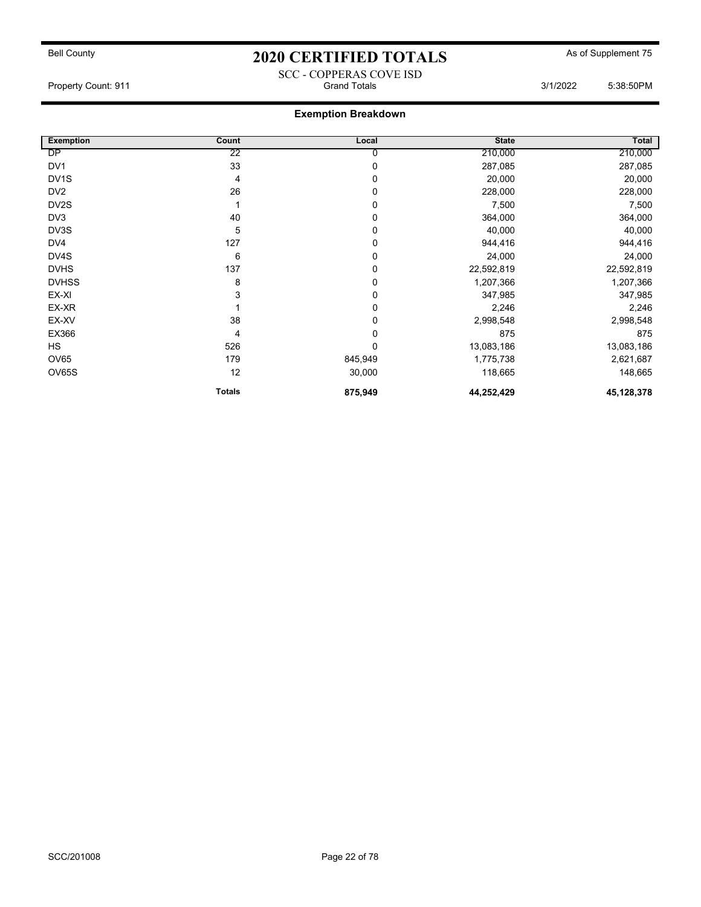### SCC - COPPERAS COVE ISD<br>Grand Totals Property Count: 911 **Count: 911** Grand Totals Grand Totals 3/1/2022 5:38:50PM

| <b>Exemption</b>  | Count         | Local   | <b>State</b> | Total        |
|-------------------|---------------|---------|--------------|--------------|
| DP                | 22            | 0       | 210,000      | 210,000      |
| DV <sub>1</sub>   | 33            | 0       | 287,085      | 287,085      |
| DV <sub>1</sub> S | 4             | 0       | 20,000       | 20,000       |
| DV <sub>2</sub>   | 26            | 0       | 228,000      | 228,000      |
| DV <sub>2</sub> S |               | 0       | 7,500        | 7,500        |
| DV <sub>3</sub>   | 40            | 0       | 364,000      | 364,000      |
| DV3S              | 5             | 0       | 40,000       | 40,000       |
| DV4               | 127           | 0       | 944,416      | 944,416      |
| DV4S              | 6             | 0       | 24,000       | 24,000       |
| <b>DVHS</b>       | 137           | 0       | 22,592,819   | 22,592,819   |
| <b>DVHSS</b>      | 8             | 0       | 1,207,366    | 1,207,366    |
| EX-XI             | 3             | 0       | 347,985      | 347,985      |
| EX-XR             |               | 0       | 2,246        | 2,246        |
| EX-XV             | 38            | 0       | 2,998,548    | 2,998,548    |
| EX366             | 4             | 0       | 875          | 875          |
| <b>HS</b>         | 526           | 0       | 13,083,186   | 13,083,186   |
| <b>OV65</b>       | 179           | 845,949 | 1,775,738    | 2,621,687    |
| <b>OV65S</b>      | 12            | 30,000  | 118,665      | 148,665      |
|                   | <b>Totals</b> | 875,949 | 44,252,429   | 45, 128, 378 |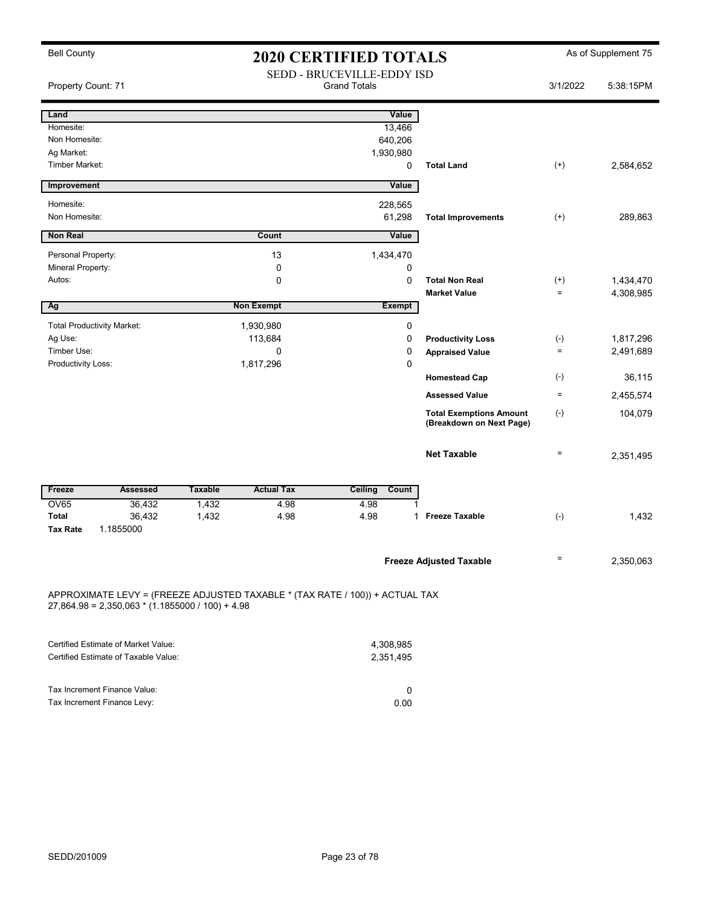| <b>Bell County</b>                                                                                                                 | <b>2020 CERTIFIED TOTALS</b>                             |                   |                        |               |                                                            |          | As of Supplement 75 |
|------------------------------------------------------------------------------------------------------------------------------------|----------------------------------------------------------|-------------------|------------------------|---------------|------------------------------------------------------------|----------|---------------------|
| Property Count: 71                                                                                                                 | <b>SEDD - BRUCEVILLE-EDDY ISD</b><br><b>Grand Totals</b> |                   |                        |               |                                                            |          | 5:38:15PM           |
| Land                                                                                                                               |                                                          |                   |                        | Value         |                                                            |          |                     |
| Homesite:                                                                                                                          |                                                          |                   |                        | 13,466        |                                                            |          |                     |
| Non Homesite:                                                                                                                      |                                                          |                   |                        | 640,206       |                                                            |          |                     |
| Ag Market:                                                                                                                         |                                                          |                   | 1,930,980              |               |                                                            |          |                     |
| Timber Market:                                                                                                                     |                                                          |                   |                        | 0             | <b>Total Land</b>                                          | $^{(+)}$ | 2,584,652           |
| Improvement                                                                                                                        |                                                          |                   |                        | Value         |                                                            |          |                     |
| Homesite:                                                                                                                          |                                                          |                   |                        | 228,565       |                                                            |          |                     |
| Non Homesite:                                                                                                                      |                                                          |                   |                        | 61,298        | <b>Total Improvements</b>                                  | $^{(+)}$ | 289,863             |
| Non Real                                                                                                                           |                                                          | Count             |                        | Value         |                                                            |          |                     |
| Personal Property:                                                                                                                 |                                                          | 13                | 1,434,470              |               |                                                            |          |                     |
| Mineral Property:                                                                                                                  |                                                          | 0                 |                        | 0             |                                                            |          |                     |
| Autos:                                                                                                                             |                                                          | $\mathbf 0$       |                        | $\mathbf 0$   | <b>Total Non Real</b>                                      | $^{(+)}$ | 1,434,470           |
|                                                                                                                                    |                                                          |                   |                        |               | <b>Market Value</b>                                        | $\equiv$ | 4,308,985           |
| Ag                                                                                                                                 |                                                          | <b>Non Exempt</b> |                        | <b>Exempt</b> |                                                            |          |                     |
| <b>Total Productivity Market:</b>                                                                                                  |                                                          | 1,930,980         |                        | 0             |                                                            |          |                     |
| Ag Use:                                                                                                                            |                                                          | 113,684           |                        | $\mathbf 0$   | <b>Productivity Loss</b>                                   | $(-)$    | 1,817,296           |
| Timber Use:                                                                                                                        |                                                          | $\Omega$          |                        | $\mathbf 0$   | <b>Appraised Value</b>                                     | $\equiv$ | 2,491,689           |
| Productivity Loss:                                                                                                                 |                                                          | 1,817,296         |                        | $\mathbf 0$   |                                                            |          |                     |
|                                                                                                                                    |                                                          |                   |                        |               | <b>Homestead Cap</b>                                       | $(-)$    | 36,115              |
|                                                                                                                                    |                                                          |                   |                        |               | <b>Assessed Value</b>                                      | $\equiv$ | 2,455,574           |
|                                                                                                                                    |                                                          |                   |                        |               | <b>Total Exemptions Amount</b><br>(Breakdown on Next Page) | $(-)$    | 104,079             |
|                                                                                                                                    |                                                          |                   |                        |               | <b>Net Taxable</b>                                         | $\equiv$ | 2,351,495           |
| <b>Assessed</b><br>Freeze                                                                                                          | <b>Taxable</b>                                           | <b>Actual Tax</b> | Ceiling                | Count         |                                                            |          |                     |
| <b>OV65</b><br>36,432                                                                                                              | 1,432                                                    | 4.98              | 4.98                   |               |                                                            |          |                     |
| Total<br>36,432<br><b>Tax Rate</b><br>1.1855000                                                                                    | 1,432                                                    | 4.98              | 4.98                   | $\mathbf 1$   | <b>Freeze Taxable</b>                                      | $(-)$    | 1,432               |
|                                                                                                                                    |                                                          |                   |                        |               | <b>Freeze Adjusted Taxable</b>                             | $\equiv$ | 2,350,063           |
| APPROXIMATE LEVY = (FREEZE ADJUSTED TAXABLE * (TAX RATE / 100)) + ACTUAL TAX<br>$27,864.98 = 2,350,063 * (1.1855000 / 100) + 4.98$ |                                                          |                   |                        |               |                                                            |          |                     |
| Certified Estimate of Market Value:<br>Certified Estimate of Taxable Value:                                                        |                                                          |                   | 4,308,985<br>2,351,495 |               |                                                            |          |                     |

| Tax Increment Finance Value: |      |
|------------------------------|------|
| Tax Increment Finance Levy:  | 0.00 |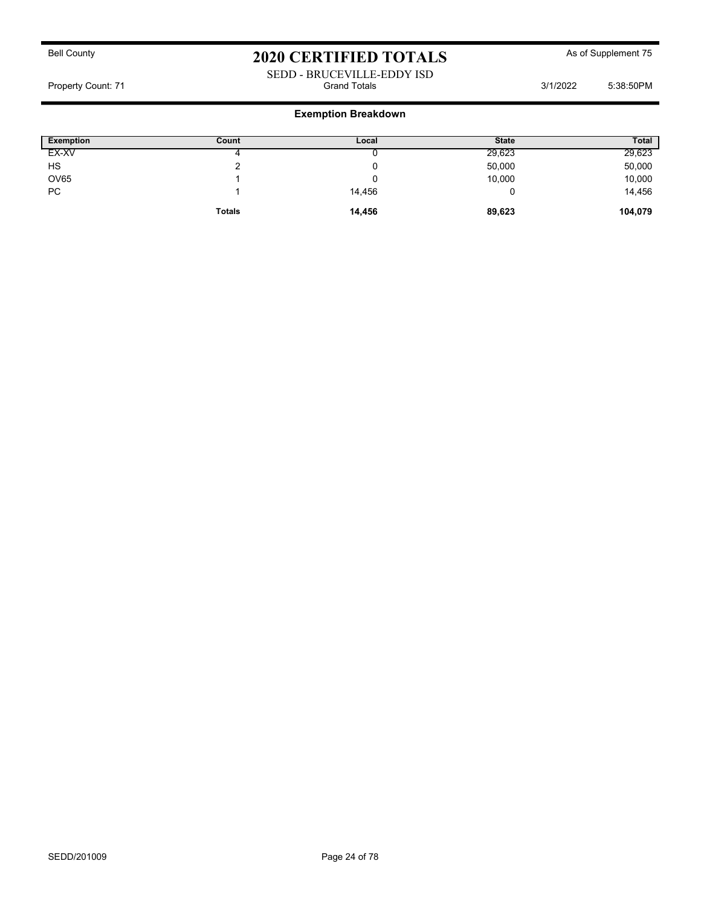#### SEDD - BRUCEVILLE-EDDY ISD Property Count: 71 **Count: 71** Grand Totals 3/1/2022 5:38:50PM

| Exemption   | Count         | Local  | <b>State</b> | <b>Total</b> |
|-------------|---------------|--------|--------------|--------------|
| EX-XV       | 4             |        | 29,623       | 29,623       |
| HS          |               |        | 50,000       | 50,000       |
| <b>OV65</b> |               |        | 10,000       | 10,000       |
| PC          |               | 14,456 |              | 14,456       |
|             | <b>Totals</b> | 14,456 | 89,623       | 104,079      |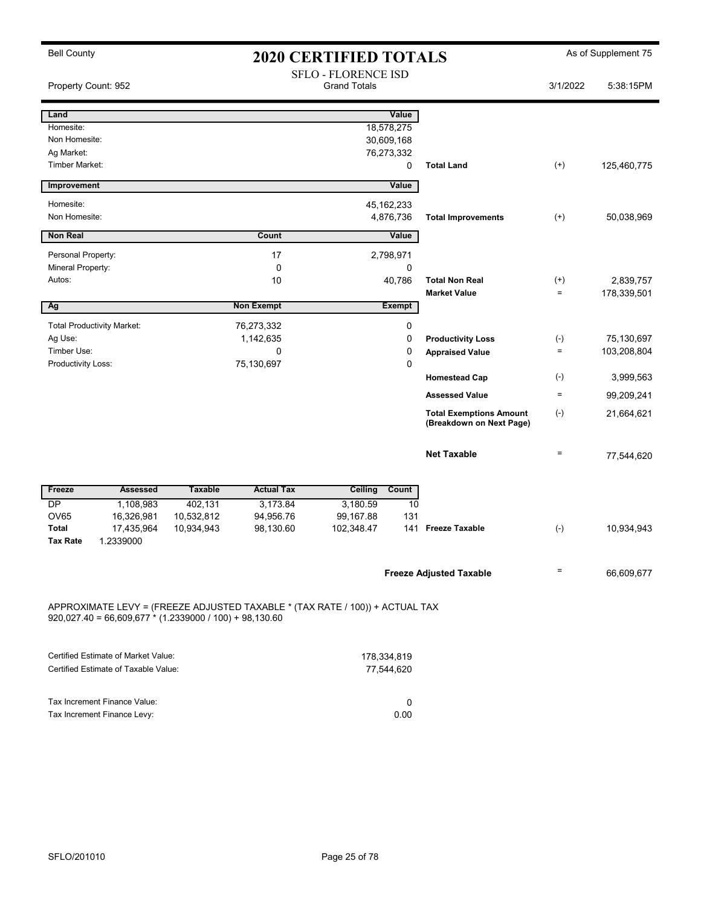| <b>Bell County</b>  |                                                                | <b>2020 CERTIFIED TOTALS</b> |                                                                              |                                                   |               |                                                            |          | As of Supplement 75 |
|---------------------|----------------------------------------------------------------|------------------------------|------------------------------------------------------------------------------|---------------------------------------------------|---------------|------------------------------------------------------------|----------|---------------------|
| Property Count: 952 |                                                                |                              |                                                                              | <b>SFLO - FLORENCE ISD</b><br><b>Grand Totals</b> |               |                                                            | 3/1/2022 | 5:38:15PM           |
| Land                |                                                                |                              |                                                                              |                                                   | Value         |                                                            |          |                     |
| Homesite:           |                                                                |                              |                                                                              |                                                   | 18,578,275    |                                                            |          |                     |
| Non Homesite:       |                                                                |                              |                                                                              |                                                   | 30,609,168    |                                                            |          |                     |
| Ag Market:          |                                                                |                              |                                                                              |                                                   | 76,273,332    |                                                            |          |                     |
| Timber Market:      |                                                                |                              |                                                                              |                                                   | 0             | <b>Total Land</b>                                          | $(+)$    | 125,460,775         |
| <b>Improvement</b>  |                                                                |                              |                                                                              |                                                   | Value         |                                                            |          |                     |
| Homesite:           |                                                                |                              |                                                                              |                                                   | 45, 162, 233  |                                                            |          |                     |
| Non Homesite:       |                                                                |                              |                                                                              |                                                   | 4,876,736     | <b>Total Improvements</b>                                  | $(+)$    | 50,038,969          |
| <b>Non Real</b>     |                                                                |                              | Count                                                                        |                                                   | Value         |                                                            |          |                     |
| Personal Property:  |                                                                |                              | 17                                                                           |                                                   | 2,798,971     |                                                            |          |                     |
| Mineral Property:   |                                                                |                              | $\mathbf 0$                                                                  |                                                   | 0             |                                                            |          |                     |
| Autos:              |                                                                |                              | 10                                                                           |                                                   | 40,786        | <b>Total Non Real</b>                                      | $^{(+)}$ | 2,839,757           |
|                     |                                                                |                              |                                                                              |                                                   |               | <b>Market Value</b>                                        | $\equiv$ | 178,339,501         |
| Ag                  |                                                                |                              | <b>Non Exempt</b>                                                            |                                                   | <b>Exempt</b> |                                                            |          |                     |
|                     | <b>Total Productivity Market:</b>                              |                              | 76,273,332                                                                   |                                                   | $\pmb{0}$     |                                                            |          |                     |
| Ag Use:             |                                                                |                              | 1,142,635                                                                    |                                                   | $\pmb{0}$     | <b>Productivity Loss</b>                                   | $(-)$    | 75,130,697          |
| Timber Use:         |                                                                |                              | 0                                                                            |                                                   | 0             | <b>Appraised Value</b>                                     | $\equiv$ | 103,208,804         |
| Productivity Loss:  |                                                                |                              | 75,130,697                                                                   |                                                   | 0             |                                                            |          |                     |
|                     |                                                                |                              |                                                                              |                                                   |               | <b>Homestead Cap</b>                                       | $(-)$    | 3,999,563           |
|                     |                                                                |                              |                                                                              |                                                   |               | <b>Assessed Value</b>                                      | $\equiv$ | 99,209,241          |
|                     |                                                                |                              |                                                                              |                                                   |               | <b>Total Exemptions Amount</b><br>(Breakdown on Next Page) | $(-)$    | 21,664,621          |
|                     |                                                                |                              |                                                                              |                                                   |               | <b>Net Taxable</b>                                         | $\equiv$ | 77,544,620          |
| Freeze              | <b>Assessed</b>                                                | <b>Taxable</b>               | <b>Actual Tax</b>                                                            | Ceiling                                           | Count         |                                                            |          |                     |
| <b>DP</b>           | 1,108,983                                                      | 402,131                      | 3,173.84                                                                     | 3,180.59                                          | 10            |                                                            |          |                     |
| <b>OV65</b>         | 16,326,981                                                     | 10,532,812                   | 94,956.76                                                                    | 99,167.88                                         | 131           |                                                            |          |                     |
| <b>Total</b>        | 17,435,964                                                     | 10,934,943                   | 98,130.60                                                                    | 102,348.47                                        | 141           | <b>Freeze Taxable</b>                                      | $(-)$    | 10,934,943          |
| <b>Tax Rate</b>     | 1.2339000                                                      |                              |                                                                              |                                                   |               |                                                            |          |                     |
|                     |                                                                |                              |                                                                              |                                                   |               | <b>Freeze Adjusted Taxable</b>                             | $\equiv$ | 66,609,677          |
|                     | $920,027.40 = 66,609,677 \times (1.2339000 / 100) + 98,130.60$ |                              | APPROXIMATE LEVY = (FREEZE ADJUSTED TAXABLE * (TAX RATE / 100)) + ACTUAL TAX |                                                   |               |                                                            |          |                     |

| Certified Estimate of Market Value:  | 178.334.819 |
|--------------------------------------|-------------|
| Certified Estimate of Taxable Value: | 77.544.620  |
|                                      |             |
| Tax Increment Finance Value:         |             |
| Tax Increment Finance Levy:          | 0.00        |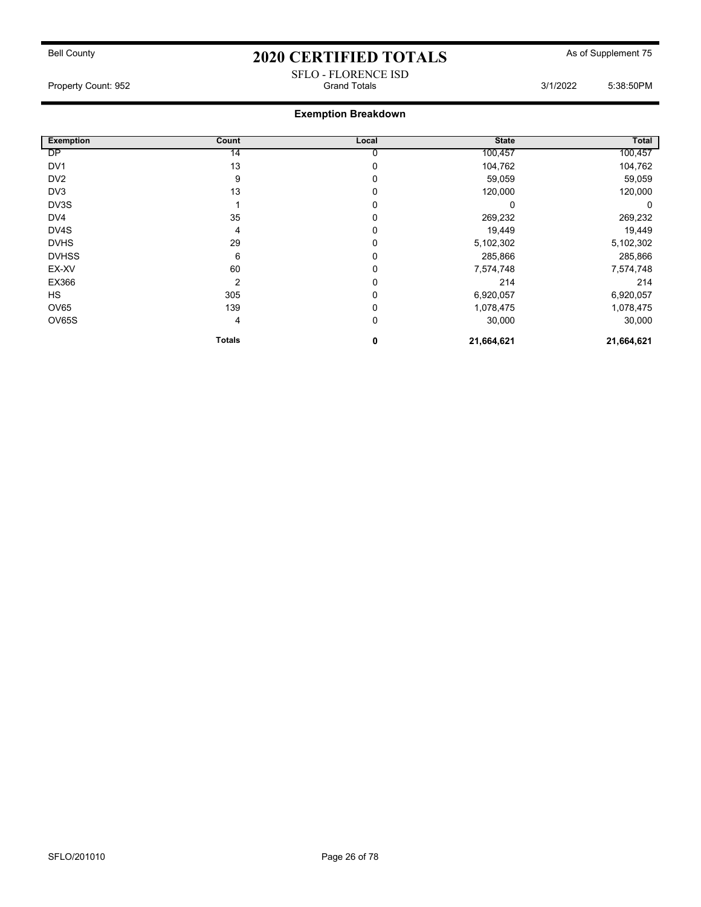#### SFLO - FLORENCE ISD Property Count: 952 Grand Totals 3/1/2022 5:38:50PM

| <b>Exemption</b> | Count         | Local | <b>State</b> | Total      |
|------------------|---------------|-------|--------------|------------|
| DP               | 14            |       | 100,457      | 100,457    |
| DV <sub>1</sub>  | 13            | 0     | 104,762      | 104,762    |
| DV <sub>2</sub>  | 9             | 0     | 59,059       | 59,059     |
| DV3              | 13            | 0     | 120,000      | 120,000    |
| DV3S             |               | 0     | 0            | 0          |
| DV4              | 35            | 0     | 269,232      | 269,232    |
| DV4S             | 4             | 0     | 19,449       | 19,449     |
| <b>DVHS</b>      | 29            |       | 5,102,302    | 5,102,302  |
| <b>DVHSS</b>     | 6             | 0     | 285,866      | 285,866    |
| EX-XV            | 60            | 0     | 7,574,748    | 7,574,748  |
| EX366            | 2             | 0     | 214          | 214        |
| <b>HS</b>        | 305           | 0     | 6,920,057    | 6,920,057  |
| OV65             | 139           | 0     | 1,078,475    | 1,078,475  |
| <b>OV65S</b>     | 4             | 0     | 30,000       | 30,000     |
|                  | <b>Totals</b> | 0     | 21,664,621   | 21,664,621 |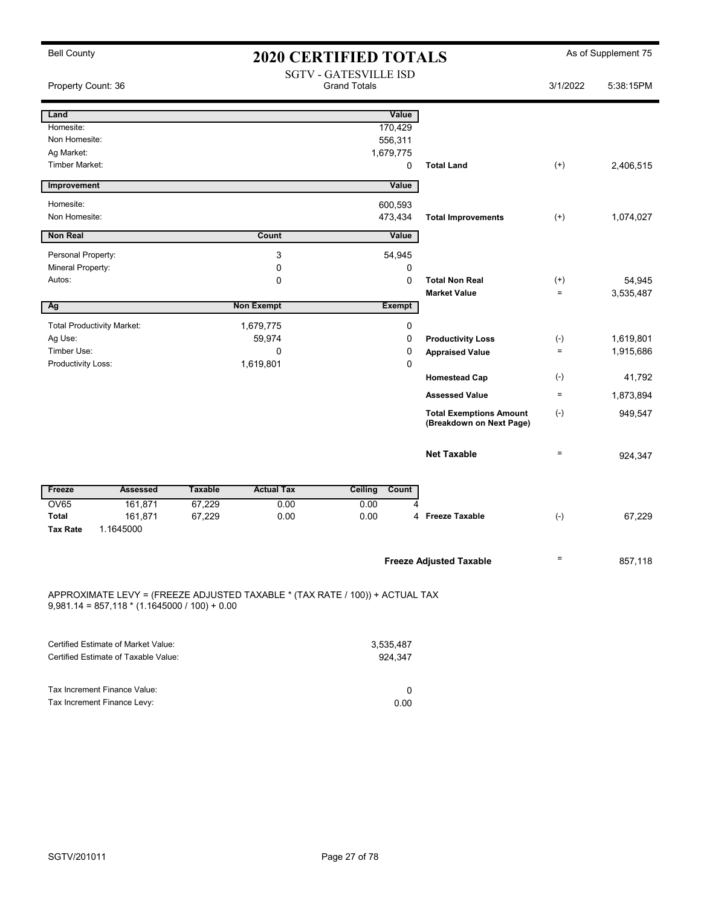| <b>Bell County</b>                                                                                                              | <b>2020 CERTIFIED TOTALS</b> |                                                     |                      |             |                                                            |                               | As of Supplement 75 |
|---------------------------------------------------------------------------------------------------------------------------------|------------------------------|-----------------------------------------------------|----------------------|-------------|------------------------------------------------------------|-------------------------------|---------------------|
| Property Count: 36                                                                                                              |                              | <b>SGTV - GATESVILLE ISD</b><br><b>Grand Totals</b> |                      |             |                                                            | 3/1/2022                      | 5:38:15PM           |
| Land                                                                                                                            |                              |                                                     | Value                |             |                                                            |                               |                     |
| Homesite:                                                                                                                       |                              |                                                     | 170,429              |             |                                                            |                               |                     |
| Non Homesite:                                                                                                                   |                              |                                                     | 556,311              |             |                                                            |                               |                     |
| Ag Market:                                                                                                                      |                              |                                                     | 1,679,775            |             |                                                            |                               |                     |
| <b>Timber Market:</b>                                                                                                           |                              |                                                     |                      | $\mathbf 0$ | <b>Total Land</b>                                          | $^{(+)}$                      | 2,406,515           |
| Improvement                                                                                                                     |                              |                                                     | Value                |             |                                                            |                               |                     |
| Homesite:                                                                                                                       |                              |                                                     | 600,593              |             |                                                            |                               |                     |
| Non Homesite:                                                                                                                   |                              |                                                     | 473,434              |             | <b>Total Improvements</b>                                  | $^{(+)}$                      | 1,074,027           |
| <b>Non Real</b>                                                                                                                 |                              | <b>Count</b>                                        | Value                |             |                                                            |                               |                     |
| Personal Property:                                                                                                              |                              | 3                                                   | 54,945               |             |                                                            |                               |                     |
| Mineral Property:                                                                                                               |                              | 0                                                   |                      | 0           |                                                            |                               |                     |
| Autos:                                                                                                                          |                              | 0                                                   |                      | $\mathbf 0$ | <b>Total Non Real</b><br><b>Market Value</b>               | $^{(+)}$<br>$\qquad \qquad =$ | 54,945<br>3,535,487 |
| Ag                                                                                                                              |                              | <b>Non Exempt</b>                                   | <b>Exempt</b>        |             |                                                            |                               |                     |
| <b>Total Productivity Market:</b>                                                                                               |                              | 1,679,775                                           |                      | 0           |                                                            |                               |                     |
| Ag Use:                                                                                                                         |                              | 59,974                                              |                      | 0           | <b>Productivity Loss</b>                                   | $(-)$                         | 1,619,801           |
| Timber Use:                                                                                                                     |                              | 0                                                   |                      | 0           | <b>Appraised Value</b>                                     | $\quad =$                     | 1,915,686           |
| Productivity Loss:                                                                                                              |                              | 1,619,801                                           |                      | 0           |                                                            |                               |                     |
|                                                                                                                                 |                              |                                                     |                      |             | <b>Homestead Cap</b>                                       | $(-)$                         | 41,792              |
|                                                                                                                                 |                              |                                                     |                      |             | <b>Assessed Value</b>                                      | $\quad \  \  =$               | 1,873,894           |
|                                                                                                                                 |                              |                                                     |                      |             | <b>Total Exemptions Amount</b><br>(Breakdown on Next Page) | $(-)$                         | 949,547             |
|                                                                                                                                 |                              |                                                     |                      |             | <b>Net Taxable</b>                                         | $=$                           | 924,347             |
| Freeze<br><b>Assessed</b>                                                                                                       | <b>Taxable</b>               | <b>Actual Tax</b>                                   | Count<br>Ceiling     |             |                                                            |                               |                     |
| OV65<br>161,871                                                                                                                 | 67,229                       | 0.00                                                | 0.00                 |             |                                                            |                               |                     |
| <b>Total</b><br>161,871<br><b>Tax Rate</b><br>1.1645000                                                                         | 67,229                       | 0.00                                                | 0.00                 | 4           | <b>Freeze Taxable</b>                                      | $(-)$                         | 67,229              |
|                                                                                                                                 |                              |                                                     |                      |             | <b>Freeze Adjusted Taxable</b>                             | $\qquad \qquad =$             | 857,118             |
| APPROXIMATE LEVY = (FREEZE ADJUSTED TAXABLE * (TAX RATE / 100)) + ACTUAL TAX<br>$9,981.14 = 857,118 * (1.1645000 / 100) + 0.00$ |                              |                                                     |                      |             |                                                            |                               |                     |
| <b>Certified Estimate of Market Value:</b><br>Certified Estimate of Taxable Value:                                              |                              |                                                     | 3,535,487<br>924,347 |             |                                                            |                               |                     |

| Tax Increment Finance Value: |      |
|------------------------------|------|
| Tax Increment Finance Levy:  | 0.00 |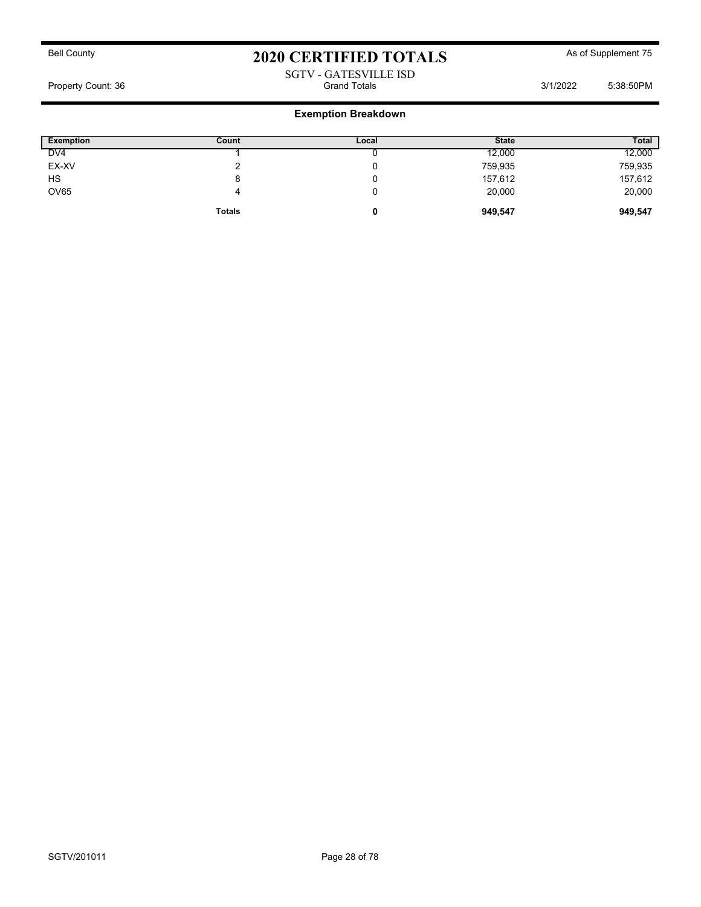### SGTV - GATESVILLE ISD Property Count: 36 Grand Totals 3/1/2022 5:38:50PM

| <b>Exemption</b> | Count         | Local | <b>State</b> | <b>Total</b> |
|------------------|---------------|-------|--------------|--------------|
| DV4              |               |       | 12,000       | 12,000       |
| EX-XV            |               |       | 759,935      | 759,935      |
| <b>HS</b>        | 8             |       | 157,612      | 157,612      |
| <b>OV65</b>      | 4             |       | 20,000       | 20,000       |
|                  | <b>Totals</b> | 0     | 949,547      | 949,547      |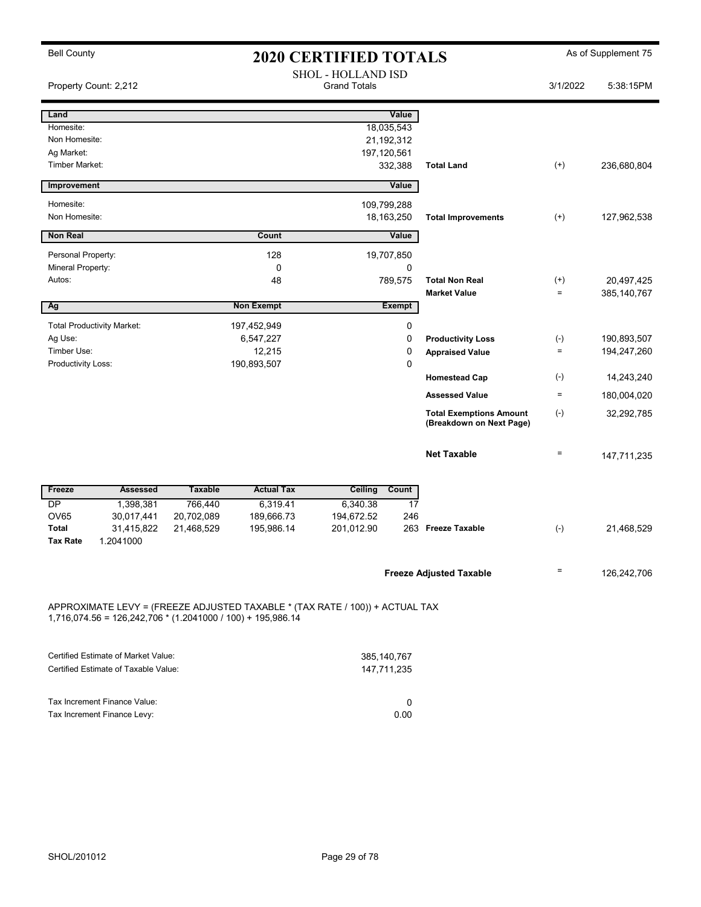| <b>Bell County</b>                | <b>2020 CERTIFIED TOTALS</b> |                                                               |                   |                                                                              |                                                            | As of Supplement 75 |             |
|-----------------------------------|------------------------------|---------------------------------------------------------------|-------------------|------------------------------------------------------------------------------|------------------------------------------------------------|---------------------|-------------|
|                                   |                              |                                                               |                   | <b>SHOL - HOLLAND ISD</b><br><b>Grand Totals</b>                             |                                                            | 3/1/2022            | 5:38:15PM   |
| Property Count: 2,212             |                              |                                                               |                   |                                                                              |                                                            |                     |             |
| Land                              |                              |                                                               |                   | Value                                                                        |                                                            |                     |             |
| Homesite:                         |                              |                                                               |                   | 18,035,543                                                                   |                                                            |                     |             |
| Non Homesite:                     |                              |                                                               |                   | 21,192,312                                                                   |                                                            |                     |             |
| Ag Market:                        |                              |                                                               |                   | 197,120,561                                                                  |                                                            |                     |             |
| Timber Market:                    |                              |                                                               |                   | 332,388                                                                      | <b>Total Land</b>                                          | $(+)$               | 236,680,804 |
| Improvement                       |                              |                                                               |                   | Value                                                                        |                                                            |                     |             |
| Homesite:                         |                              |                                                               |                   | 109,799,288                                                                  |                                                            |                     |             |
| Non Homesite:                     |                              |                                                               |                   | 18, 163, 250                                                                 | <b>Total Improvements</b>                                  | $(+)$               | 127,962,538 |
| <b>Non Real</b>                   |                              |                                                               | Count             | Value                                                                        |                                                            |                     |             |
| Personal Property:                |                              |                                                               | 128               | 19,707,850                                                                   |                                                            |                     |             |
| Mineral Property:                 |                              |                                                               | 0                 | 0                                                                            |                                                            |                     |             |
| Autos:                            |                              |                                                               | 48                | 789,575                                                                      | <b>Total Non Real</b>                                      | $^{(+)}$            | 20,497,425  |
|                                   |                              |                                                               |                   |                                                                              | <b>Market Value</b>                                        | $\qquad \qquad =$   | 385,140,767 |
| Ag                                |                              |                                                               | <b>Non Exempt</b> | <b>Exempt</b>                                                                |                                                            |                     |             |
| <b>Total Productivity Market:</b> |                              |                                                               | 197,452,949       | $\mathbf 0$                                                                  |                                                            |                     |             |
| Ag Use:                           |                              |                                                               | 6,547,227         | 0                                                                            | <b>Productivity Loss</b>                                   | $(-)$               | 190,893,507 |
| Timber Use:                       |                              |                                                               | 12,215            | 0                                                                            | <b>Appraised Value</b>                                     | $\equiv$            | 194,247,260 |
| Productivity Loss:                |                              |                                                               | 190,893,507       | $\pmb{0}$                                                                    | <b>Homestead Cap</b>                                       | $(-)$               | 14,243,240  |
|                                   |                              |                                                               |                   |                                                                              | <b>Assessed Value</b>                                      | $\equiv$            | 180,004,020 |
|                                   |                              |                                                               |                   |                                                                              | <b>Total Exemptions Amount</b><br>(Breakdown on Next Page) | $(\text{-})$        | 32,292,785  |
|                                   |                              |                                                               |                   |                                                                              | <b>Net Taxable</b>                                         | $\equiv$            | 147,711,235 |
| Freeze                            | <b>Assessed</b>              | <b>Taxable</b>                                                | <b>Actual Tax</b> | Ceiling<br>Count                                                             |                                                            |                     |             |
| <b>DP</b>                         | 1,398,381                    | 766,440                                                       | 6,319.41          | 6,340.38                                                                     | 17                                                         |                     |             |
| <b>OV65</b>                       | 30,017,441                   | 20,702,089                                                    | 189,666.73        | 194,672.52                                                                   | 246                                                        |                     |             |
| <b>Total</b>                      | 31,415,822                   | 21,468,529                                                    | 195,986.14        | 201,012.90                                                                   | 263 Freeze Taxable                                         | $(-)$               | 21,468,529  |
| <b>Tax Rate</b>                   | 1.2041000                    |                                                               |                   |                                                                              |                                                            |                     |             |
|                                   |                              |                                                               |                   |                                                                              | <b>Freeze Adjusted Taxable</b>                             | $\qquad \qquad =$   | 126,242,706 |
|                                   |                              | $1,716,074.56 = 126,242,706 * (1.2041000 / 100) + 195,986.14$ |                   | APPROXIMATE LEVY = (FREEZE ADJUSTED TAXABLE * (TAX RATE / 100)) + ACTUAL TAX |                                                            |                     |             |

| Certified Estimate of Market Value:  | 385.140.767 |
|--------------------------------------|-------------|
| Certified Estimate of Taxable Value: | 147.711.235 |
|                                      |             |
|                                      |             |
| Tax Increment Finance Value:         |             |
| Tax Increment Finance Levy:          | 0.00        |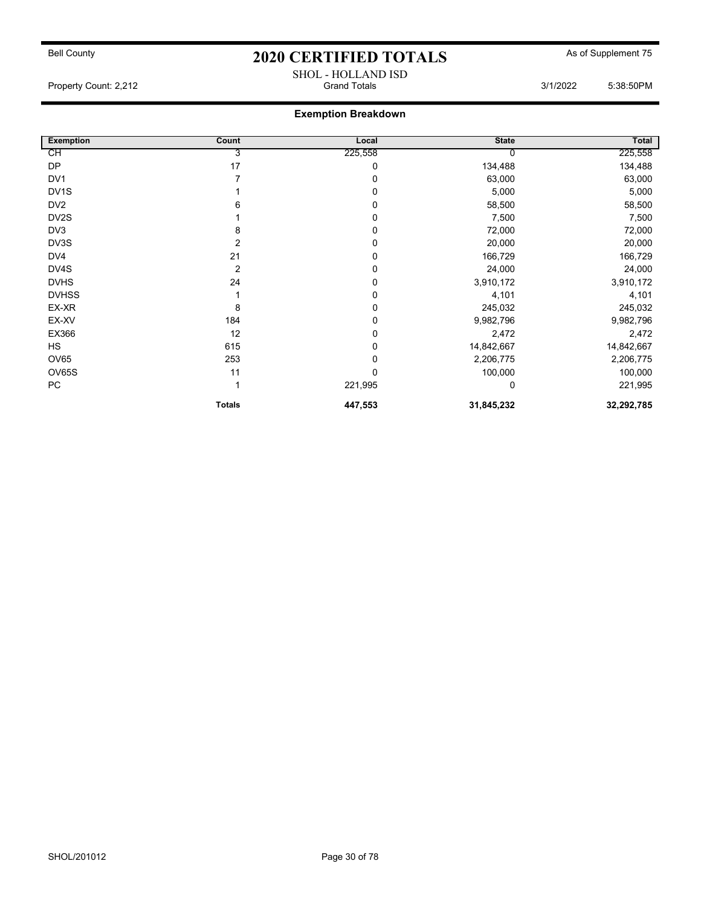Property Count: 2,212 Grand Totals 3/1/2022 5:38:50PM

### Exemption Breakdown

| <b>Exemption</b>  | Count          | Local   | <b>State</b> | Total      |
|-------------------|----------------|---------|--------------|------------|
| СH                | 3              | 225,558 |              | 225,558    |
| <b>DP</b>         | 17             | 0       | 134,488      | 134,488    |
| DV1               |                | 0       | 63,000       | 63,000     |
| DV <sub>1</sub> S |                | 0       | 5,000        | 5,000      |
| DV <sub>2</sub>   | 6              | 0       | 58,500       | 58,500     |
| DV <sub>2</sub> S |                | 0       | 7,500        | 7,500      |
| DV3               | 8              | 0       | 72,000       | 72,000     |
| DV3S              | 2              | 0       | 20,000       | 20,000     |
| DV4               | 21             | 0       | 166,729      | 166,729    |
| DV4S              | $\overline{2}$ | 0       | 24,000       | 24,000     |
| <b>DVHS</b>       | 24             | 0       | 3,910,172    | 3,910,172  |
| <b>DVHSS</b>      |                | 0       | 4,101        | 4,101      |
| EX-XR             | 8              | 0       | 245,032      | 245,032    |
| EX-XV             | 184            | 0       | 9,982,796    | 9,982,796  |
| EX366             | 12             | 0       | 2,472        | 2,472      |
| HS                | 615            | 0       | 14,842,667   | 14,842,667 |
| OV65              | 253            | 0       | 2,206,775    | 2,206,775  |
| OV65S             | 11             | 0       | 100,000      | 100,000    |
| PC                |                | 221,995 | 0            | 221,995    |
|                   | <b>Totals</b>  | 447,553 | 31,845,232   | 32,292,785 |

SHOL - HOLLAND ISD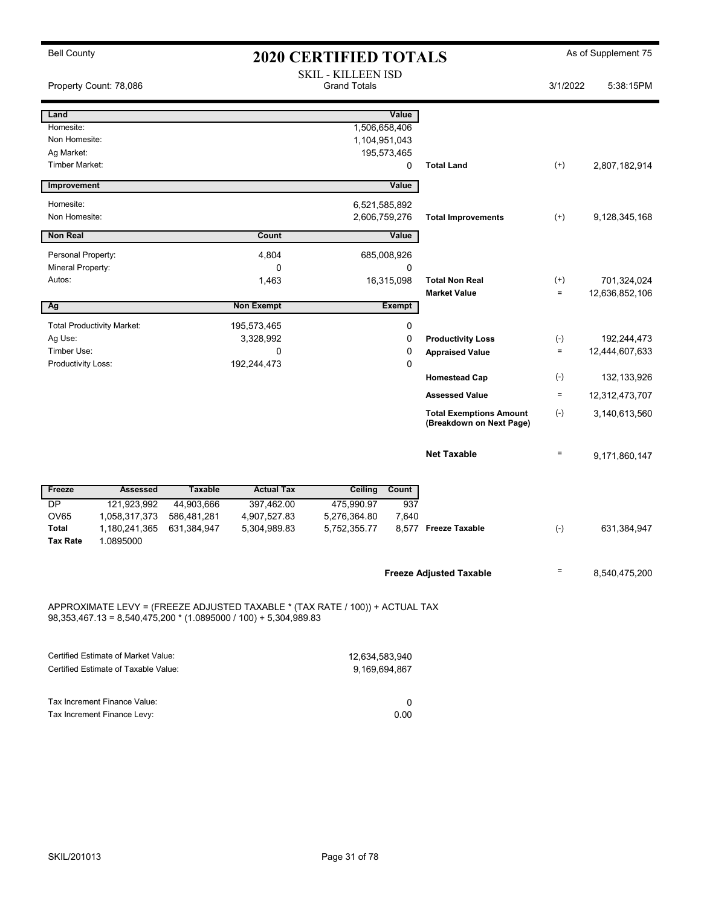| <b>Bell County</b><br><b>2020 CERTIFIED TOTALS</b> |                                     |                |                                                                    | As of Supplement 75                                                          |               |                                                            |                 |                |
|----------------------------------------------------|-------------------------------------|----------------|--------------------------------------------------------------------|------------------------------------------------------------------------------|---------------|------------------------------------------------------------|-----------------|----------------|
|                                                    | Property Count: 78,086              |                |                                                                    | <b>SKIL - KILLEEN ISD</b><br><b>Grand Totals</b>                             |               |                                                            | 3/1/2022        | 5:38:15PM      |
| Land                                               |                                     |                |                                                                    |                                                                              | Value         |                                                            |                 |                |
| Homesite:                                          |                                     |                |                                                                    | 1,506,658,406                                                                |               |                                                            |                 |                |
| Non Homesite:                                      |                                     |                |                                                                    | 1,104,951,043                                                                |               |                                                            |                 |                |
| Ag Market:                                         |                                     |                |                                                                    | 195,573,465                                                                  |               |                                                            |                 |                |
| Timber Market:                                     |                                     |                |                                                                    |                                                                              | 0             | <b>Total Land</b>                                          | $^{(+)}$        | 2,807,182,914  |
| Improvement                                        |                                     |                |                                                                    |                                                                              | Value         |                                                            |                 |                |
| Homesite:                                          |                                     |                |                                                                    | 6,521,585,892                                                                |               |                                                            |                 |                |
| Non Homesite:                                      |                                     |                |                                                                    | 2,606,759,276                                                                |               | <b>Total Improvements</b>                                  | $^{(+)}$        | 9,128,345,168  |
| <b>Non Real</b>                                    |                                     |                | Count                                                              |                                                                              | Value         |                                                            |                 |                |
| Personal Property:                                 |                                     |                | 4,804                                                              | 685,008,926                                                                  |               |                                                            |                 |                |
| Mineral Property:                                  |                                     |                | 0                                                                  |                                                                              | 0             |                                                            |                 |                |
| Autos:                                             |                                     |                | 1,463                                                              |                                                                              | 16,315,098    | <b>Total Non Real</b>                                      | $^{(+)}$        | 701,324,024    |
|                                                    |                                     |                |                                                                    |                                                                              |               | <b>Market Value</b>                                        | $\equiv$        | 12,636,852,106 |
| Ag                                                 |                                     |                | <b>Non Exempt</b>                                                  |                                                                              | <b>Exempt</b> |                                                            |                 |                |
|                                                    | <b>Total Productivity Market:</b>   |                | 195,573,465                                                        |                                                                              | 0             |                                                            |                 |                |
| Ag Use:                                            |                                     |                | 3,328,992                                                          |                                                                              | 0             | <b>Productivity Loss</b>                                   | $(-)$           | 192,244,473    |
| Timber Use:                                        |                                     |                | 0                                                                  |                                                                              | 0             | <b>Appraised Value</b>                                     | $\equiv$        | 12,444,607,633 |
| Productivity Loss:                                 |                                     |                | 192,244,473                                                        |                                                                              | $\mathbf 0$   |                                                            |                 |                |
|                                                    |                                     |                |                                                                    |                                                                              |               | <b>Homestead Cap</b>                                       | $(\text{-})$    | 132,133,926    |
|                                                    |                                     |                |                                                                    |                                                                              |               | <b>Assessed Value</b>                                      | $\equiv$        | 12,312,473,707 |
|                                                    |                                     |                |                                                                    |                                                                              |               | <b>Total Exemptions Amount</b><br>(Breakdown on Next Page) | $(-)$           | 3,140,613,560  |
|                                                    |                                     |                |                                                                    |                                                                              |               | <b>Net Taxable</b>                                         | $\quad \  \  =$ | 9,171,860,147  |
| Freeze                                             | <b>Assessed</b>                     | <b>Taxable</b> | <b>Actual Tax</b>                                                  | <b>Ceiling</b>                                                               | Count         |                                                            |                 |                |
| DP                                                 | 121,923,992                         | 44,903,666     | 397,462.00                                                         | 475,990.97                                                                   | 937           |                                                            |                 |                |
| <b>OV65</b>                                        | 1,058,317,373                       | 586,481,281    | 4,907,527.83                                                       | 5,276,364.80                                                                 | 7,640         |                                                            |                 |                |
| <b>Total</b>                                       | 1,180,241,365                       | 631,384,947    | 5,304,989.83                                                       | 5,752,355.77                                                                 |               | 8,577 Freeze Taxable                                       | $(-)$           | 631,384,947    |
| <b>Tax Rate</b>                                    | 1.0895000                           |                |                                                                    |                                                                              |               |                                                            |                 |                |
|                                                    |                                     |                |                                                                    |                                                                              |               |                                                            |                 |                |
|                                                    |                                     |                |                                                                    |                                                                              |               | <b>Freeze Adjusted Taxable</b>                             | Ξ               | 8,540,475,200  |
|                                                    |                                     |                | $98,353,467.13 = 8,540,475,200 * (1.0895000 / 100) + 5,304,989.83$ | APPROXIMATE LEVY = (FREEZE ADJUSTED TAXABLE * (TAX RATE / 100)) + ACTUAL TAX |               |                                                            |                 |                |
|                                                    | Certified Estimate of Market Value: |                |                                                                    | 12,634,583,940                                                               |               |                                                            |                 |                |

| Certified Estimate of Taxable Value: | 9.169.694.867 |
|--------------------------------------|---------------|
|                                      |               |
| Tax Increment Finance Value:         |               |
| Tax Increment Finance Levy:          | 0.00          |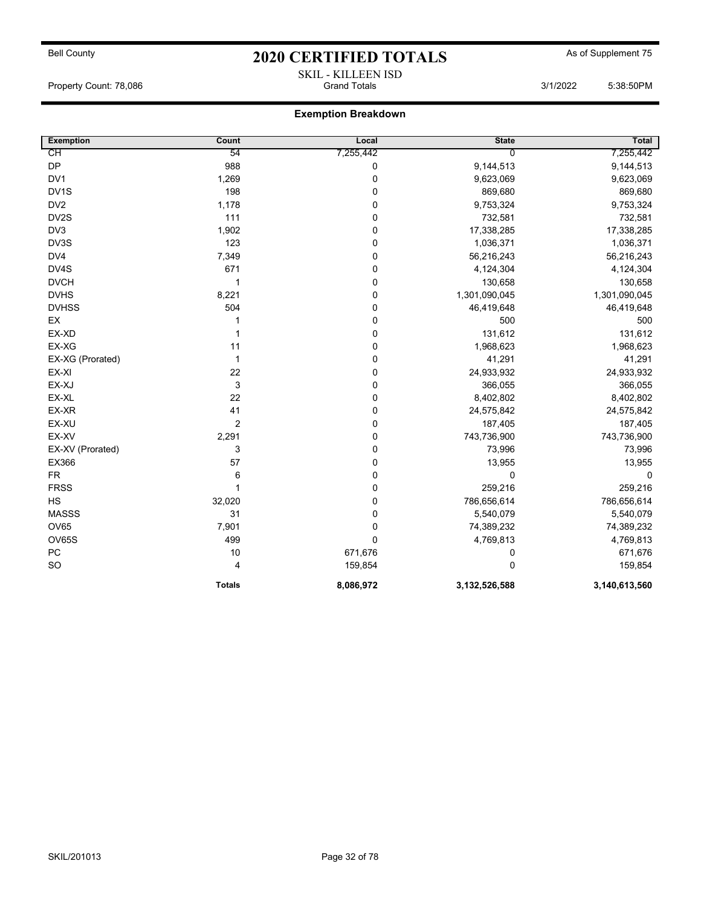## Bell County **As of Supplement 75** 2020 CERTIFIED TOTALS As of Supplement 75 SKIL - KILLEEN ISD

Property Count: 78,086 **Grand Totals 3/1/2022** 5:38:50PM

| <b>Exemption</b>  | Count         | Local       | <b>State</b>   | Total         |
|-------------------|---------------|-------------|----------------|---------------|
| CН                | 54            | 7,255,442   | $\overline{0}$ | 7,255,442     |
| DP                | 988           | $\pmb{0}$   | 9,144,513      | 9,144,513     |
| DV <sub>1</sub>   | 1,269         | 0           | 9,623,069      | 9,623,069     |
| DV <sub>1</sub> S | 198           | $\mathbf 0$ | 869,680        | 869,680       |
| DV <sub>2</sub>   | 1,178         | 0           | 9,753,324      | 9,753,324     |
| DV2S              | 111           | 0           | 732,581        | 732,581       |
| DV3               | 1,902         | $\pmb{0}$   | 17,338,285     | 17,338,285    |
| DV3S              | 123           | 0           | 1,036,371      | 1,036,371     |
| DV4               | 7,349         | 0           | 56,216,243     | 56,216,243    |
| DV4S              | 671           | 0           | 4,124,304      | 4,124,304     |
| <b>DVCH</b>       | $\mathbf 1$   | $\pmb{0}$   | 130,658        | 130,658       |
| <b>DVHS</b>       | 8,221         | $\mathbf 0$ | 1,301,090,045  | 1,301,090,045 |
| <b>DVHSS</b>      | 504           | 0           | 46,419,648     | 46,419,648    |
| EX                |               | $\mathbf 0$ | 500            | 500           |
| EX-XD             | 1             | $\pmb{0}$   | 131,612        | 131,612       |
| EX-XG             | 11            | $\pmb{0}$   | 1,968,623      | 1,968,623     |
| EX-XG (Prorated)  | 1             | 0           | 41,291         | 41,291        |
| EX-XI             | 22            | $\pmb{0}$   | 24,933,932     | 24,933,932    |
| EX-XJ             | $\mathsf 3$   | 0           | 366,055        | 366,055       |
| EX-XL             | 22            | $\pmb{0}$   | 8,402,802      | 8,402,802     |
| EX-XR             | 41            | $\mathbf 0$ | 24,575,842     | 24,575,842    |
| EX-XU             | 2             | $\mathbf 0$ | 187,405        | 187,405       |
| EX-XV             | 2,291         | $\mathbf 0$ | 743,736,900    | 743,736,900   |
| EX-XV (Prorated)  | 3             | $\pmb{0}$   | 73,996         | 73,996        |
| EX366             | 57            | $\pmb{0}$   | 13,955         | 13,955        |
| <b>FR</b>         | 6             | 0           | 0              | $\mathbf 0$   |
| <b>FRSS</b>       | $\mathbf{1}$  | $\mathbf 0$ | 259,216        | 259,216       |
| <b>HS</b>         | 32,020        | 0           | 786,656,614    | 786,656,614   |
| <b>MASSS</b>      | 31            | $\pmb{0}$   | 5,540,079      | 5,540,079     |
| <b>OV65</b>       | 7,901         | $\mathbf 0$ | 74,389,232     | 74,389,232    |
| <b>OV65S</b>      | 499           | $\pmb{0}$   | 4,769,813      | 4,769,813     |
| PC                | 10            | 671,676     | $\mathbf 0$    | 671,676       |
| SO                | 4             | 159,854     | $\Omega$       | 159,854       |
|                   | <b>Totals</b> | 8,086,972   | 3,132,526,588  | 3,140,613,560 |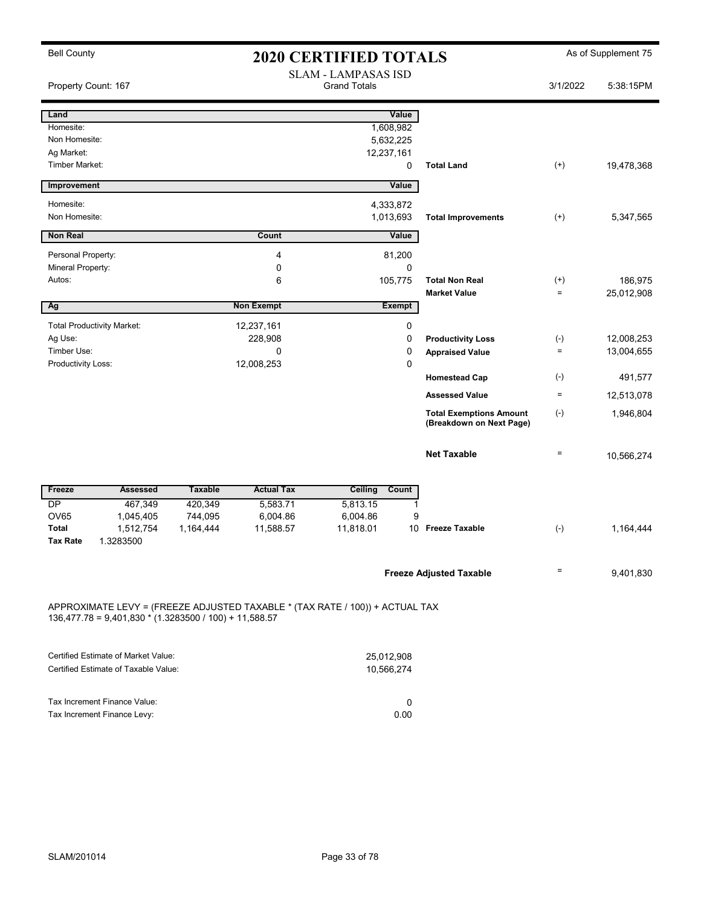| <b>Bell County</b><br><b>2020 CERTIFIED TOTALS</b>       |                                                                              |                      |                                                   |                            |                                | As of Supplement 75 |            |  |
|----------------------------------------------------------|------------------------------------------------------------------------------|----------------------|---------------------------------------------------|----------------------------|--------------------------------|---------------------|------------|--|
| Property Count: 167                                      |                                                                              |                      | <b>SLAM - LAMPASAS ISD</b><br><b>Grand Totals</b> |                            |                                | 3/1/2022            | 5:38:15PM  |  |
| Land                                                     |                                                                              |                      |                                                   | Value                      |                                |                     |            |  |
| Homesite:                                                |                                                                              |                      |                                                   | 1,608,982                  |                                |                     |            |  |
| Non Homesite:                                            |                                                                              |                      |                                                   | 5,632,225                  |                                |                     |            |  |
| Ag Market:                                               |                                                                              |                      |                                                   | 12,237,161                 |                                |                     |            |  |
| Timber Market:                                           |                                                                              |                      |                                                   | $\mathbf 0$                | <b>Total Land</b>              | $(+)$               | 19,478,368 |  |
| Improvement                                              |                                                                              |                      |                                                   | Value                      |                                |                     |            |  |
| Homesite:                                                |                                                                              |                      |                                                   | 4,333,872                  |                                |                     |            |  |
| Non Homesite:                                            |                                                                              |                      |                                                   | 1,013,693                  | <b>Total Improvements</b>      | $(+)$               | 5,347,565  |  |
| <b>Non Real</b>                                          |                                                                              |                      | Count                                             | Value                      |                                |                     |            |  |
| Personal Property:                                       |                                                                              |                      | 4                                                 | 81,200                     |                                |                     |            |  |
| Mineral Property:                                        |                                                                              |                      | 0                                                 | 0                          |                                |                     |            |  |
| Autos:                                                   |                                                                              |                      | 6                                                 | 105,775                    | <b>Total Non Real</b>          | $^{(+)}$            | 186,975    |  |
|                                                          |                                                                              |                      |                                                   |                            | <b>Market Value</b>            | $=$                 | 25,012,908 |  |
| Ag                                                       |                                                                              |                      | <b>Non Exempt</b>                                 | <b>Exempt</b>              |                                |                     |            |  |
|                                                          | <b>Total Productivity Market:</b>                                            |                      | 12,237,161                                        | $\mathbf 0$                |                                |                     |            |  |
| Ag Use:                                                  |                                                                              |                      | 228,908                                           | $\mathbf 0$                | <b>Productivity Loss</b>       | $(\cdot)$           | 12,008,253 |  |
| Timber Use:                                              |                                                                              |                      | 0                                                 | $\mathbf 0$                | <b>Appraised Value</b>         | $\qquad \qquad =$   | 13,004,655 |  |
| Productivity Loss:                                       |                                                                              |                      | 12,008,253                                        | $\mathbf{0}$               | <b>Homestead Cap</b>           | $(-)$               | 491,577    |  |
|                                                          |                                                                              |                      |                                                   |                            | <b>Assessed Value</b>          | $\equiv$            | 12,513,078 |  |
|                                                          |                                                                              |                      |                                                   |                            | <b>Total Exemptions Amount</b> | $(-)$               | 1,946,804  |  |
|                                                          |                                                                              |                      |                                                   |                            | (Breakdown on Next Page)       |                     |            |  |
|                                                          |                                                                              |                      |                                                   |                            | <b>Net Taxable</b>             | $\qquad \qquad =$   | 10,566,274 |  |
|                                                          |                                                                              |                      |                                                   |                            |                                |                     |            |  |
| Freeze                                                   | <b>Assessed</b>                                                              | <b>Taxable</b>       | <b>Actual Tax</b>                                 | Ceiling<br>Count           |                                |                     |            |  |
| DP                                                       | 467,349                                                                      | 420,349              | 5,583.71                                          | 5,813.15<br>1              |                                |                     |            |  |
| <b>OV65</b><br><b>Total</b>                              | 1,045,405<br>1,512,754                                                       | 744,095<br>1,164,444 | 6,004.86<br>11,588.57                             | 6,004.86<br>9<br>11,818.01 | 10 Freeze Taxable              | $(-)$               | 1,164,444  |  |
| <b>Tax Rate</b>                                          | 1.3283500                                                                    |                      |                                                   |                            |                                |                     |            |  |
|                                                          |                                                                              |                      |                                                   |                            |                                |                     |            |  |
|                                                          |                                                                              |                      |                                                   |                            | <b>Freeze Adjusted Taxable</b> | $\qquad \qquad =$   | 9,401,830  |  |
|                                                          |                                                                              |                      |                                                   |                            |                                |                     |            |  |
|                                                          | APPROXIMATE LEVY = (FREEZE ADJUSTED TAXABLE * (TAX RATE / 100)) + ACTUAL TAX |                      |                                                   |                            |                                |                     |            |  |
| $136,477.78 = 9,401,830 * (1.3283500 / 100) + 11,588.57$ |                                                                              |                      |                                                   |                            |                                |                     |            |  |

| Certified Estimate of Market Value:  | 25.012.908 |
|--------------------------------------|------------|
| Certified Estimate of Taxable Value: | 10.566.274 |
|                                      |            |
|                                      |            |
| Tax Increment Finance Value:         |            |
| Tax Increment Finance Levy:          | 0.00       |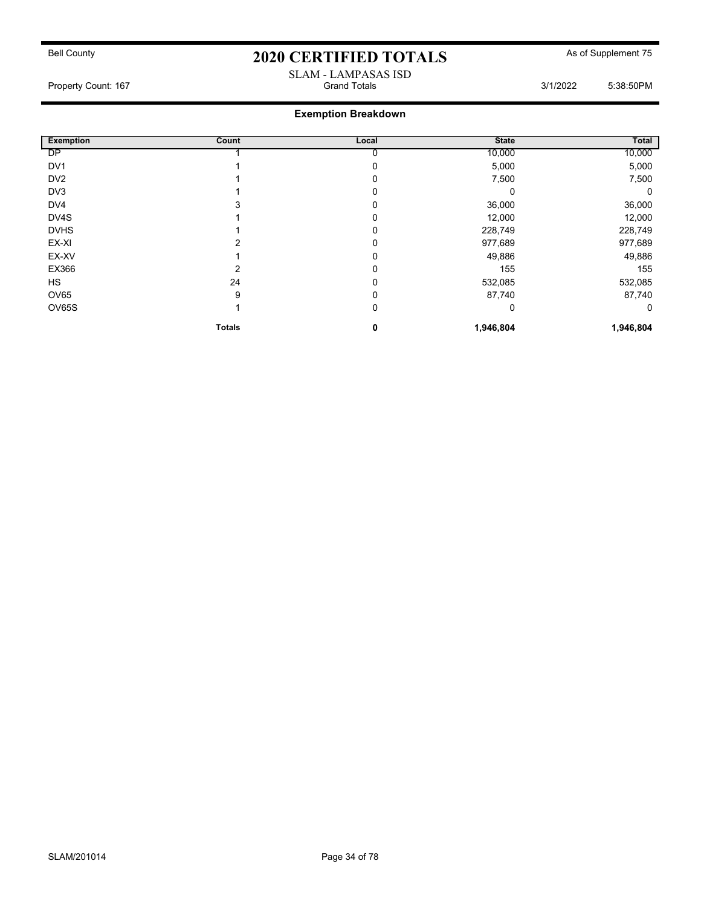#### SLAM - LAMPASAS ISD Property Count: 167 **Count: 167** Grand Totals 3/1/2022 5:38:50PM

| <b>Exemption</b> | Count         | Local | <b>State</b> | Total     |
|------------------|---------------|-------|--------------|-----------|
| DP               |               |       | 10,000       | 10,000    |
| DV <sub>1</sub>  |               |       | 5,000        | 5,000     |
| DV <sub>2</sub>  |               |       | 7,500        | 7,500     |
| DV3              |               |       |              | 0         |
| DV4              |               |       | 36,000       | 36,000    |
| DV4S             |               |       | 12,000       | 12,000    |
| <b>DVHS</b>      |               |       | 228,749      | 228,749   |
| EX-XI            |               | 0     | 977,689      | 977,689   |
| EX-XV            |               | 0     | 49,886       | 49,886    |
| EX366            | 2             |       | 155          | 155       |
| <b>HS</b>        | 24            |       | 532,085      | 532,085   |
| OV65             | 9             | 0     | 87,740       | 87,740    |
| OV65S            |               | 0     | 0            | 0         |
|                  | <b>Totals</b> | 0     | 1,946,804    | 1,946,804 |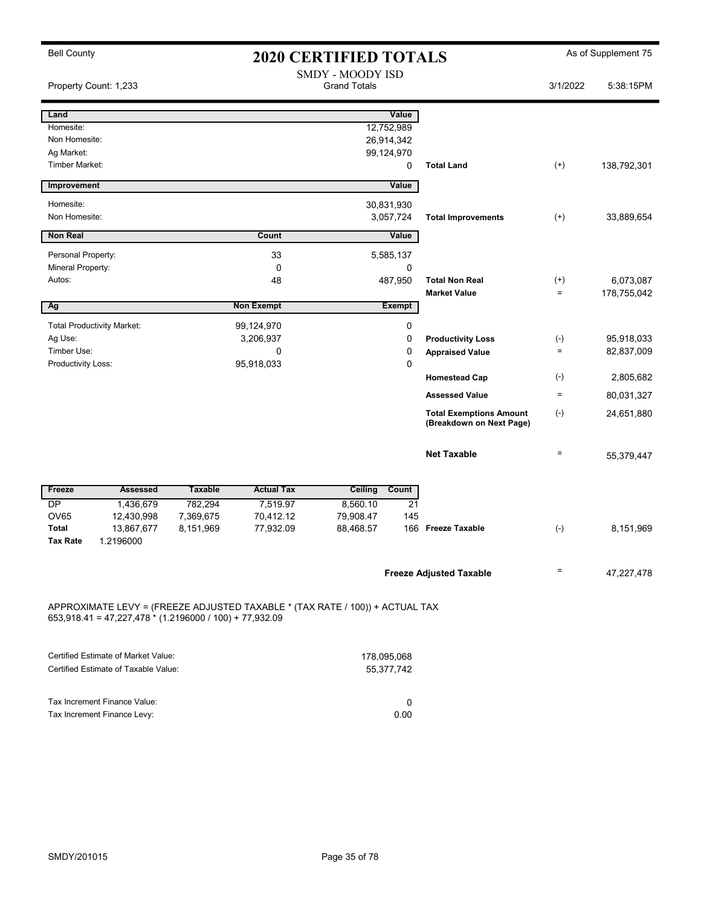| <b>Bell County</b>              |                                                           |                                         |                                                                              | <b>2020 CERTIFIED TOTALS</b> |                 |                                                            | As of Supplement 75 |             |  |
|---------------------------------|-----------------------------------------------------------|-----------------------------------------|------------------------------------------------------------------------------|------------------------------|-----------------|------------------------------------------------------------|---------------------|-------------|--|
| Property Count: 1,233           |                                                           | SMDY - MOODY ISD<br><b>Grand Totals</b> |                                                                              |                              | 3/1/2022        | 5:38:15PM                                                  |                     |             |  |
| Land                            |                                                           |                                         |                                                                              |                              | Value           |                                                            |                     |             |  |
| Homesite:                       |                                                           |                                         |                                                                              |                              | 12,752,989      |                                                            |                     |             |  |
| Non Homesite:                   |                                                           |                                         |                                                                              |                              | 26,914,342      |                                                            |                     |             |  |
| Ag Market:                      |                                                           |                                         |                                                                              |                              | 99,124,970      |                                                            |                     |             |  |
| <b>Timber Market:</b>           |                                                           |                                         |                                                                              |                              | 0               | <b>Total Land</b>                                          | $(+)$               | 138,792,301 |  |
| Improvement                     |                                                           |                                         |                                                                              |                              | Value           |                                                            |                     |             |  |
| Homesite:                       |                                                           |                                         |                                                                              |                              | 30,831,930      |                                                            |                     |             |  |
| Non Homesite:                   |                                                           |                                         |                                                                              |                              | 3,057,724       | <b>Total Improvements</b>                                  | $^{(+)}$            | 33,889,654  |  |
| <b>Non Real</b>                 |                                                           |                                         | Count                                                                        |                              | Value           |                                                            |                     |             |  |
| Personal Property:              |                                                           |                                         | 33                                                                           |                              | 5,585,137       |                                                            |                     |             |  |
| Mineral Property:               |                                                           |                                         | $\mathbf 0$                                                                  |                              | 0               |                                                            |                     |             |  |
| Autos:                          |                                                           |                                         | 48                                                                           |                              | 487,950         | <b>Total Non Real</b>                                      | $^{(+)}$            | 6,073,087   |  |
|                                 |                                                           |                                         |                                                                              |                              |                 | <b>Market Value</b>                                        | $\equiv$            | 178,755,042 |  |
| Ag                              |                                                           |                                         | <b>Non Exempt</b>                                                            |                              | <b>Exempt</b>   |                                                            |                     |             |  |
|                                 | <b>Total Productivity Market:</b>                         |                                         | 99,124,970                                                                   |                              | 0               |                                                            |                     |             |  |
| Ag Use:                         |                                                           |                                         | 3,206,937                                                                    |                              | $\pmb{0}$       | <b>Productivity Loss</b>                                   | $(-)$               | 95,918,033  |  |
| Timber Use:                     |                                                           |                                         | $\mathbf 0$                                                                  |                              | $\mathbf 0$     | <b>Appraised Value</b>                                     | $\equiv$            | 82,837,009  |  |
| Productivity Loss:              |                                                           |                                         | 95,918,033                                                                   |                              | $\pmb{0}$       |                                                            |                     |             |  |
|                                 |                                                           |                                         |                                                                              |                              |                 | <b>Homestead Cap</b>                                       | $(\text{-})$        | 2,805,682   |  |
|                                 |                                                           |                                         |                                                                              |                              |                 | <b>Assessed Value</b>                                      | $\equiv$            | 80,031,327  |  |
|                                 |                                                           |                                         |                                                                              |                              |                 | <b>Total Exemptions Amount</b><br>(Breakdown on Next Page) | $(-)$               | 24,651,880  |  |
|                                 |                                                           |                                         |                                                                              |                              |                 | <b>Net Taxable</b>                                         | $\qquad \qquad =$   | 55,379,447  |  |
| Freeze                          | Assessed                                                  | <b>Taxable</b>                          | <b>Actual Tax</b>                                                            | Ceiling                      | Count           |                                                            |                     |             |  |
| $\overline{DP}$                 | 1,436,679                                                 | 782,294                                 | 7,519.97                                                                     | 8,560.10                     | $\overline{21}$ |                                                            |                     |             |  |
| <b>OV65</b>                     | 12,430,998                                                | 7,369,675                               | 70,412.12                                                                    | 79,908.47                    | 145             |                                                            |                     |             |  |
| <b>Total</b><br><b>Tax Rate</b> | 13,867,677<br>1.2196000                                   | 8,151,969                               | 77,932.09                                                                    | 88,468.57                    |                 | 166 Freeze Taxable                                         | $(-)$               | 8,151,969   |  |
|                                 |                                                           |                                         |                                                                              |                              |                 | <b>Freeze Adjusted Taxable</b>                             | Ξ                   | 47,227,478  |  |
|                                 | $653,918.41 = 47,227,478 * (1.2196000 / 100) + 77,932.09$ |                                         | APPROXIMATE LEVY = (FREEZE ADJUSTED TAXABLE * (TAX RATE / 100)) + ACTUAL TAX |                              |                 |                                                            |                     |             |  |

| Certified Estimate of Market Value:  | 178.095.068 |
|--------------------------------------|-------------|
| Certified Estimate of Taxable Value: | 55.377.742  |
|                                      |             |
| Tax Increment Finance Value:         |             |
| Tax Increment Finance Levy:          | 0.00        |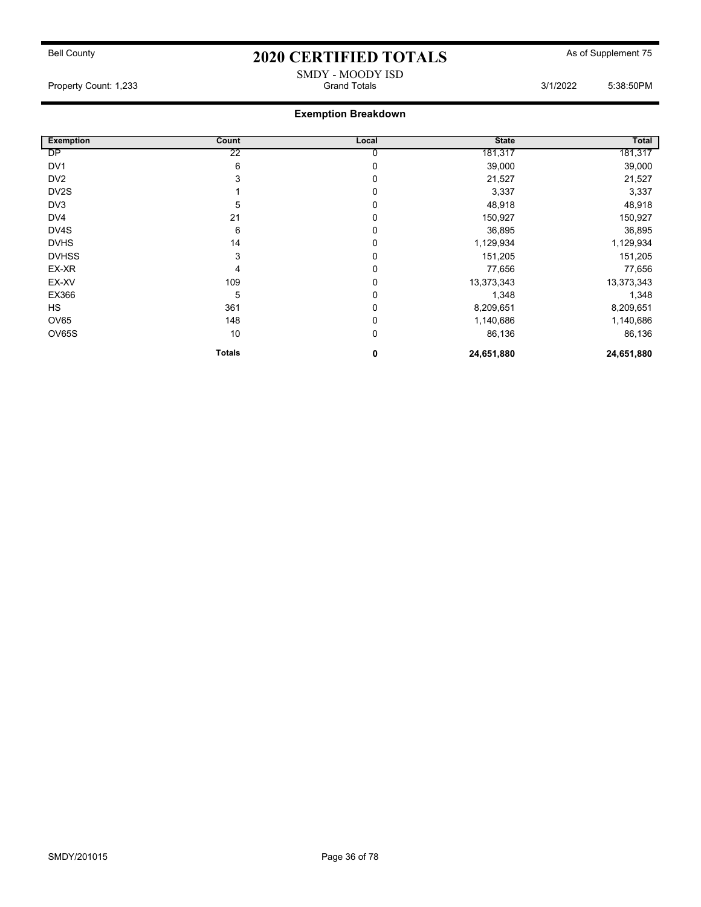SMDY - MOODY ISD Property Count: 1,233 **Crambuse 2018** Grand Totals 3/1/2022 5:38:50PM

| <b>Exemption</b>  | Count         | Local       | <b>State</b> | Total      |
|-------------------|---------------|-------------|--------------|------------|
| <b>DP</b>         | 22            | 0           | 181,317      | 181,317    |
| DV <sub>1</sub>   | 6             | 0           | 39,000       | 39,000     |
| DV <sub>2</sub>   | 3             | 0           | 21,527       | 21,527     |
| DV <sub>2</sub> S |               | 0           | 3,337        | 3,337      |
| DV3               | 5             | 0           | 48,918       | 48,918     |
| DV4               | 21            | 0           | 150,927      | 150,927    |
| DV4S              | 6             | 0           | 36,895       | 36,895     |
| <b>DVHS</b>       | 14            | 0           | 1,129,934    | 1,129,934  |
| <b>DVHSS</b>      | 3             | 0           | 151,205      | 151,205    |
| EX-XR             | 4             | 0           | 77,656       | 77,656     |
| EX-XV             | 109           | 0           | 13,373,343   | 13,373,343 |
| EX366             | 5             | $\mathbf 0$ | 1,348        | 1,348      |
| <b>HS</b>         | 361           | $\mathbf 0$ | 8,209,651    | 8,209,651  |
| OV65              | 148           | 0           | 1,140,686    | 1,140,686  |
| OV65S             | 10            | 0           | 86,136       | 86,136     |
|                   | <b>Totals</b> | 0           | 24,651,880   | 24,651,880 |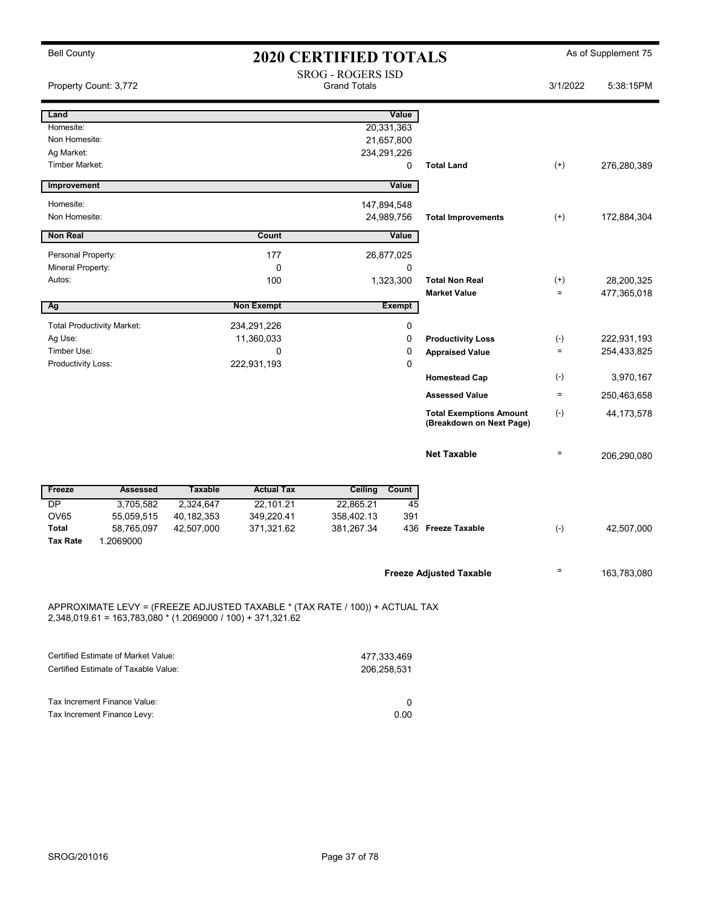| <b>Bell County</b>                                                                                                                            | <b>2020 CERTIFIED TOTALS</b> |                   |                                                 | As of Supplement 75 |                                                            |              |              |
|-----------------------------------------------------------------------------------------------------------------------------------------------|------------------------------|-------------------|-------------------------------------------------|---------------------|------------------------------------------------------------|--------------|--------------|
| Property Count: 3,772                                                                                                                         |                              |                   | <b>SROG - ROGERS ISD</b><br><b>Grand Totals</b> |                     |                                                            | 3/1/2022     | 5:38:15PM    |
| Land                                                                                                                                          |                              |                   |                                                 | Value               |                                                            |              |              |
| Homesite:                                                                                                                                     |                              |                   |                                                 | 20,331,363          |                                                            |              |              |
| Non Homesite:                                                                                                                                 |                              |                   |                                                 | 21,657,800          |                                                            |              |              |
| Ag Market:                                                                                                                                    |                              |                   |                                                 | 234,291,226         |                                                            |              |              |
| <b>Timber Market:</b>                                                                                                                         |                              |                   |                                                 | 0                   | <b>Total Land</b>                                          | $^{(+)}$     | 276,280,389  |
| Improvement                                                                                                                                   |                              |                   |                                                 | Value               |                                                            |              |              |
| Homesite:                                                                                                                                     |                              |                   |                                                 | 147,894,548         |                                                            |              |              |
| Non Homesite:                                                                                                                                 |                              |                   |                                                 | 24,989,756          | <b>Total Improvements</b>                                  | $^{(+)}$     | 172,884,304  |
| <b>Non Real</b>                                                                                                                               |                              | Count             |                                                 | Value               |                                                            |              |              |
| Personal Property:                                                                                                                            |                              | 177               |                                                 | 26,877,025          |                                                            |              |              |
| Mineral Property:                                                                                                                             |                              | 0                 |                                                 | 0                   |                                                            |              |              |
| Autos:                                                                                                                                        |                              | 100               |                                                 | 1,323,300           | <b>Total Non Real</b>                                      | $^{(+)}$     | 28,200,325   |
|                                                                                                                                               |                              |                   |                                                 |                     | <b>Market Value</b>                                        | $\equiv$     | 477,365,018  |
| Ag                                                                                                                                            |                              | <b>Non Exempt</b> |                                                 | <b>Exempt</b>       |                                                            |              |              |
| <b>Total Productivity Market:</b>                                                                                                             |                              | 234,291,226       |                                                 | 0                   |                                                            |              |              |
| Ag Use:                                                                                                                                       |                              | 11,360,033        |                                                 | 0                   | <b>Productivity Loss</b>                                   | $(-)$        | 222,931,193  |
| Timber Use:                                                                                                                                   |                              | 0                 |                                                 | 0                   | <b>Appraised Value</b>                                     | $\equiv$     | 254,433,825  |
| Productivity Loss:                                                                                                                            |                              | 222,931,193       |                                                 | $\mathbf 0$         |                                                            |              |              |
|                                                                                                                                               |                              |                   |                                                 |                     | <b>Homestead Cap</b>                                       | $(\text{-})$ | 3,970,167    |
|                                                                                                                                               |                              |                   |                                                 |                     | <b>Assessed Value</b>                                      | $\equiv$     | 250,463,658  |
|                                                                                                                                               |                              |                   |                                                 |                     | <b>Total Exemptions Amount</b><br>(Breakdown on Next Page) | $(-)$        | 44, 173, 578 |
|                                                                                                                                               |                              |                   |                                                 |                     | <b>Net Taxable</b>                                         | $\equiv$     | 206,290,080  |
| <b>Assessed</b><br>Freeze                                                                                                                     | <b>Taxable</b>               | <b>Actual Tax</b> | Ceiling                                         | Count               |                                                            |              |              |
| DP<br>3,705,582                                                                                                                               | 2,324,647                    | 22,101.21         | 22,865.21                                       | 45                  |                                                            |              |              |
| <b>OV65</b><br>55,059,515                                                                                                                     | 40, 182, 353                 | 349,220.41        | 358,402.13                                      | 391                 |                                                            |              |              |
| <b>Total</b><br>58,765,097<br>1.2069000<br><b>Tax Rate</b>                                                                                    | 42,507,000                   | 371,321.62        | 381,267.34                                      | 436                 | <b>Freeze Taxable</b>                                      | $(-)$        | 42,507,000   |
|                                                                                                                                               |                              |                   |                                                 |                     |                                                            |              |              |
|                                                                                                                                               |                              |                   |                                                 |                     | <b>Freeze Adjusted Taxable</b>                             | $\equiv$     | 163,783,080  |
| APPROXIMATE LEVY = (FREEZE ADJUSTED TAXABLE * (TAX RATE / 100)) + ACTUAL TAX<br>$2,348,019.61 = 163,783,080 * (1.2069000 / 100) + 371,321.62$ |                              |                   |                                                 |                     |                                                            |              |              |

| Certified Estimate of Market Value:  | 477.333.469 |
|--------------------------------------|-------------|
| Certified Estimate of Taxable Value: | 206.258.531 |
|                                      |             |
|                                      |             |
| Tax Increment Finance Value:         |             |
| Tax Increment Finance Levy:          | 0.00        |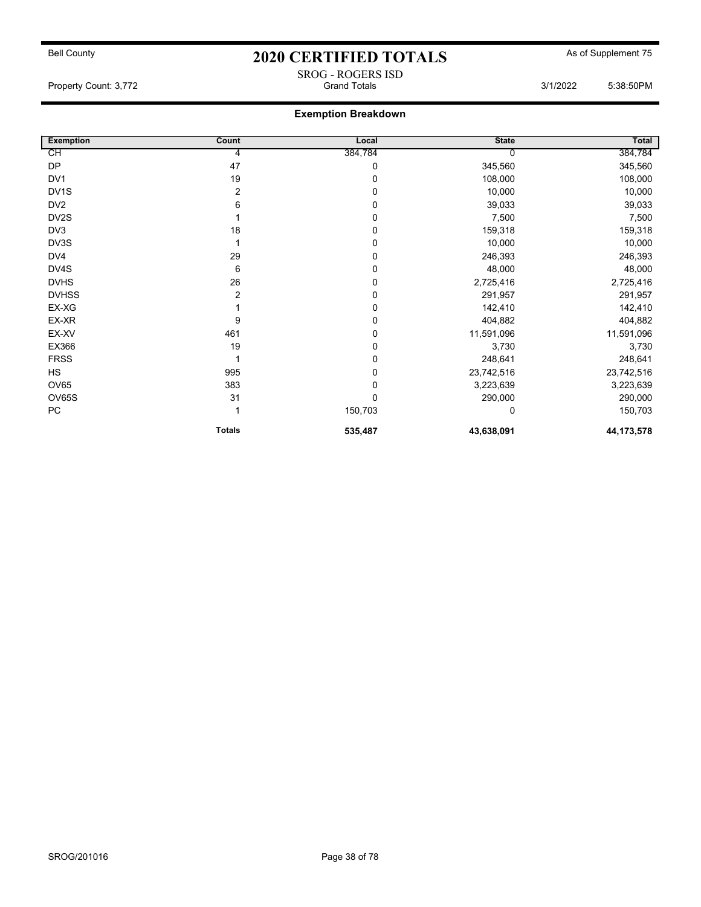SROG - ROGERS ISD

Property Count: 3,772 **Crambuse 2018** Grand Totals 3/1/2022 5:38:50PM

| <b>Exemption</b>  | Count         | Local   | <b>State</b> | Total        |
|-------------------|---------------|---------|--------------|--------------|
| СH                | 4             | 384,784 |              | 384,784      |
| <b>DP</b>         | 47            | 0       | 345,560      | 345,560      |
| DV1               | 19            | 0       | 108,000      | 108,000      |
| DV <sub>1</sub> S | 2             | 0       | 10,000       | 10,000       |
| DV <sub>2</sub>   | 6             | 0       | 39,033       | 39,033       |
| DV2S              |               | 0       | 7,500        | 7,500        |
| DV3               | 18            | 0       | 159,318      | 159,318      |
| DV3S              |               | 0       | 10,000       | 10,000       |
| DV4               | 29            | 0       | 246,393      | 246,393      |
| DV4S              | 6             | 0       | 48,000       | 48,000       |
| <b>DVHS</b>       | 26            | 0       | 2,725,416    | 2,725,416    |
| <b>DVHSS</b>      | 2             | 0       | 291,957      | 291,957      |
| EX-XG             |               | 0       | 142,410      | 142,410      |
| EX-XR             | 9             | 0       | 404,882      | 404,882      |
| EX-XV             | 461           | 0       | 11,591,096   | 11,591,096   |
| EX366             | 19            | 0       | 3,730        | 3,730        |
| <b>FRSS</b>       |               | 0       | 248,641      | 248,641      |
| <b>HS</b>         | 995           | 0       | 23,742,516   | 23,742,516   |
| <b>OV65</b>       | 383           | 0       | 3,223,639    | 3,223,639    |
| <b>OV65S</b>      | 31            | 0       | 290,000      | 290,000      |
| ${\sf PC}$        |               | 150,703 | 0            | 150,703      |
|                   | <b>Totals</b> | 535,487 | 43,638,091   | 44, 173, 578 |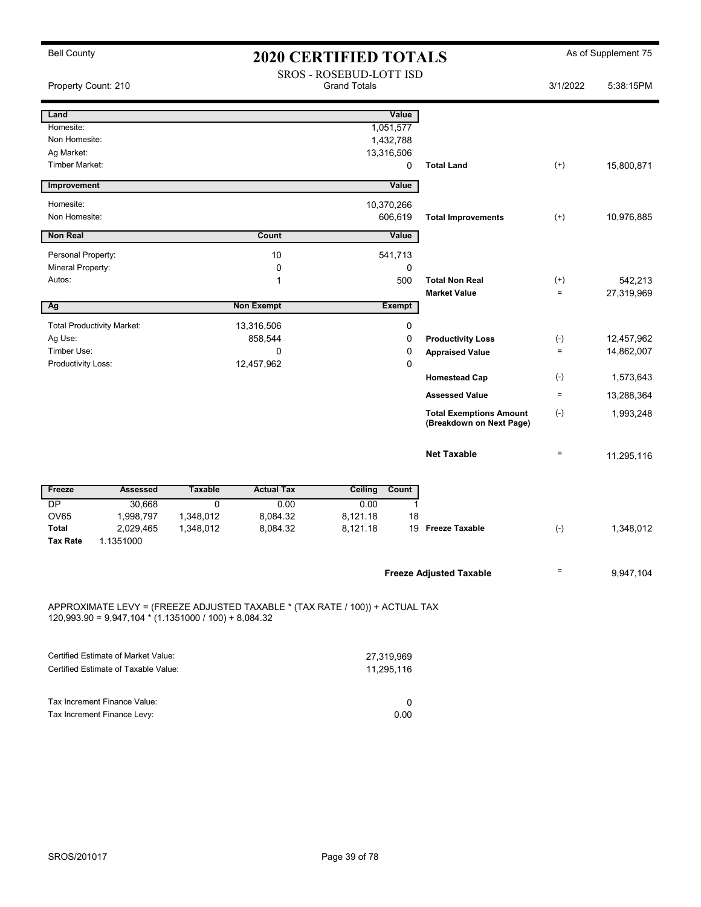| <b>Bell County</b>                |                                                         | <b>2020 CERTIFIED TOTALS</b> |                                                                              |                                                       |               |                                                            |                   | As of Supplement 75 |
|-----------------------------------|---------------------------------------------------------|------------------------------|------------------------------------------------------------------------------|-------------------------------------------------------|---------------|------------------------------------------------------------|-------------------|---------------------|
| Property Count: 210               |                                                         |                              |                                                                              | <b>SROS - ROSEBUD-LOTT ISD</b><br><b>Grand Totals</b> |               |                                                            | 3/1/2022          | 5:38:15PM           |
| Land                              |                                                         |                              |                                                                              |                                                       | Value         |                                                            |                   |                     |
| Homesite:                         |                                                         |                              |                                                                              |                                                       | 1,051,577     |                                                            |                   |                     |
| Non Homesite:                     |                                                         |                              |                                                                              |                                                       | 1,432,788     |                                                            |                   |                     |
| Ag Market:                        |                                                         |                              |                                                                              |                                                       | 13,316,506    |                                                            |                   |                     |
| <b>Timber Market:</b>             |                                                         |                              |                                                                              |                                                       | $\mathbf 0$   | <b>Total Land</b>                                          | $^{(+)}$          | 15,800,871          |
| Improvement                       |                                                         |                              |                                                                              |                                                       | Value         |                                                            |                   |                     |
| Homesite:                         |                                                         |                              |                                                                              |                                                       | 10,370,266    |                                                            |                   |                     |
| Non Homesite:                     |                                                         |                              |                                                                              |                                                       | 606,619       | <b>Total Improvements</b>                                  | $(+)$             | 10,976,885          |
| <b>Non Real</b>                   |                                                         |                              | Count                                                                        |                                                       | Value         |                                                            |                   |                     |
| Personal Property:                |                                                         |                              | 10                                                                           |                                                       | 541,713       |                                                            |                   |                     |
| Mineral Property:                 |                                                         |                              | 0                                                                            |                                                       | $\mathbf 0$   |                                                            |                   |                     |
| Autos:                            |                                                         |                              | 1                                                                            |                                                       | 500           | <b>Total Non Real</b>                                      | $^{(+)}$          | 542,213             |
|                                   |                                                         |                              |                                                                              |                                                       |               | <b>Market Value</b>                                        | $\qquad \qquad =$ | 27,319,969          |
| Ag                                |                                                         |                              | <b>Non Exempt</b>                                                            |                                                       | <b>Exempt</b> |                                                            |                   |                     |
| <b>Total Productivity Market:</b> |                                                         |                              | 13,316,506                                                                   |                                                       | 0             |                                                            |                   |                     |
| Ag Use:                           |                                                         |                              | 858,544                                                                      |                                                       | $\mathbf 0$   | <b>Productivity Loss</b>                                   | $(\text{-})$      | 12,457,962          |
| Timber Use:                       |                                                         |                              | 0                                                                            |                                                       | $\pmb{0}$     | <b>Appraised Value</b>                                     | $\equiv$          | 14,862,007          |
| Productivity Loss:                |                                                         |                              | 12,457,962                                                                   |                                                       | 0             |                                                            |                   |                     |
|                                   |                                                         |                              |                                                                              |                                                       |               | <b>Homestead Cap</b>                                       | $(-)$             | 1,573,643           |
|                                   |                                                         |                              |                                                                              |                                                       |               | <b>Assessed Value</b>                                      | $\equiv$          | 13,288,364          |
|                                   |                                                         |                              |                                                                              |                                                       |               | <b>Total Exemptions Amount</b><br>(Breakdown on Next Page) | $(\text{-})$      | 1,993,248           |
|                                   |                                                         |                              |                                                                              |                                                       |               | <b>Net Taxable</b>                                         | $\qquad \qquad =$ | 11,295,116          |
| Freeze                            | <b>Assessed</b>                                         | <b>Taxable</b>               | <b>Actual Tax</b>                                                            | <b>Ceiling</b>                                        | Count         |                                                            |                   |                     |
| <b>DP</b>                         | 30,668                                                  | $\mathbf 0$                  | 0.00                                                                         | 0.00                                                  | 1             |                                                            |                   |                     |
| <b>OV65</b>                       | 1,998,797                                               | 1,348,012                    | 8,084.32                                                                     | 8,121.18                                              | 18            |                                                            |                   |                     |
| <b>Total</b>                      | 2,029,465                                               | 1,348,012                    | 8,084.32                                                                     | 8,121.18                                              |               | 19 Freeze Taxable                                          | $(-)$             | 1,348,012           |
| <b>Tax Rate</b>                   | 1.1351000                                               |                              |                                                                              |                                                       |               |                                                            |                   |                     |
|                                   |                                                         |                              |                                                                              |                                                       |               | <b>Freeze Adjusted Taxable</b>                             | $=$               | 9,947,104           |
|                                   | $120,993.90 = 9,947,104 * (1.1351000 / 100) + 8,084.32$ |                              | APPROXIMATE LEVY = (FREEZE ADJUSTED TAXABLE * (TAX RATE / 100)) + ACTUAL TAX |                                                       |               |                                                            |                   |                     |

| Certified Estimate of Market Value:  | 27.319.969 |
|--------------------------------------|------------|
| Certified Estimate of Taxable Value: | 11.295.116 |
|                                      |            |
|                                      |            |
| Tax Increment Finance Value:         |            |
| Tax Increment Finance Levy:          | 0.00       |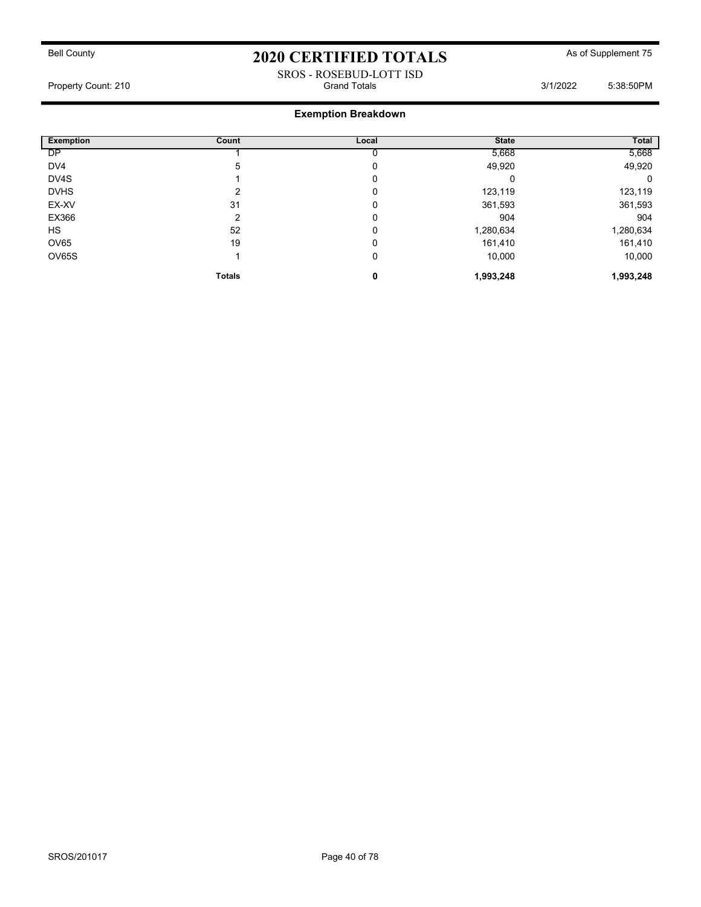#### SROS - ROSEBUD-LOTT ISD Property Count: 210 Grand Totals 3/1/2022 5:38:50PM

| <b>Exemption</b> | Count         | Local | <b>State</b> | Total     |
|------------------|---------------|-------|--------------|-----------|
| <b>DP</b>        |               |       | 5,668        | 5,668     |
| DV4              | 5             | 0     | 49,920       | 49,920    |
| DV4S             |               | 0     |              | 0         |
| <b>DVHS</b>      | ົ             | 0     | 123,119      | 123,119   |
| EX-XV            | 31            | 0     | 361,593      | 361,593   |
| EX366            | ົ             | 0     | 904          | 904       |
| <b>HS</b>        | 52            | 0     | 1,280,634    | 1,280,634 |
| OV65             | 19            | 0     | 161,410      | 161,410   |
| OV65S            |               | 0     | 10,000       | 10,000    |
|                  | <b>Totals</b> | 0     | 1,993,248    | 1,993,248 |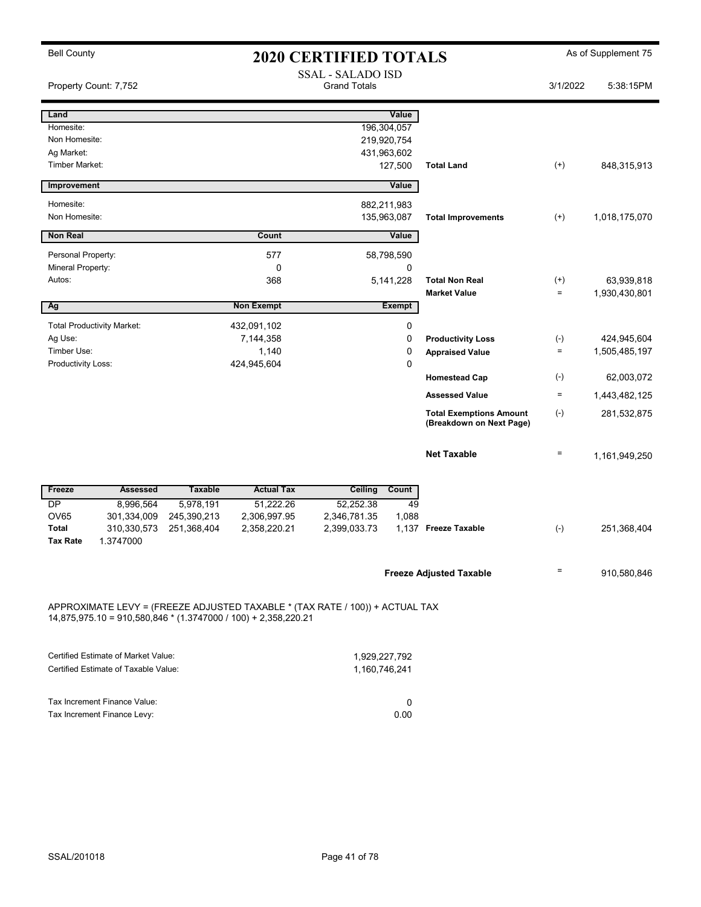| <b>Bell County</b>                                                                                                                             | <b>2020 CERTIFIED TOTALS</b> |                                                 |              |               | As of Supplement 75                                        |                      |                             |
|------------------------------------------------------------------------------------------------------------------------------------------------|------------------------------|-------------------------------------------------|--------------|---------------|------------------------------------------------------------|----------------------|-----------------------------|
| Property Count: 7,752                                                                                                                          |                              | <b>SSAL - SALADO ISD</b><br><b>Grand Totals</b> |              | 3/1/2022      | 5:38:15PM                                                  |                      |                             |
| Land                                                                                                                                           |                              |                                                 |              | Value         |                                                            |                      |                             |
| Homesite:                                                                                                                                      |                              |                                                 |              | 196,304,057   |                                                            |                      |                             |
| Non Homesite:                                                                                                                                  |                              |                                                 |              | 219,920,754   |                                                            |                      |                             |
| Ag Market:                                                                                                                                     |                              |                                                 |              | 431,963,602   |                                                            |                      |                             |
| <b>Timber Market:</b>                                                                                                                          |                              |                                                 |              | 127,500       | <b>Total Land</b>                                          | $^{(+)}$             | 848,315,913                 |
| Improvement                                                                                                                                    |                              |                                                 |              | Value         |                                                            |                      |                             |
| Homesite:                                                                                                                                      |                              |                                                 |              | 882,211,983   |                                                            |                      |                             |
| Non Homesite:                                                                                                                                  |                              |                                                 |              | 135,963,087   | <b>Total Improvements</b>                                  | $^{(+)}$             | 1,018,175,070               |
| <b>Non Real</b>                                                                                                                                |                              | Count                                           |              | Value         |                                                            |                      |                             |
| Personal Property:                                                                                                                             |                              | 577                                             |              | 58,798,590    |                                                            |                      |                             |
| Mineral Property:                                                                                                                              |                              | 0                                               |              | 0             |                                                            |                      |                             |
| Autos:                                                                                                                                         |                              | 368                                             |              | 5,141,228     | <b>Total Non Real</b><br><b>Market Value</b>               | $^{(+)}$<br>$\equiv$ | 63,939,818<br>1,930,430,801 |
| Ag                                                                                                                                             |                              | <b>Non Exempt</b>                               |              | <b>Exempt</b> |                                                            |                      |                             |
| <b>Total Productivity Market:</b>                                                                                                              |                              | 432,091,102                                     |              | 0             |                                                            |                      |                             |
| Ag Use:                                                                                                                                        |                              | 7,144,358                                       |              | $\mathbf 0$   | <b>Productivity Loss</b>                                   | $(\text{-})$         | 424,945,604                 |
| Timber Use:                                                                                                                                    |                              | 1,140                                           |              | 0             | <b>Appraised Value</b>                                     | $=$                  | 1,505,485,197               |
| Productivity Loss:                                                                                                                             |                              | 424,945,604                                     |              | 0             |                                                            |                      |                             |
|                                                                                                                                                |                              |                                                 |              |               | <b>Homestead Cap</b>                                       | $(-)$                | 62,003,072                  |
|                                                                                                                                                |                              |                                                 |              |               | <b>Assessed Value</b>                                      | $\equiv$             | 1,443,482,125               |
|                                                                                                                                                |                              |                                                 |              |               | <b>Total Exemptions Amount</b><br>(Breakdown on Next Page) | $(-)$                | 281,532,875                 |
|                                                                                                                                                |                              |                                                 |              |               | <b>Net Taxable</b>                                         | $\equiv$             | 1,161,949,250               |
| Freeze<br><b>Assessed</b>                                                                                                                      | <b>Taxable</b>               | <b>Actual Tax</b>                               | Ceiling      | Count         |                                                            |                      |                             |
| DP<br>8,996,564                                                                                                                                | 5,978,191                    | 51,222.26                                       | 52,252.38    | 49            |                                                            |                      |                             |
| <b>OV65</b><br>301,334,009                                                                                                                     | 245,390,213                  | 2,306,997.95                                    | 2,346,781.35 | 1,088         |                                                            |                      |                             |
| <b>Total</b><br>310,330,573<br><b>Tax Rate</b><br>1.3747000                                                                                    | 251,368,404                  | 2,358,220.21                                    | 2,399,033.73 |               | 1.137 Freeze Taxable                                       | $(-)$                | 251,368,404                 |
|                                                                                                                                                |                              |                                                 |              |               |                                                            |                      |                             |
|                                                                                                                                                |                              |                                                 |              |               | <b>Freeze Adjusted Taxable</b>                             | $=$                  | 910,580,846                 |
| APPROXIMATE LEVY = (FREEZE ADJUSTED TAXABLE * (TAX RATE / 100)) + ACTUAL TAX<br>14,875,975.10 = 910,580,846 * (1.3747000 / 100) + 2,358,220.21 |                              |                                                 |              |               |                                                            |                      |                             |

| Certified Estimate of Market Value:                         | 1.929.227.792 |
|-------------------------------------------------------------|---------------|
| Certified Estimate of Taxable Value:                        | 1.160.746.241 |
| Tax Increment Finance Value:<br>Tax Increment Finance Levy: | 0.00          |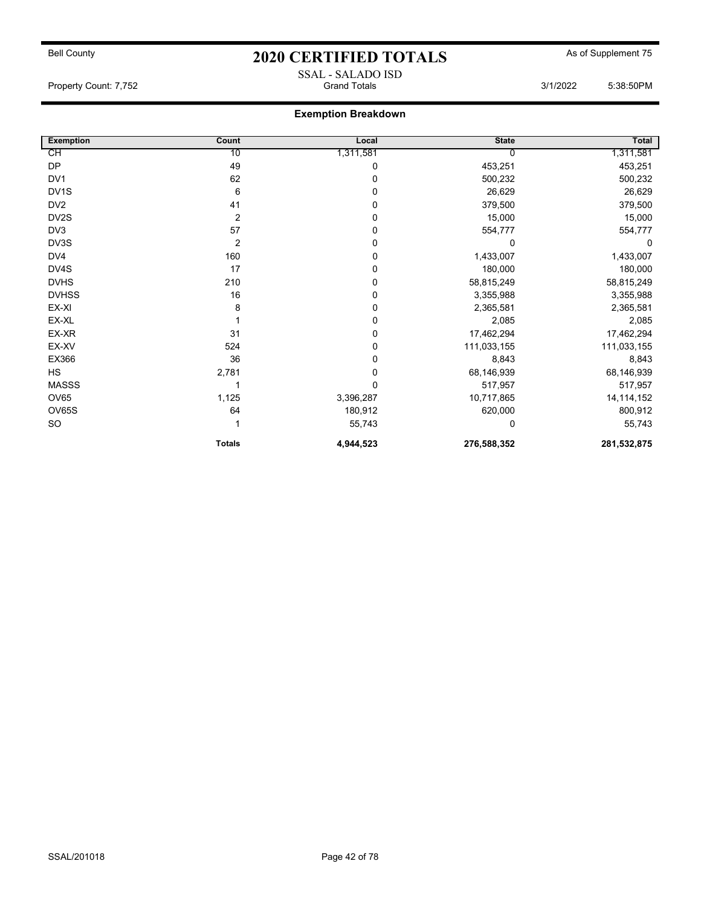## Bell County **As of Supplement 75** 2020 CERTIFIED TOTALS As of Supplement 75 SSAL - SALADO ISD

Property Count: 7,752 Grand Totals 3/1/2022 5:38:50PM

| <b>Exemption</b>  | Count          | Local       | <b>State</b> | Total        |
|-------------------|----------------|-------------|--------------|--------------|
| СH                | 10             | 1,311,581   |              | 1,311,581    |
| DP                | 49             | 0           | 453,251      | 453,251      |
| DV <sub>1</sub>   | 62             | $\mathbf 0$ | 500,232      | 500,232      |
| DV <sub>1</sub> S | 6              | $\mathbf 0$ | 26,629       | 26,629       |
| DV <sub>2</sub>   | 41             | $\mathbf 0$ | 379,500      | 379,500      |
| DV2S              | $\overline{2}$ | $\mathbf 0$ | 15,000       | 15,000       |
| DV3               | 57             | $\mathbf 0$ | 554,777      | 554,777      |
| DV3S              | $\overline{2}$ | $\mathbf 0$ | 0            | 0            |
| DV4               | 160            | $\mathbf 0$ | 1,433,007    | 1,433,007    |
| DV4S              | 17             | $\mathbf 0$ | 180,000      | 180,000      |
| <b>DVHS</b>       | 210            | 0           | 58,815,249   | 58,815,249   |
| <b>DVHSS</b>      | 16             | $\mathbf 0$ | 3,355,988    | 3,355,988    |
| EX-XI             | 8              | $\mathbf 0$ | 2,365,581    | 2,365,581    |
| EX-XL             |                | $\mathbf 0$ | 2,085        | 2,085        |
| EX-XR             | 31             | $\mathbf 0$ | 17,462,294   | 17,462,294   |
| EX-XV             | 524            | $\mathbf 0$ | 111,033,155  | 111,033,155  |
| EX366             | 36             | 0           | 8,843        | 8,843        |
| <b>HS</b>         | 2,781          | $\mathbf 0$ | 68,146,939   | 68,146,939   |
| <b>MASSS</b>      |                | $\Omega$    | 517,957      | 517,957      |
| <b>OV65</b>       | 1,125          | 3,396,287   | 10,717,865   | 14, 114, 152 |
| OV65S             | 64             | 180,912     | 620,000      | 800,912      |
| <b>SO</b>         |                | 55,743      | 0            | 55,743       |
|                   | <b>Totals</b>  | 4,944,523   | 276,588,352  | 281,532,875  |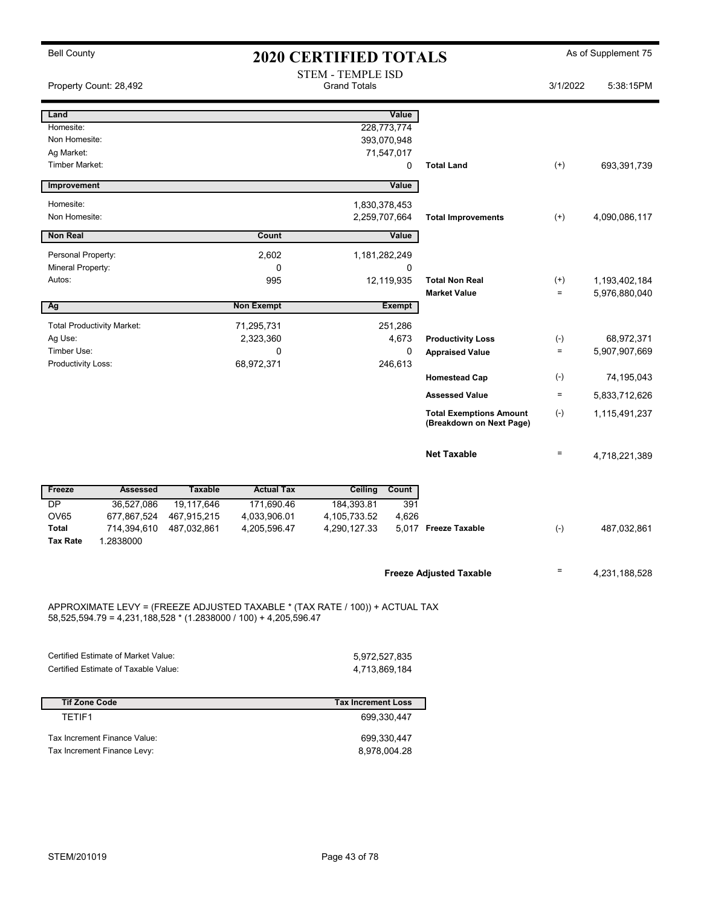| <b>Bell County</b> |                                      | <b>2020 CERTIFIED TOTALS</b> |                                                                                                                                                  |                                                 |               | As of Supplement 75                                        |                    |               |
|--------------------|--------------------------------------|------------------------------|--------------------------------------------------------------------------------------------------------------------------------------------------|-------------------------------------------------|---------------|------------------------------------------------------------|--------------------|---------------|
|                    | Property Count: 28,492               |                              |                                                                                                                                                  | <b>STEM - TEMPLE ISD</b><br><b>Grand Totals</b> |               |                                                            | 3/1/2022           | 5:38:15PM     |
| Land               |                                      |                              |                                                                                                                                                  |                                                 | Value         |                                                            |                    |               |
| Homesite:          |                                      |                              |                                                                                                                                                  |                                                 | 228,773,774   |                                                            |                    |               |
| Non Homesite:      |                                      |                              |                                                                                                                                                  |                                                 | 393,070,948   |                                                            |                    |               |
| Ag Market:         |                                      |                              |                                                                                                                                                  |                                                 | 71,547,017    |                                                            |                    |               |
| Timber Market:     |                                      |                              |                                                                                                                                                  |                                                 | 0             | <b>Total Land</b>                                          | $^{(+)}$           | 693,391,739   |
| Improvement        |                                      |                              |                                                                                                                                                  |                                                 | Value         |                                                            |                    |               |
| Homesite:          |                                      |                              |                                                                                                                                                  |                                                 | 1,830,378,453 |                                                            |                    |               |
| Non Homesite:      |                                      |                              |                                                                                                                                                  | 2,259,707,664                                   |               | <b>Total Improvements</b>                                  | $^{(+)}$           | 4,090,086,117 |
| <b>Non Real</b>    |                                      |                              | Count                                                                                                                                            |                                                 | Value         |                                                            |                    |               |
| Personal Property: |                                      |                              | 2,602                                                                                                                                            |                                                 | 1,181,282,249 |                                                            |                    |               |
| Mineral Property:  |                                      |                              | 0                                                                                                                                                |                                                 | 0             |                                                            |                    |               |
| Autos:             |                                      |                              | 995                                                                                                                                              |                                                 | 12,119,935    | <b>Total Non Real</b>                                      | $^{(+)}$           | 1,193,402,184 |
|                    |                                      |                              |                                                                                                                                                  |                                                 |               | <b>Market Value</b>                                        | $\equiv$           | 5,976,880,040 |
| Ag                 |                                      |                              | <b>Non Exempt</b>                                                                                                                                |                                                 | <b>Exempt</b> |                                                            |                    |               |
|                    | <b>Total Productivity Market:</b>    |                              | 71,295,731                                                                                                                                       |                                                 | 251,286       |                                                            |                    |               |
| Ag Use:            |                                      |                              | 2,323,360                                                                                                                                        |                                                 | 4,673         | <b>Productivity Loss</b>                                   | $(-)$              | 68,972,371    |
| Timber Use:        |                                      |                              | 0                                                                                                                                                |                                                 | 0             | <b>Appraised Value</b>                                     | $\equiv$           | 5,907,907,669 |
| Productivity Loss: |                                      |                              | 68,972,371                                                                                                                                       |                                                 | 246,613       |                                                            |                    |               |
|                    |                                      |                              |                                                                                                                                                  |                                                 |               | <b>Homestead Cap</b>                                       | $(\textnormal{-})$ | 74,195,043    |
|                    |                                      |                              |                                                                                                                                                  |                                                 |               | <b>Assessed Value</b>                                      | $\equiv$           | 5,833,712,626 |
|                    |                                      |                              |                                                                                                                                                  |                                                 |               | <b>Total Exemptions Amount</b><br>(Breakdown on Next Page) | $(-)$              | 1,115,491,237 |
|                    |                                      |                              |                                                                                                                                                  |                                                 |               | <b>Net Taxable</b>                                         | $\equiv$           | 4,718,221,389 |
|                    |                                      |                              |                                                                                                                                                  |                                                 |               |                                                            |                    |               |
| Freeze<br>DP       | <b>Assessed</b>                      | <b>Taxable</b>               | <b>Actual Tax</b>                                                                                                                                | Ceiling                                         | Count<br>391  |                                                            |                    |               |
| OV65               | 36,527,086<br>677,867,524            | 19,117,646<br>467,915,215    | 171,690.46<br>4,033,906.01                                                                                                                       | 184,393.81<br>4,105,733.52                      | 4,626         |                                                            |                    |               |
| <b>Total</b>       | 714,394,610                          | 487,032,861                  | 4,205,596.47                                                                                                                                     | 4,290,127.33                                    |               | 5.017 Freeze Taxable                                       | $(-)$              | 487,032,861   |
| <b>Tax Rate</b>    | 1.2838000                            |                              |                                                                                                                                                  |                                                 |               |                                                            |                    |               |
|                    |                                      |                              |                                                                                                                                                  |                                                 |               |                                                            |                    |               |
|                    |                                      |                              |                                                                                                                                                  |                                                 |               | <b>Freeze Adjusted Taxable</b>                             | $=$                | 4,231,188,528 |
|                    |                                      |                              | APPROXIMATE LEVY = (FREEZE ADJUSTED TAXABLE * (TAX RATE / 100)) + ACTUAL TAX<br>58,525,594.79 = 4,231,188,528 * (1.2838000 / 100) + 4,205,596.47 |                                                 |               |                                                            |                    |               |
|                    | Certified Estimate of Market Value:  |                              |                                                                                                                                                  |                                                 |               |                                                            |                    |               |
|                    | Certified Estimate of Taxable Value: |                              |                                                                                                                                                  | 4,713,869,184                                   | 5,972,527,835 |                                                            |                    |               |

| <b>Tif Zone Code</b>         | <b>Tax Increment Loss</b> |
|------------------------------|---------------------------|
| TFTIF1                       | 699.330.447               |
| Tax Increment Finance Value: | 699.330.447               |
| Tax Increment Finance Levy:  | 8,978,004.28              |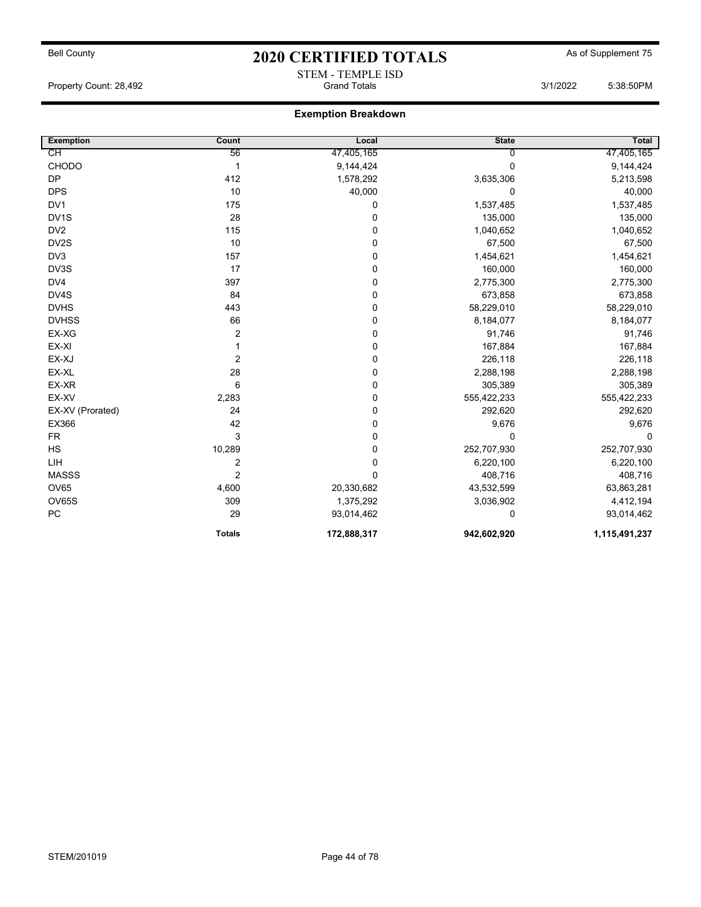# Bell County **As of Supplement 75** 2020 CERTIFIED TOTALS As of Supplement 75 STEM - TEMPLE ISD<br>Grand Totals

Property Count: 28,492 **Similar Strain Action** Grand Totals 3/1/2022 5:38:50PM

| <b>Exemption</b>  | Count                   | Local       | <b>State</b> | Total         |
|-------------------|-------------------------|-------------|--------------|---------------|
| СH                | 56                      | 47,405,165  | 0            | 47,405,165    |
| <b>CHODO</b>      | $\mathbf 1$             | 9,144,424   | 0            | 9,144,424     |
| <b>DP</b>         | 412                     | 1,578,292   | 3,635,306    | 5,213,598     |
| <b>DPS</b>        | 10                      | 40,000      | $\mathbf 0$  | 40,000        |
| DV <sub>1</sub>   | 175                     | 0           | 1,537,485    | 1,537,485     |
| DV <sub>1</sub> S | 28                      | 0           | 135,000      | 135,000       |
| DV <sub>2</sub>   | 115                     | 0           | 1,040,652    | 1,040,652     |
| DV2S              | 10                      | 0           | 67,500       | 67,500        |
| DV3               | 157                     | 0           | 1,454,621    | 1,454,621     |
| DV3S              | 17                      | 0           | 160,000      | 160,000       |
| DV4               | 397                     | 0           | 2,775,300    | 2,775,300     |
| DV4S              | 84                      | 0           | 673,858      | 673,858       |
| <b>DVHS</b>       | 443                     | 0           | 58,229,010   | 58,229,010    |
| <b>DVHSS</b>      | 66                      | 0           | 8,184,077    | 8,184,077     |
| EX-XG             | $\boldsymbol{2}$        | 0           | 91,746       | 91,746        |
| EX-XI             |                         | 0           | 167,884      | 167,884       |
| EX-XJ             | $\overline{2}$          | 0           | 226,118      | 226,118       |
| EX-XL             | 28                      | 0           | 2,288,198    | 2,288,198     |
| EX-XR             | 6                       | 0           | 305,389      | 305,389       |
| EX-XV             | 2,283                   | 0           | 555,422,233  | 555,422,233   |
| EX-XV (Prorated)  | 24                      | 0           | 292,620      | 292,620       |
| EX366             | 42                      | 0           | 9,676        | 9,676         |
| <b>FR</b>         | 3                       | 0           | $\Omega$     | $\Omega$      |
| HS                | 10,289                  | 0           | 252,707,930  | 252,707,930   |
| LIH               | $\overline{\mathbf{c}}$ | 0           | 6,220,100    | 6,220,100     |
| <b>MASSS</b>      | $\overline{2}$          | 0           | 408,716      | 408,716       |
| OV65              | 4,600                   | 20,330,682  | 43,532,599   | 63,863,281    |
| <b>OV65S</b>      | 309                     | 1,375,292   | 3,036,902    | 4,412,194     |
| PC                | 29                      | 93,014,462  | 0            | 93,014,462    |
|                   | <b>Totals</b>           | 172,888,317 | 942,602,920  | 1,115,491,237 |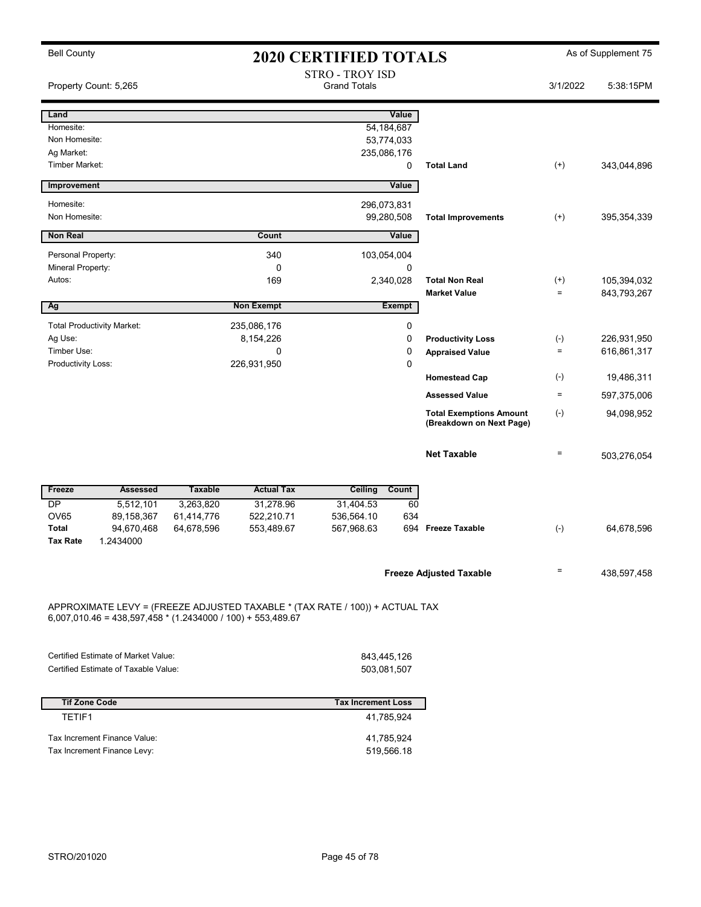| <b>Bell County</b>                                                                                                                            |                |                   | <b>2020 CERTIFIED TOTALS</b>                  |               |                                                            |                    | As of Supplement 75 |
|-----------------------------------------------------------------------------------------------------------------------------------------------|----------------|-------------------|-----------------------------------------------|---------------|------------------------------------------------------------|--------------------|---------------------|
| Property Count: 5,265                                                                                                                         |                |                   | <b>STRO - TROY ISD</b><br><b>Grand Totals</b> |               |                                                            | 3/1/2022           | 5:38:15PM           |
| Land                                                                                                                                          |                |                   |                                               | Value         |                                                            |                    |                     |
| Homesite:                                                                                                                                     |                |                   |                                               | 54,184,687    |                                                            |                    |                     |
| Non Homesite:                                                                                                                                 |                |                   |                                               | 53,774,033    |                                                            |                    |                     |
| Ag Market:                                                                                                                                    |                |                   |                                               | 235,086,176   |                                                            |                    |                     |
| Timber Market:                                                                                                                                |                |                   |                                               | 0             | <b>Total Land</b>                                          | $^{(+)}$           | 343,044,896         |
| Improvement                                                                                                                                   |                |                   |                                               | Value         |                                                            |                    |                     |
| Homesite:                                                                                                                                     |                |                   | 296,073,831                                   |               |                                                            |                    |                     |
| Non Homesite:                                                                                                                                 |                |                   |                                               | 99,280,508    | <b>Total Improvements</b>                                  | $^{(+)}$           | 395, 354, 339       |
| <b>Non Real</b>                                                                                                                               |                | Count             |                                               | Value         |                                                            |                    |                     |
| Personal Property:                                                                                                                            |                | 340               | 103,054,004                                   |               |                                                            |                    |                     |
| Mineral Property:                                                                                                                             |                | 0                 |                                               | 0             |                                                            |                    |                     |
| Autos:                                                                                                                                        |                | 169               |                                               | 2,340,028     | <b>Total Non Real</b>                                      | $^{(+)}$           | 105,394,032         |
|                                                                                                                                               |                |                   |                                               |               | <b>Market Value</b>                                        | $\equiv$           | 843,793,267         |
| Ag                                                                                                                                            |                | <b>Non Exempt</b> |                                               | <b>Exempt</b> |                                                            |                    |                     |
| <b>Total Productivity Market:</b>                                                                                                             |                | 235,086,176       |                                               | 0             |                                                            |                    |                     |
| Ag Use:                                                                                                                                       |                | 8,154,226         |                                               | 0             | <b>Productivity Loss</b>                                   | $(\text{-})$       | 226,931,950         |
| Timber Use:                                                                                                                                   |                | 0                 |                                               | 0             | <b>Appraised Value</b>                                     | $\equiv$           | 616,861,317         |
| Productivity Loss:                                                                                                                            |                | 226,931,950       |                                               | 0             |                                                            |                    |                     |
|                                                                                                                                               |                |                   |                                               |               | <b>Homestead Cap</b>                                       | $(\textnormal{-})$ | 19,486,311          |
|                                                                                                                                               |                |                   |                                               |               | <b>Assessed Value</b>                                      | $=$                | 597,375,006         |
|                                                                                                                                               |                |                   |                                               |               | <b>Total Exemptions Amount</b><br>(Breakdown on Next Page) | $(-)$              | 94,098,952          |
|                                                                                                                                               |                |                   |                                               |               | <b>Net Taxable</b>                                         | $=$                | 503,276,054         |
| Freeze<br>Assessed                                                                                                                            | <b>Taxable</b> | <b>Actual Tax</b> | Ceiling                                       | Count         |                                                            |                    |                     |
| DP<br>5,512,101                                                                                                                               | 3,263,820      | 31,278.96         | 31,404.53                                     | 60            |                                                            |                    |                     |
| <b>OV65</b><br>89,158,367                                                                                                                     | 61,414,776     | 522,210.71        | 536,564.10                                    | 634           |                                                            |                    |                     |
| Total<br>94,670,468                                                                                                                           | 64,678,596     | 553,489.67        | 567,968.63                                    |               | 694 Freeze Taxable                                         | $(\text{-})$       | 64,678,596          |
| <b>Tax Rate</b><br>1.2434000                                                                                                                  |                |                   |                                               |               |                                                            |                    |                     |
|                                                                                                                                               |                |                   |                                               |               |                                                            |                    |                     |
|                                                                                                                                               |                |                   |                                               |               | <b>Freeze Adjusted Taxable</b>                             | $=$                | 438,597,458         |
| APPROXIMATE LEVY = (FREEZE ADJUSTED TAXABLE * (TAX RATE / 100)) + ACTUAL TAX<br>$6,007,010.46 = 438,597,458 * (1.2434000 / 100) + 553,489.67$ |                |                   |                                               |               |                                                            |                    |                     |
| Certified Estimate of Market Value:                                                                                                           |                |                   |                                               |               |                                                            |                    |                     |
| Certified Estimate of Taxable Value:                                                                                                          |                |                   | 843,445,126<br>503,081,507                    |               |                                                            |                    |                     |

| <b>Tif Zone Code</b>         | <b>Tax Increment Loss</b> |
|------------------------------|---------------------------|
| TFTIF1                       | 41.785.924                |
| Tax Increment Finance Value: | 41,785,924                |
| Tax Increment Finance Levy:  | 519,566.18                |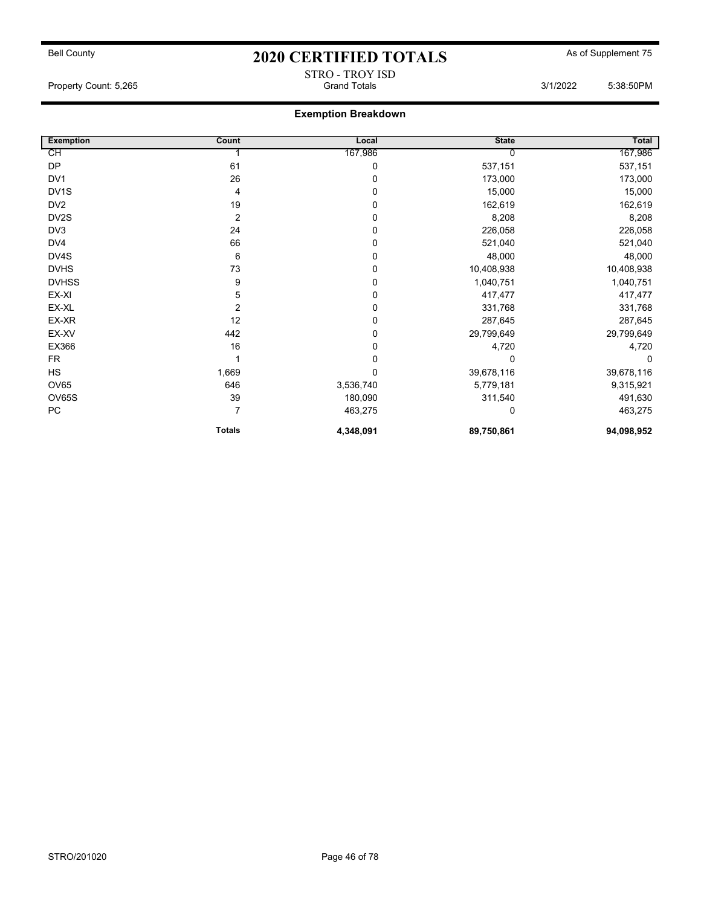# Bell County **As of Supplement 75** 2020 CERTIFIED TOTALS As of Supplement 75 STRO - TROY ISD<br>Grand Totals

Property Count: 5,265 6:38:50PM

| <b>Exemption</b>  | Count          | Local     | <b>State</b> | Total      |
|-------------------|----------------|-----------|--------------|------------|
| CH                |                | 167,986   |              | 167,986    |
| <b>DP</b>         | 61             | 0         | 537,151      | 537,151    |
| DV <sub>1</sub>   | 26             | 0         | 173,000      | 173,000    |
| DV <sub>1</sub> S | 4              | 0         | 15,000       | 15,000     |
| DV <sub>2</sub>   | 19             | 0         | 162,619      | 162,619    |
| DV2S              | $\overline{2}$ | 0         | 8,208        | 8,208      |
| DV3               | 24             | 0         | 226,058      | 226,058    |
| DV4               | 66             | 0         | 521,040      | 521,040    |
| DV4S              | 6              | 0         | 48,000       | 48,000     |
| <b>DVHS</b>       | 73             | 0         | 10,408,938   | 10,408,938 |
| <b>DVHSS</b>      | 9              | 0         | 1,040,751    | 1,040,751  |
| EX-XI             | 5              | 0         | 417,477      | 417,477    |
| EX-XL             | $\overline{2}$ | 0         | 331,768      | 331,768    |
| EX-XR             | 12             | 0         | 287,645      | 287,645    |
| EX-XV             | 442            | 0         | 29,799,649   | 29,799,649 |
| EX366             | 16             | 0         | 4,720        | 4,720      |
| <b>FR</b>         |                | 0         | $\Omega$     | 0          |
| HS                | 1,669          | 0         | 39,678,116   | 39,678,116 |
| OV65              | 646            | 3,536,740 | 5,779,181    | 9,315,921  |
| OV65S             | 39             | 180,090   | 311,540      | 491,630    |
| ${\sf PC}$        | $\overline{7}$ | 463,275   | 0            | 463,275    |
|                   | <b>Totals</b>  | 4,348,091 | 89,750,861   | 94,098,952 |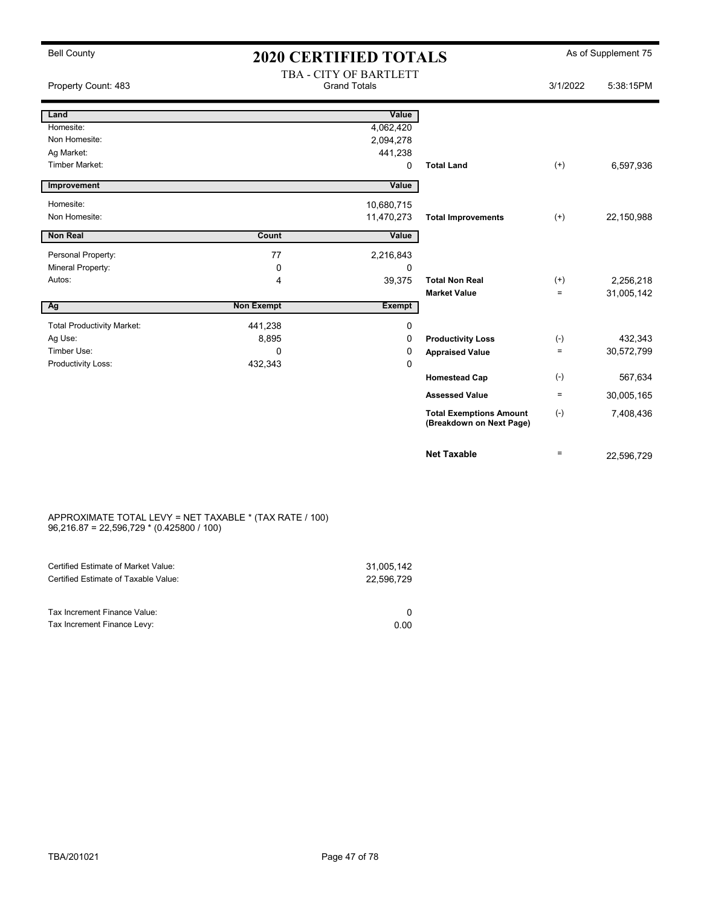## Bell County **As of Supplement 75** 2020 CERTIFIED TOTALS As of Supplement 75 TRA - CITY OF BARTI ETT

| Property Count: 483               |                   | IBA - UII Y OF BARILEI I<br><b>Grand Totals</b> |                                                            | 3/1/2022 | 5:38:15PM  |
|-----------------------------------|-------------------|-------------------------------------------------|------------------------------------------------------------|----------|------------|
| Land                              |                   | Value                                           |                                                            |          |            |
| Homesite:                         |                   | 4,062,420                                       |                                                            |          |            |
| Non Homesite:                     |                   | 2,094,278                                       |                                                            |          |            |
| Ag Market:                        |                   | 441,238                                         |                                                            |          |            |
| <b>Timber Market:</b>             |                   | 0                                               | <b>Total Land</b>                                          | $^{(+)}$ | 6,597,936  |
| Improvement                       |                   | Value                                           |                                                            |          |            |
| Homesite:                         |                   | 10,680,715                                      |                                                            |          |            |
| Non Homesite:                     |                   | 11,470,273                                      | <b>Total Improvements</b>                                  | $^{(+)}$ | 22,150,988 |
| <b>Non Real</b>                   | Count             | Value                                           |                                                            |          |            |
| Personal Property:                | 77                | 2,216,843                                       |                                                            |          |            |
| Mineral Property:                 | 0                 | 0                                               |                                                            |          |            |
| Autos:                            | 4                 | 39,375                                          | <b>Total Non Real</b>                                      | $^{(+)}$ | 2,256,218  |
|                                   |                   |                                                 | <b>Market Value</b>                                        | $\equiv$ | 31,005,142 |
| Ag                                | <b>Non Exempt</b> | <b>Exempt</b>                                   |                                                            |          |            |
| <b>Total Productivity Market:</b> | 441,238           | 0                                               |                                                            |          |            |
| Ag Use:                           | 8,895             | 0                                               | <b>Productivity Loss</b>                                   | $(-)$    | 432,343    |
| Timber Use:                       | 0                 | 0                                               | <b>Appraised Value</b>                                     | $\equiv$ | 30,572,799 |
| Productivity Loss:                | 432,343           | 0                                               |                                                            |          |            |
|                                   |                   |                                                 | <b>Homestead Cap</b>                                       | $(-)$    | 567,634    |
|                                   |                   |                                                 | <b>Assessed Value</b>                                      | $\equiv$ | 30,005,165 |
|                                   |                   |                                                 | <b>Total Exemptions Amount</b><br>(Breakdown on Next Page) | $(-)$    | 7,408,436  |
|                                   |                   |                                                 | <b>Net Taxable</b>                                         | $=$      | 22,596,729 |

#### APPROXIMATE TOTAL LEVY = NET TAXABLE \* (TAX RATE / 100) 96,216.87 = 22,596,729 \* (0.425800 / 100)

| Certified Estimate of Market Value:                         | 31,005,142 |
|-------------------------------------------------------------|------------|
| Certified Estimate of Taxable Value:                        | 22.596.729 |
| Tax Increment Finance Value:<br>Tax Increment Finance Levy: | 0.00       |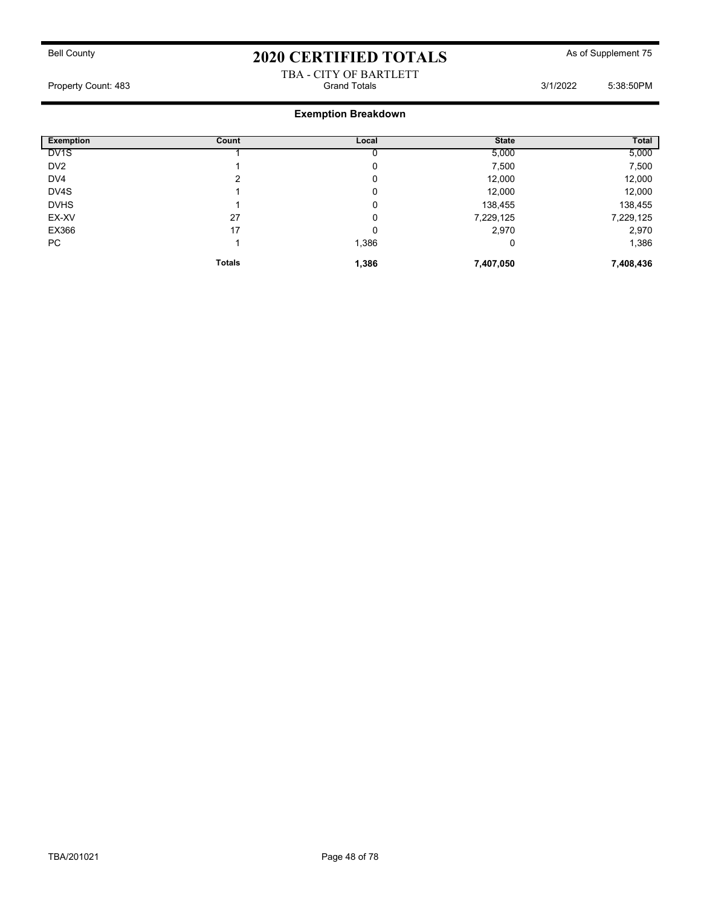#### TBA - CITY OF BARTLETT Property Count: 483 Grand Totals 3/1/2022 5:38:50PM

| <b>Exemption</b>  | Count         | Local | <b>State</b> | Total     |
|-------------------|---------------|-------|--------------|-----------|
| DV <sub>1</sub> S |               |       | 5,000        | 5,000     |
| DV <sub>2</sub>   |               | 0     | 7,500        | 7,500     |
| DV4               | っ             | 0     | 12,000       | 12,000    |
| DV4S              |               | 0     | 12,000       | 12,000    |
| <b>DVHS</b>       |               | 0     | 138,455      | 138,455   |
| EX-XV             | 27            | 0     | 7,229,125    | 7,229,125 |
| EX366             | 17            | 0     | 2,970        | 2,970     |
| PC                |               | 1,386 | 0            | 1,386     |
|                   | <b>Totals</b> | 1,386 | 7,407,050    | 7,408,436 |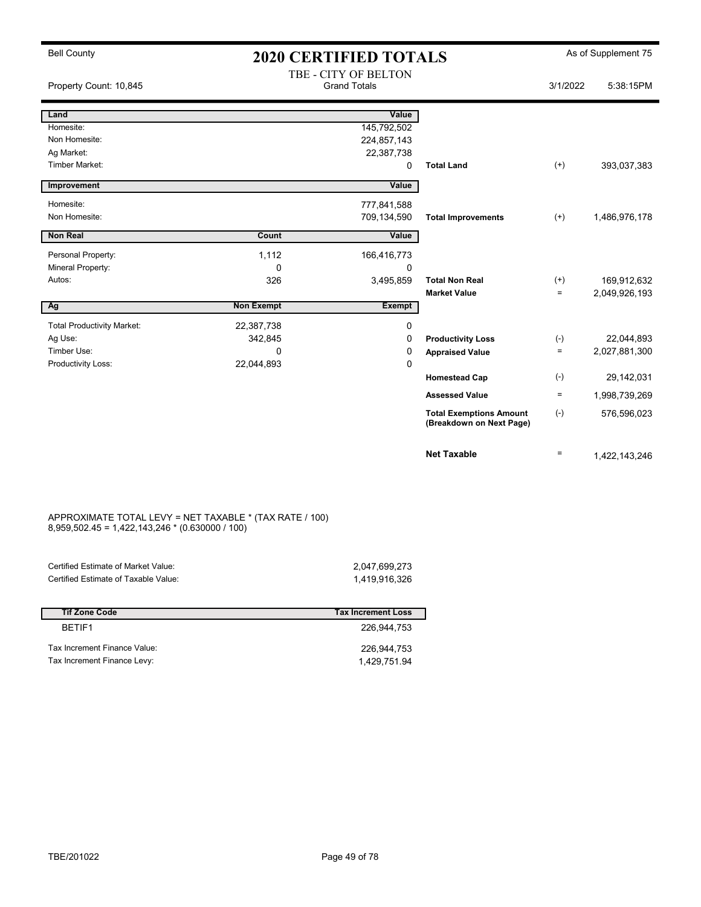| <b>Bell County</b>                | <b>2020 CERTIFIED TOTALS</b> |                                             |                                                            |          | As of Supplement 75 |
|-----------------------------------|------------------------------|---------------------------------------------|------------------------------------------------------------|----------|---------------------|
| Property Count: 10,845            |                              | TBE - CITY OF BELTON<br><b>Grand Totals</b> |                                                            | 3/1/2022 | 5:38:15PM           |
| Land                              |                              | Value                                       |                                                            |          |                     |
| Homesite:                         |                              | 145,792,502                                 |                                                            |          |                     |
| Non Homesite:                     |                              | 224,857,143                                 |                                                            |          |                     |
| Ag Market:                        |                              | 22,387,738                                  |                                                            |          |                     |
| Timber Market:                    |                              | 0                                           | <b>Total Land</b>                                          | $^{(+)}$ | 393,037,383         |
| Improvement                       |                              | Value                                       |                                                            |          |                     |
| Homesite:                         |                              | 777,841,588                                 |                                                            |          |                     |
| Non Homesite:                     |                              | 709,134,590                                 | <b>Total Improvements</b>                                  | $^{(+)}$ | 1,486,976,178       |
| <b>Non Real</b>                   | Count                        | Value                                       |                                                            |          |                     |
| Personal Property:                | 1,112                        | 166,416,773                                 |                                                            |          |                     |
| Mineral Property:                 | 0                            | 0                                           |                                                            |          |                     |
| Autos:                            | 326                          | 3,495,859                                   | <b>Total Non Real</b>                                      | $^{(+)}$ | 169,912,632         |
|                                   |                              |                                             | <b>Market Value</b>                                        | $\equiv$ | 2,049,926,193       |
| Ag                                | <b>Non Exempt</b>            | <b>Exempt</b>                               |                                                            |          |                     |
| <b>Total Productivity Market:</b> | 22,387,738                   | 0                                           |                                                            |          |                     |
| Ag Use:                           | 342,845                      | 0                                           | <b>Productivity Loss</b>                                   | $(-)$    | 22,044,893          |
| Timber Use:                       | $\Omega$                     | 0                                           | <b>Appraised Value</b>                                     | $\equiv$ | 2,027,881,300       |
| Productivity Loss:                | 22,044,893                   | $\mathbf 0$                                 |                                                            |          |                     |
|                                   |                              |                                             | <b>Homestead Cap</b>                                       | $(-)$    | 29,142,031          |
|                                   |                              |                                             | <b>Assessed Value</b>                                      | $\equiv$ | 1,998,739,269       |
|                                   |                              |                                             | <b>Total Exemptions Amount</b><br>(Breakdown on Next Page) | $(-)$    | 576,596,023         |
|                                   |                              |                                             | <b>Net Taxable</b>                                         | $\equiv$ | 1,422,143,246       |

#### APPROXIMATE TOTAL LEVY = NET TAXABLE \* (TAX RATE / 100) 8,959,502.45 = 1,422,143,246 \* (0.630000 / 100)

| Certified Estimate of Market Value:  | 2.047.699.273 |
|--------------------------------------|---------------|
| Certified Estimate of Taxable Value: | 1.419.916.326 |
|                                      |               |

| <b>Tif Zone Code</b>         | <b>Tax Increment Loss</b> |
|------------------------------|---------------------------|
| BFTIF1                       | 226.944.753               |
| Tax Increment Finance Value: | 226.944.753               |
| Tax Increment Finance Levy:  | 1.429.751.94              |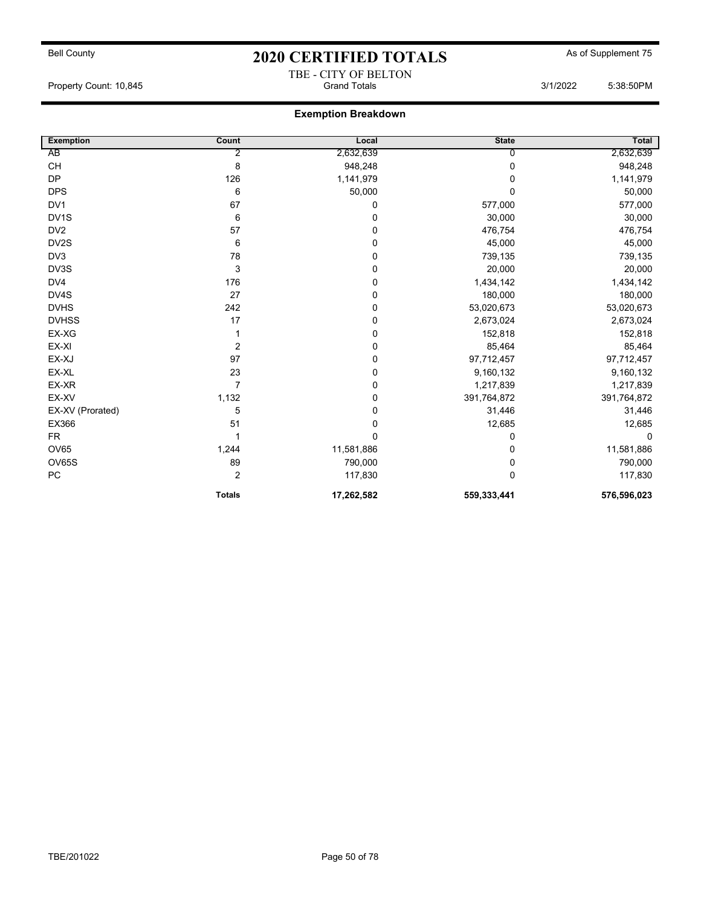## Bell County **As of Supplement 75** 2020 CERTIFIED TOTALS As of Supplement 75 TBE - CITY OF BELTON

Property Count: 10,845 **Grand Totals 3/1/2022** 5:38:50PM

| <b>Exemption</b>  | Count         | Local       | <b>State</b> | <b>Total</b> |
|-------------------|---------------|-------------|--------------|--------------|
| AB                | 2             | 2,632,639   | 0            | 2,632,639    |
| <b>CH</b>         | 8             | 948,248     | 0            | 948,248      |
| <b>DP</b>         | 126           | 1,141,979   | 0            | 1,141,979    |
| <b>DPS</b>        | 6             | 50,000      | 0            | 50,000       |
| DV1               | 67            | 0           | 577,000      | 577,000      |
| DV <sub>1</sub> S | 6             | 0           | 30,000       | 30,000       |
| DV <sub>2</sub>   | 57            | 0           | 476,754      | 476,754      |
| DV2S              | 6             | 0           | 45,000       | 45,000       |
| DV3               | 78            | 0           | 739,135      | 739,135      |
| DV3S              | 3             | 0           | 20,000       | 20,000       |
| DV4               | 176           | 0           | 1,434,142    | 1,434,142    |
| DV4S              | 27            | 0           | 180,000      | 180,000      |
| <b>DVHS</b>       | 242           | 0           | 53,020,673   | 53,020,673   |
| <b>DVHSS</b>      | 17            | 0           | 2,673,024    | 2,673,024    |
| EX-XG             |               | 0           | 152,818      | 152,818      |
| EX-XI             | 2             | 0           | 85,464       | 85,464       |
| EX-XJ             | 97            | $\mathbf 0$ | 97,712,457   | 97,712,457   |
| EX-XL             | 23            | 0           | 9,160,132    | 9,160,132    |
| EX-XR             | 7             | 0           | 1,217,839    | 1,217,839    |
| EX-XV             | 1,132         | 0           | 391,764,872  | 391,764,872  |
| EX-XV (Prorated)  | 5             | 0           | 31,446       | 31,446       |
| EX366             | 51            | 0           | 12,685       | 12,685       |
| <b>FR</b>         |               | 0           | 0            | 0            |
| OV65              | 1,244         | 11,581,886  | 0            | 11,581,886   |
| OV65S             | 89            | 790,000     | 0            | 790,000      |
| PC                | 2             | 117,830     | 0            | 117,830      |
|                   | <b>Totals</b> | 17,262,582  | 559,333,441  | 576,596,023  |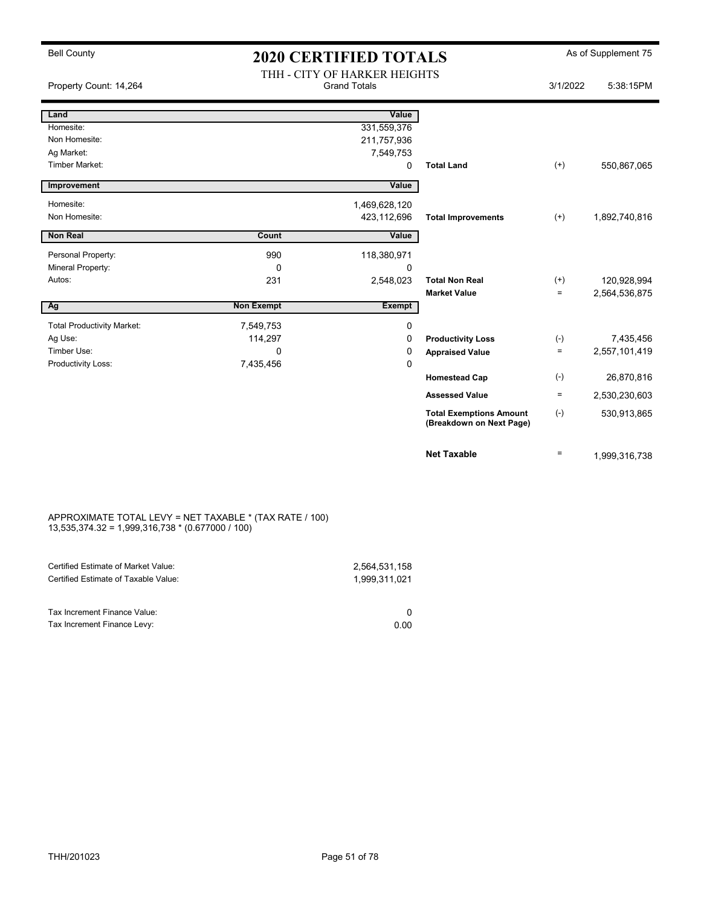| <b>Bell County</b>                | <b>2020 CERTIFIED TOTALS</b> |                                                     |                                                            |           | As of Supplement 75 |
|-----------------------------------|------------------------------|-----------------------------------------------------|------------------------------------------------------------|-----------|---------------------|
| Property Count: 14,264            |                              | THH - CITY OF HARKER HEIGHTS<br><b>Grand Totals</b> |                                                            | 3/1/2022  | 5:38:15PM           |
| Land                              |                              | Value                                               |                                                            |           |                     |
| Homesite:                         |                              | 331,559,376                                         |                                                            |           |                     |
| Non Homesite:                     |                              | 211,757,936                                         |                                                            |           |                     |
| Ag Market:                        |                              | 7,549,753                                           |                                                            |           |                     |
| Timber Market:                    |                              | 0                                                   | <b>Total Land</b>                                          | $(+)$     | 550,867,065         |
| Improvement                       |                              | Value                                               |                                                            |           |                     |
| Homesite:                         |                              | 1,469,628,120                                       |                                                            |           |                     |
| Non Homesite:                     |                              | 423,112,696                                         | <b>Total Improvements</b>                                  | $(+)$     | 1,892,740,816       |
|                                   |                              |                                                     |                                                            |           |                     |
| <b>Non Real</b>                   | Count                        | Value                                               |                                                            |           |                     |
| Personal Property:                | 990                          | 118,380,971                                         |                                                            |           |                     |
| Mineral Property:                 | 0                            | $\mathbf 0$                                         |                                                            |           |                     |
| Autos:                            | 231                          | 2,548,023                                           | <b>Total Non Real</b>                                      | $^{(+)}$  | 120,928,994         |
|                                   |                              |                                                     | <b>Market Value</b>                                        | $=$       | 2,564,536,875       |
| Ag                                | <b>Non Exempt</b>            | <b>Exempt</b>                                       |                                                            |           |                     |
| <b>Total Productivity Market:</b> | 7,549,753                    | $\mathbf 0$                                         |                                                            |           |                     |
| Ag Use:                           | 114,297                      | 0                                                   | <b>Productivity Loss</b>                                   | $(\cdot)$ | 7,435,456           |
| Timber Use:                       | $\Omega$                     | 0                                                   | <b>Appraised Value</b>                                     | $\equiv$  | 2,557,101,419       |
| Productivity Loss:                | 7,435,456                    | $\mathbf 0$                                         |                                                            |           |                     |
|                                   |                              |                                                     | <b>Homestead Cap</b>                                       | $(-)$     | 26,870,816          |
|                                   |                              |                                                     | <b>Assessed Value</b>                                      | $\equiv$  | 2,530,230,603       |
|                                   |                              |                                                     | <b>Total Exemptions Amount</b><br>(Breakdown on Next Page) | $(-)$     | 530,913,865         |
|                                   |                              |                                                     | <b>Net Taxable</b>                                         | $\equiv$  | 1,999,316,738       |

#### APPROXIMATE TOTAL LEVY = NET TAXABLE \* (TAX RATE / 100) 13,535,374.32 = 1,999,316,738 \* (0.677000 / 100)

| Certified Estimate of Market Value:<br>Certified Estimate of Taxable Value: | 2,564,531,158<br>1.999.311.021 |
|-----------------------------------------------------------------------------|--------------------------------|
| Tax Increment Finance Value:                                                |                                |
| Tax Increment Finance Levy:                                                 | 0.00                           |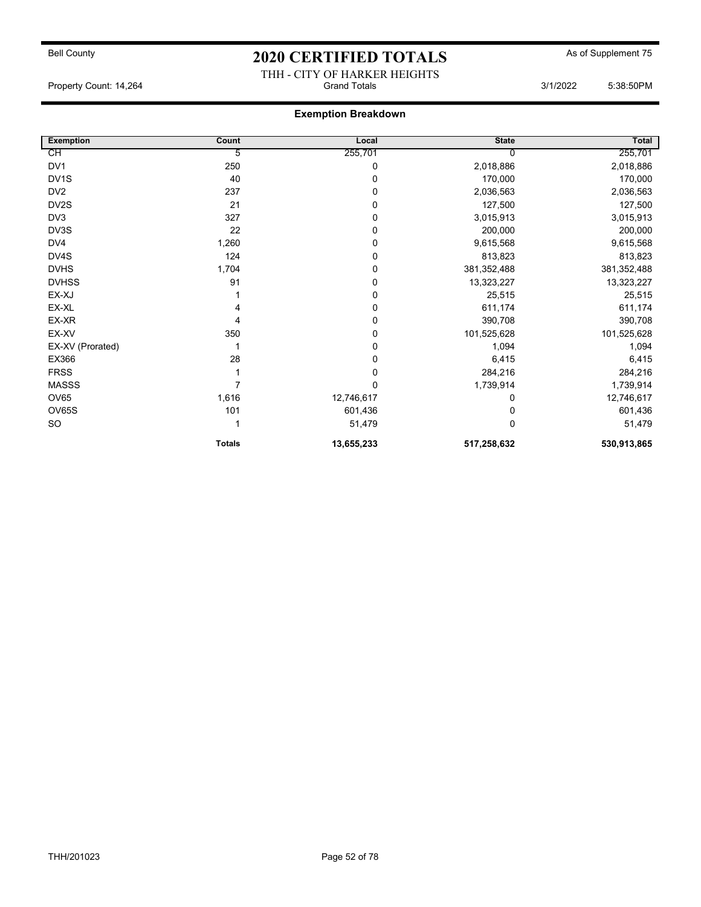## Bell County **As of Supplement 75** 2020 CERTIFIED TOTALS As of Supplement 75 THH - CITY OF HARKER HEIGHTS

Property Count: 14,264 **Count: 14,264** Grand Totals 3/1/2022 5:38:50PM

| <b>Exemption</b>  | Count         | Local      | <b>State</b> | Total         |
|-------------------|---------------|------------|--------------|---------------|
| СH                | 5             | 255,701    | U            | 255,701       |
| DV1               | 250           | 0          | 2,018,886    | 2,018,886     |
| DV <sub>1</sub> S | 40            | 0          | 170,000      | 170,000       |
| DV <sub>2</sub>   | 237           | 0          | 2,036,563    | 2,036,563     |
| DV <sub>2</sub> S | 21            | 0          | 127,500      | 127,500       |
| DV3               | 327           | 0          | 3,015,913    | 3,015,913     |
| DV3S              | 22            | 0          | 200,000      | 200,000       |
| DV4               | 1,260         | 0          | 9,615,568    | 9,615,568     |
| DV4S              | 124           | 0          | 813,823      | 813,823       |
| <b>DVHS</b>       | 1,704         | 0          | 381,352,488  | 381, 352, 488 |
| <b>DVHSS</b>      | 91            | 0          | 13,323,227   | 13,323,227    |
| EX-XJ             |               | 0          | 25,515       | 25,515        |
| EX-XL             |               | 0          | 611,174      | 611,174       |
| EX-XR             | 4             | 0          | 390,708      | 390,708       |
| EX-XV             | 350           | 0          | 101,525,628  | 101,525,628   |
| EX-XV (Prorated)  |               | 0          | 1,094        | 1,094         |
| EX366             | 28            | 0          | 6,415        | 6,415         |
| <b>FRSS</b>       |               | 0          | 284,216      | 284,216       |
| <b>MASSS</b>      |               | 0          | 1,739,914    | 1,739,914     |
| <b>OV65</b>       | 1,616         | 12,746,617 | 0            | 12,746,617    |
| <b>OV65S</b>      | 101           | 601,436    |              | 601,436       |
| <b>SO</b>         |               | 51,479     | 0            | 51,479        |
|                   | <b>Totals</b> | 13,655,233 | 517,258,632  | 530,913,865   |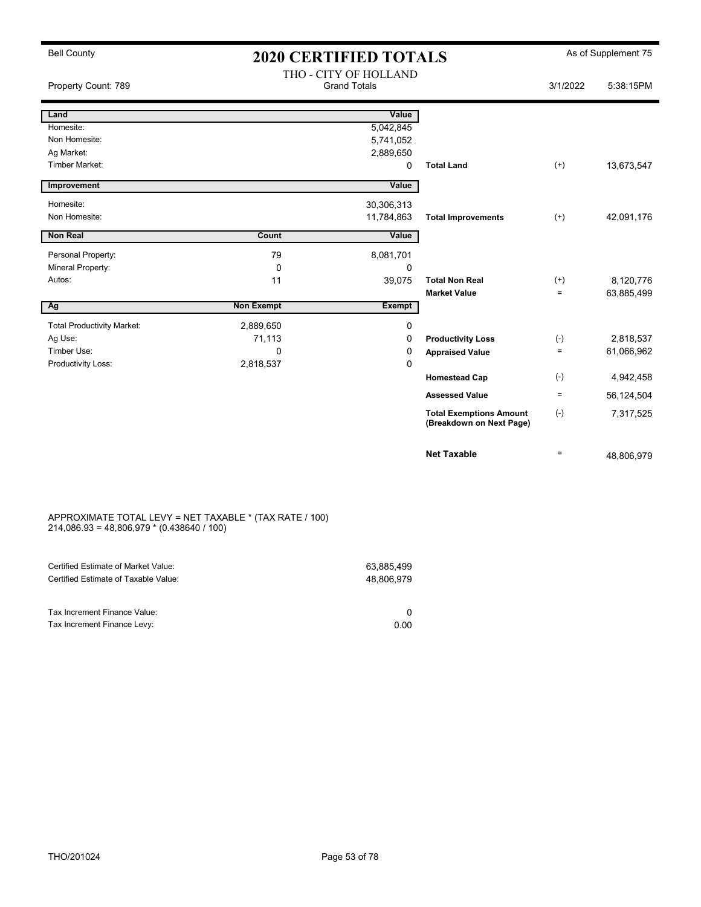# Bell County  $2020$  CERTIFIED TOTALS As of Supplement 75

| Property Count: 789               |                   | THO - CITY OF HOLLAND<br><b>Grand Totals</b> |                                                            | 3/1/2022     | 5:38:15PM  |
|-----------------------------------|-------------------|----------------------------------------------|------------------------------------------------------------|--------------|------------|
| Land                              |                   | Value                                        |                                                            |              |            |
| Homesite:                         |                   | 5,042,845                                    |                                                            |              |            |
| Non Homesite:                     |                   | 5,741,052                                    |                                                            |              |            |
| Ag Market:                        |                   | 2,889,650                                    |                                                            |              |            |
| Timber Market:                    |                   | 0                                            | <b>Total Land</b>                                          | $(+)$        | 13,673,547 |
| Improvement                       |                   | Value                                        |                                                            |              |            |
| Homesite:                         |                   | 30,306,313                                   |                                                            |              |            |
| Non Homesite:                     |                   | 11,784,863                                   | <b>Total Improvements</b>                                  | $^{(+)}$     | 42,091,176 |
| <b>Non Real</b>                   | Count             | Value                                        |                                                            |              |            |
| Personal Property:                | 79                | 8,081,701                                    |                                                            |              |            |
| Mineral Property:                 | 0                 | 0                                            |                                                            |              |            |
| Autos:                            | 11                | 39,075                                       | <b>Total Non Real</b>                                      | $(+)$        | 8,120,776  |
|                                   |                   |                                              | <b>Market Value</b>                                        | $=$          | 63,885,499 |
| Ag                                | <b>Non Exempt</b> | <b>Exempt</b>                                |                                                            |              |            |
| <b>Total Productivity Market:</b> | 2,889,650         | $\mathbf 0$                                  |                                                            |              |            |
| Ag Use:                           | 71,113            | 0                                            | <b>Productivity Loss</b>                                   | $(-)$        | 2,818,537  |
| Timber Use:                       | $\mathbf 0$       | 0                                            | <b>Appraised Value</b>                                     | $=$          | 61,066,962 |
| Productivity Loss:                | 2,818,537         | 0                                            |                                                            |              |            |
|                                   |                   |                                              | <b>Homestead Cap</b>                                       | $(-)$        | 4,942,458  |
|                                   |                   |                                              | <b>Assessed Value</b>                                      | ÷.           | 56,124,504 |
|                                   |                   |                                              | <b>Total Exemptions Amount</b><br>(Breakdown on Next Page) | $(\text{-})$ | 7,317,525  |
|                                   |                   |                                              | <b>Net Taxable</b>                                         | $=$          | 48,806,979 |

#### APPROXIMATE TOTAL LEVY = NET TAXABLE \* (TAX RATE / 100) 214,086.93 = 48,806,979 \* (0.438640 / 100)

| Certified Estimate of Market Value:                         | 63.885.499 |
|-------------------------------------------------------------|------------|
| Certified Estimate of Taxable Value:                        | 48.806.979 |
| Tax Increment Finance Value:<br>Tax Increment Finance Levy: | 0.00       |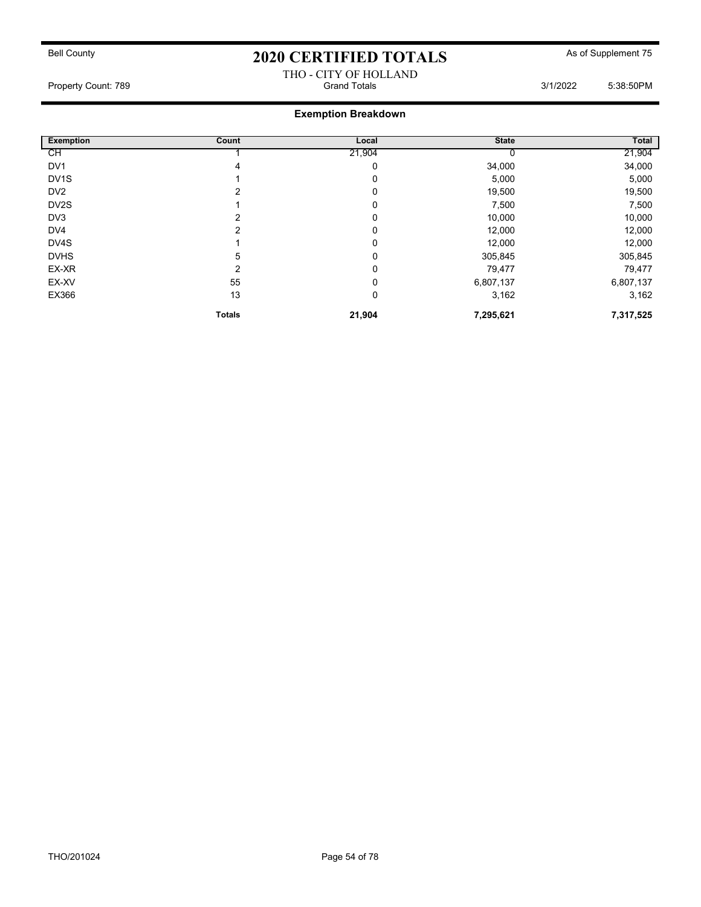#### THO - CITY OF HOLLAND Property Count: 789 Grand Totals 3/1/2022 5:38:50PM

| <b>Exemption</b>  | Count         | Local  | <b>State</b> | <b>Total</b> |
|-------------------|---------------|--------|--------------|--------------|
| СH                |               | 21,904 |              | 21,904       |
| DV <sub>1</sub>   | 4             | 0      | 34,000       | 34,000       |
| DV <sub>1</sub> S |               | 0      | 5,000        | 5,000        |
| DV <sub>2</sub>   |               | 0      | 19,500       | 19,500       |
| DV <sub>2</sub> S |               | 0      | 7,500        | 7,500        |
| DV3               | 2             | 0      | 10,000       | 10,000       |
| DV4               |               | 0      | 12,000       | 12,000       |
| DV4S              |               | 0      | 12,000       | 12,000       |
| <b>DVHS</b>       | 5             | 0      | 305,845      | 305,845      |
| EX-XR             | 2             | 0      | 79,477       | 79,477       |
| EX-XV             | 55            | 0      | 6,807,137    | 6,807,137    |
| EX366             | 13            | 0      | 3,162        | 3,162        |
|                   | <b>Totals</b> | 21,904 | 7,295,621    | 7,317,525    |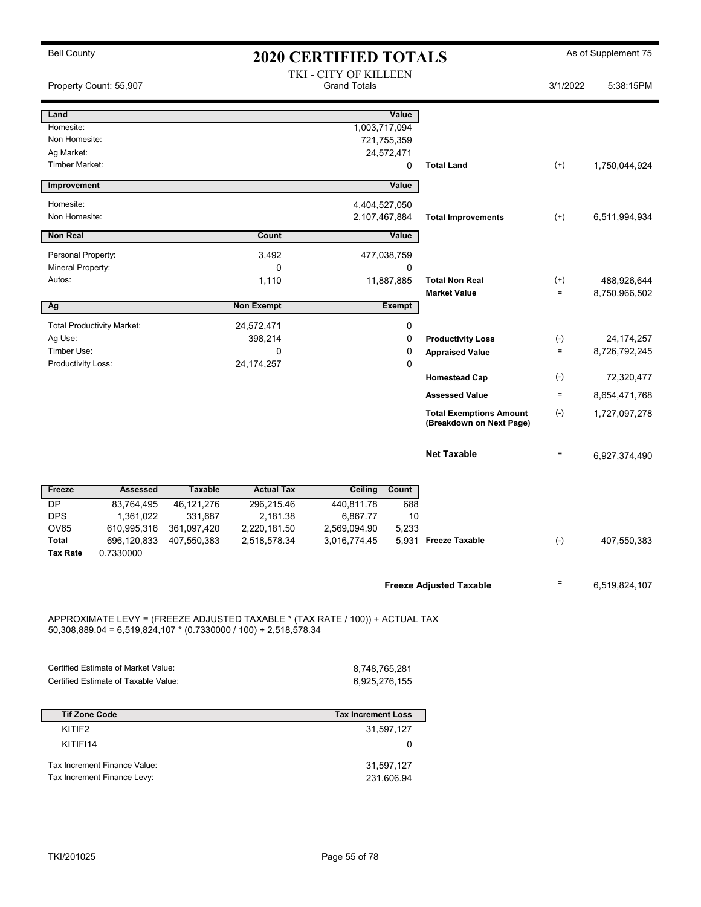| <b>Bell County</b>                                                                                                                                 |                |                   | <b>2020 CERTIFIED TOTALS</b>                 |               |                                                            |                      | As of Supplement 75          |
|----------------------------------------------------------------------------------------------------------------------------------------------------|----------------|-------------------|----------------------------------------------|---------------|------------------------------------------------------------|----------------------|------------------------------|
| Property Count: 55,907                                                                                                                             |                |                   | TKI - CITY OF KILLEEN<br><b>Grand Totals</b> |               |                                                            | 3/1/2022             | 5:38:15PM                    |
| Land                                                                                                                                               |                |                   |                                              | Value         |                                                            |                      |                              |
| Homesite:                                                                                                                                          |                |                   | 1,003,717,094                                |               |                                                            |                      |                              |
| Non Homesite:                                                                                                                                      |                |                   |                                              | 721,755,359   |                                                            |                      |                              |
| Ag Market:                                                                                                                                         |                |                   |                                              | 24,572,471    |                                                            |                      |                              |
| Timber Market:                                                                                                                                     |                |                   |                                              | 0             | <b>Total Land</b>                                          | $^{(+)}$             | 1,750,044,924                |
| Improvement                                                                                                                                        |                |                   |                                              | Value         |                                                            |                      |                              |
| Homesite:                                                                                                                                          |                |                   | 4,404,527,050                                |               |                                                            |                      |                              |
| Non Homesite:                                                                                                                                      |                |                   | 2,107,467,884                                |               | <b>Total Improvements</b>                                  | $^{(+)}$             | 6,511,994,934                |
| <b>Non Real</b>                                                                                                                                    |                | <b>Count</b>      |                                              | Value         |                                                            |                      |                              |
| Personal Property:                                                                                                                                 |                | 3,492             |                                              | 477,038,759   |                                                            |                      |                              |
| Mineral Property:                                                                                                                                  |                | $\mathbf 0$       |                                              | 0             |                                                            |                      |                              |
| Autos:                                                                                                                                             |                | 1,110             |                                              | 11,887,885    | <b>Total Non Real</b><br><b>Market Value</b>               | $^{(+)}$<br>$\equiv$ | 488,926,644<br>8,750,966,502 |
| Ag                                                                                                                                                 |                | <b>Non Exempt</b> |                                              | <b>Exempt</b> |                                                            |                      |                              |
| <b>Total Productivity Market:</b>                                                                                                                  |                | 24,572,471        |                                              | 0             |                                                            |                      |                              |
| Ag Use:                                                                                                                                            |                | 398,214           |                                              | 0             | <b>Productivity Loss</b>                                   | $(\text{-})$         | 24, 174, 257                 |
| Timber Use:                                                                                                                                        |                | 0                 |                                              | 0             | <b>Appraised Value</b>                                     | $\equiv$             | 8,726,792,245                |
| Productivity Loss:                                                                                                                                 |                | 24, 174, 257      |                                              | 0             |                                                            |                      |                              |
|                                                                                                                                                    |                |                   |                                              |               | <b>Homestead Cap</b>                                       | $(\text{-})$         | 72,320,477                   |
|                                                                                                                                                    |                |                   |                                              |               | <b>Assessed Value</b>                                      | $=$                  | 8,654,471,768                |
|                                                                                                                                                    |                |                   |                                              |               | <b>Total Exemptions Amount</b><br>(Breakdown on Next Page) | $(\text{-})$         | 1,727,097,278                |
|                                                                                                                                                    |                |                   |                                              |               | <b>Net Taxable</b>                                         | $\equiv$             | 6,927,374,490                |
| Freeze<br>Assessed                                                                                                                                 | <b>Taxable</b> | <b>Actual Tax</b> | Ceiling Count                                |               |                                                            |                      |                              |
| <b>DP</b><br>83,764,495                                                                                                                            | 46, 121, 276   | 296,215.46        | 440,811.78                                   | 688           |                                                            |                      |                              |
| <b>DPS</b><br>1,361,022                                                                                                                            | 331,687        | 2,181.38          | 6,867.77                                     | 10            |                                                            |                      |                              |
| OV65<br>610,995,316                                                                                                                                | 361,097,420    | 2,220,181.50      | 2,569,094.90                                 | 5,233         |                                                            |                      |                              |
| Total<br>696,120,833<br>Tax Rate<br>0.7330000                                                                                                      | 407,550,383    | 2,518,578.34      | 3,016,774.45                                 |               | 5,931 Freeze Taxable                                       | $(\text{-})$         | 407,550,383                  |
|                                                                                                                                                    |                |                   |                                              |               | <b>Freeze Adjusted Taxable</b>                             | Ξ.                   | 6,519,824,107                |
| APPROXIMATE LEVY = (FREEZE ADJUSTED TAXABLE * (TAX RATE / 100)) + ACTUAL TAX<br>$50,308,889.04 = 6,519,824,107 * (0.7330000 / 100) + 2,518,578.34$ |                |                   |                                              |               |                                                            |                      |                              |
|                                                                                                                                                    |                |                   |                                              |               |                                                            |                      |                              |
| Certified Estimate of Market Value:                                                                                                                |                |                   | 8,748,765,281                                |               |                                                            |                      |                              |
| Certified Estimate of Taxable Value:                                                                                                               |                |                   | 6,925,276,155                                |               |                                                            |                      |                              |
|                                                                                                                                                    |                |                   |                                              |               |                                                            |                      |                              |
| <b>Tif Zone Code</b>                                                                                                                               |                |                   | <b>Tax Increment Loss</b>                    |               |                                                            |                      |                              |
| KITIF2                                                                                                                                             |                |                   |                                              | 31,597,127    |                                                            |                      |                              |
| KITIFI14                                                                                                                                           |                |                   |                                              | 0             |                                                            |                      |                              |
| Tax Increment Finance Value:                                                                                                                       |                |                   |                                              | 31,597,127    |                                                            |                      |                              |
| Tax Increment Finance Levy:                                                                                                                        |                |                   |                                              | 231,606.94    |                                                            |                      |                              |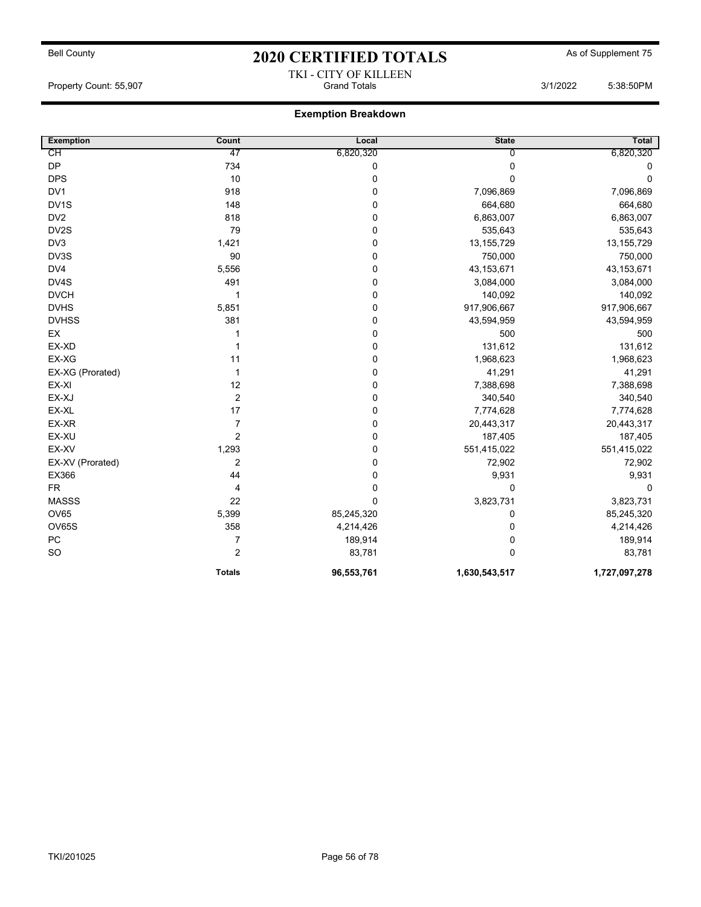## Bell County **As of Supplement 75** 2020 CERTIFIED TOTALS As of Supplement 75 TKI - CITY OF KILLEEN

Property Count: 55,907 **Count: 55,907** Grand Totals 3/1/2022 5:38:50PM

| <b>Exemption</b>  | Count          | Local       | <b>State</b>   | Total         |
|-------------------|----------------|-------------|----------------|---------------|
| CН                | 47             | 6,820,320   | $\overline{0}$ | 6,820,320     |
| DP                | 734            | 0           | 0              | 0             |
| <b>DPS</b>        | 10             | $\pmb{0}$   | $\Omega$       | $\Omega$      |
| DV1               | 918            | 0           | 7,096,869      | 7,096,869     |
| DV <sub>1</sub> S | 148            | $\pmb{0}$   | 664,680        | 664,680       |
| DV <sub>2</sub>   | 818            | $\pmb{0}$   | 6,863,007      | 6,863,007     |
| DV2S              | 79             | 0           | 535,643        | 535,643       |
| DV3               | 1,421          | $\mathbf 0$ | 13, 155, 729   | 13, 155, 729  |
| DV3S              | 90             | 0           | 750,000        | 750,000       |
| DV4               | 5,556          | 0           | 43,153,671     | 43, 153, 671  |
| DV4S              | 491            | 0           | 3,084,000      | 3,084,000     |
| <b>DVCH</b>       | 1              | $\pmb{0}$   | 140,092        | 140,092       |
| <b>DVHS</b>       | 5,851          | 0           | 917,906,667    | 917,906,667   |
| <b>DVHSS</b>      | 381            | 0           | 43,594,959     | 43,594,959    |
| EX                | 1              | 0           | 500            | 500           |
| EX-XD             | 1              | $\pmb{0}$   | 131,612        | 131,612       |
| EX-XG             | 11             | $\pmb{0}$   | 1,968,623      | 1,968,623     |
| EX-XG (Prorated)  | $\mathbf{1}$   | 0           | 41,291         | 41,291        |
| EX-XI             | 12             | 0           | 7,388,698      | 7,388,698     |
| EX-XJ             | $\overline{2}$ | 0           | 340,540        | 340,540       |
| EX-XL             | 17             | $\mathbf 0$ | 7,774,628      | 7,774,628     |
| EX-XR             | $\overline{7}$ | $\pmb{0}$   | 20,443,317     | 20,443,317    |
| EX-XU             | 2              | 0           | 187,405        | 187,405       |
| EX-XV             | 1,293          | 0           | 551,415,022    | 551,415,022   |
| EX-XV (Prorated)  | $\overline{2}$ | 0           | 72,902         | 72,902        |
| EX366             | 44             | $\pmb{0}$   | 9,931          | 9,931         |
| <b>FR</b>         | 4              | $\pmb{0}$   | 0              | $\mathbf 0$   |
| <b>MASSS</b>      | 22             | $\mathbf 0$ | 3,823,731      | 3,823,731     |
| OV65              | 5,399          | 85,245,320  | 0              | 85,245,320    |
| OV65S             | 358            | 4,214,426   | 0              | 4,214,426     |
| PC                | $\overline{7}$ | 189,914     | 0              | 189,914       |
| <b>SO</b>         | 2              | 83,781      | $\Omega$       | 83,781        |
|                   | <b>Totals</b>  | 96,553,761  | 1,630,543,517  | 1,727,097,278 |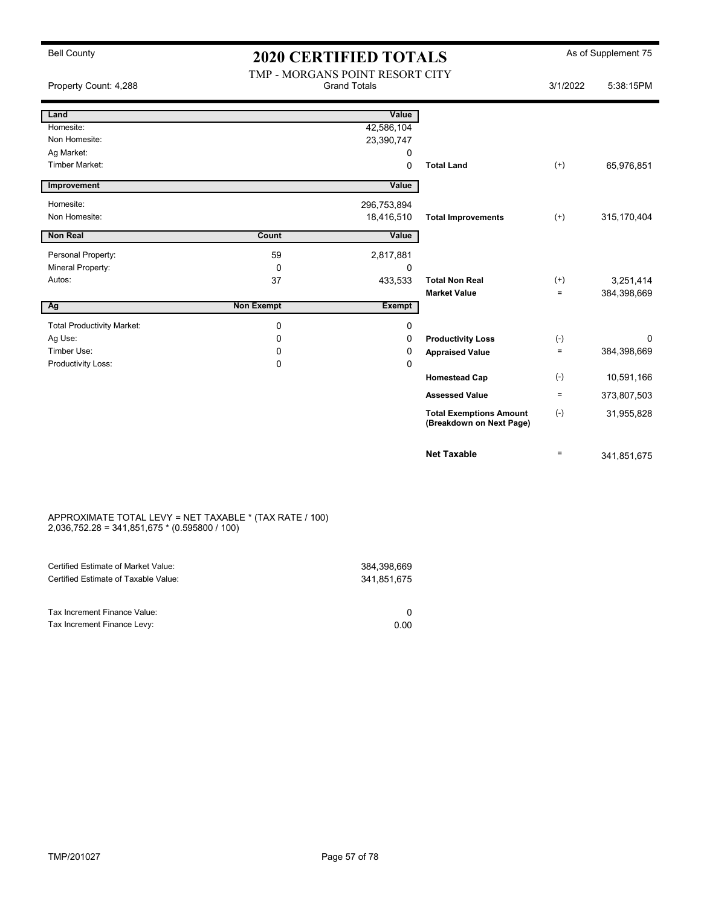## Bell County **As of Supplement 75** 2020 CERTIFIED TOTALS As of Supplement 75 TMP - MORGANS POINT RESORT CITY

| Property Count: 4,288             |                   | TIME - MOROAINS FOINT RESORT CITT<br><b>Grand Totals</b> |                                                            | 3/1/2022 | 5:38:15PM   |
|-----------------------------------|-------------------|----------------------------------------------------------|------------------------------------------------------------|----------|-------------|
| Land                              |                   | Value                                                    |                                                            |          |             |
| Homesite:                         |                   | 42,586,104                                               |                                                            |          |             |
| Non Homesite:                     |                   | 23,390,747                                               |                                                            |          |             |
| Ag Market:                        |                   | 0                                                        |                                                            |          |             |
| <b>Timber Market:</b>             |                   | 0                                                        | <b>Total Land</b>                                          | $^{(+)}$ | 65,976,851  |
| Improvement                       |                   | Value                                                    |                                                            |          |             |
| Homesite:                         |                   | 296,753,894                                              |                                                            |          |             |
| Non Homesite:                     |                   | 18,416,510                                               | <b>Total Improvements</b>                                  | $^{(+)}$ | 315,170,404 |
| <b>Non Real</b>                   | Count             | Value                                                    |                                                            |          |             |
| Personal Property:                | 59                | 2,817,881                                                |                                                            |          |             |
| Mineral Property:                 | 0                 | 0                                                        |                                                            |          |             |
| Autos:                            | 37                | 433,533                                                  | <b>Total Non Real</b>                                      | $^{(+)}$ | 3,251,414   |
|                                   |                   |                                                          | <b>Market Value</b>                                        | $\equiv$ | 384,398,669 |
| Ag                                | <b>Non Exempt</b> | <b>Exempt</b>                                            |                                                            |          |             |
| <b>Total Productivity Market:</b> | $\mathbf 0$       | 0                                                        |                                                            |          |             |
| Ag Use:                           | 0                 | 0                                                        | <b>Productivity Loss</b>                                   | $(-)$    | 0           |
| Timber Use:                       | 0                 | 0                                                        | <b>Appraised Value</b>                                     | $\equiv$ | 384,398,669 |
| Productivity Loss:                | 0                 | 0                                                        |                                                            |          |             |
|                                   |                   |                                                          | <b>Homestead Cap</b>                                       | $(-)$    | 10,591,166  |
|                                   |                   |                                                          | <b>Assessed Value</b>                                      | $\equiv$ | 373,807,503 |
|                                   |                   |                                                          | <b>Total Exemptions Amount</b><br>(Breakdown on Next Page) | $(-)$    | 31,955,828  |
|                                   |                   |                                                          | <b>Net Taxable</b>                                         | $=$      | 341,851,675 |

#### APPROXIMATE TOTAL LEVY = NET TAXABLE \* (TAX RATE / 100) 2,036,752.28 = 341,851,675 \* (0.595800 / 100)

| Certified Estimate of Market Value:                         | 384.398.669 |
|-------------------------------------------------------------|-------------|
| Certified Estimate of Taxable Value:                        | 341.851.675 |
| Tax Increment Finance Value:<br>Tax Increment Finance Levy: | 0.00        |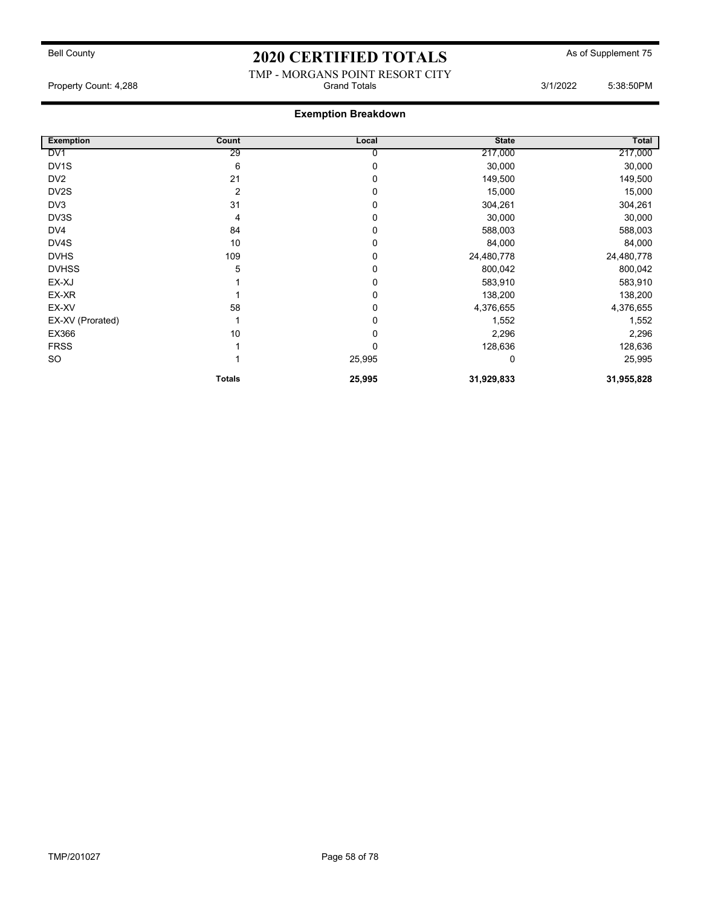#### TMP - MORGANS POINT RESORT CITY Property Count: 4,288 **Crambuse 2018** Grand Totals 3/1/2022 5:38:50PM

| <b>Exemption</b>  | Count         | Local  | <b>State</b> | Total      |
|-------------------|---------------|--------|--------------|------------|
| DV <sub>1</sub>   | 29            | 0      | 217,000      | 217,000    |
| DV <sub>1</sub> S | 6             | 0      | 30,000       | 30,000     |
| DV <sub>2</sub>   | 21            | 0      | 149,500      | 149,500    |
| DV <sub>2</sub> S | 2             | 0      | 15,000       | 15,000     |
| DV3               | 31            | 0      | 304,261      | 304,261    |
| DV3S              | 4             | 0      | 30,000       | 30,000     |
| DV4               | 84            | 0      | 588,003      | 588,003    |
| DV4S              | 10            | 0      | 84,000       | 84,000     |
| <b>DVHS</b>       | 109           | 0      | 24,480,778   | 24,480,778 |
| <b>DVHSS</b>      | 5             | 0      | 800,042      | 800,042    |
| EX-XJ             |               | 0      | 583,910      | 583,910    |
| EX-XR             |               | 0      | 138,200      | 138,200    |
| EX-XV             | 58            | 0      | 4,376,655    | 4,376,655  |
| EX-XV (Prorated)  |               | 0      | 1,552        | 1,552      |
| EX366             | 10            | 0      | 2,296        | 2,296      |
| <b>FRSS</b>       |               | 0      | 128,636      | 128,636    |
| SO                |               | 25,995 | 0            | 25,995     |
|                   | <b>Totals</b> | 25,995 | 31,929,833   | 31,955,828 |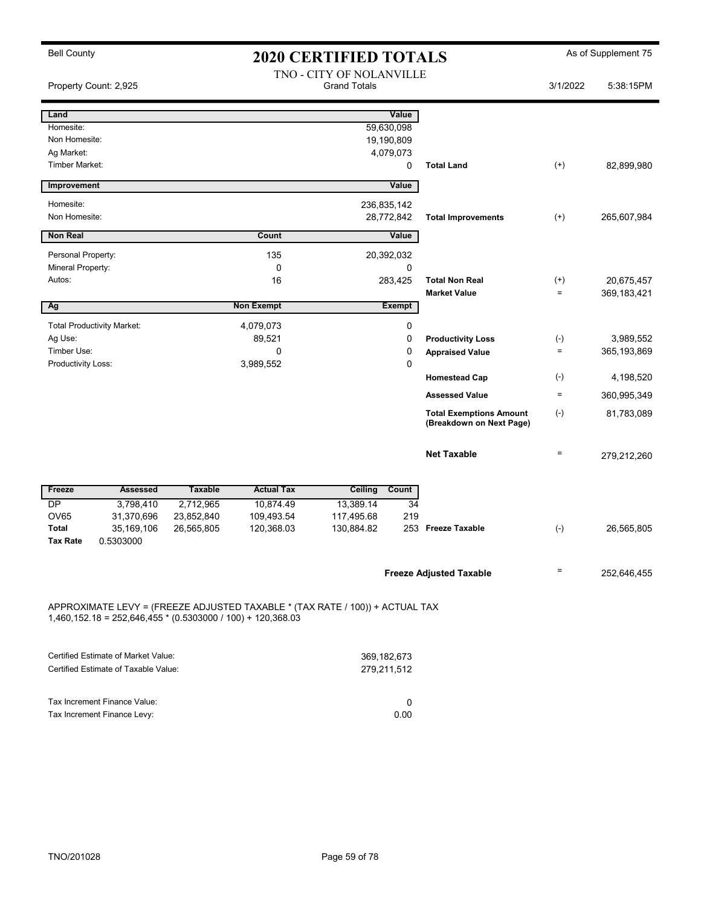| <b>Bell County</b>       |                                                                                                                                               | <b>2020 CERTIFIED TOTALS</b>                    |                   |                |                 |                                                            | As of Supplement 75 |               |
|--------------------------|-----------------------------------------------------------------------------------------------------------------------------------------------|-------------------------------------------------|-------------------|----------------|-----------------|------------------------------------------------------------|---------------------|---------------|
|                          | Property Count: 2,925                                                                                                                         | TNO - CITY OF NOLANVILLE<br><b>Grand Totals</b> |                   |                | 3/1/2022        | 5:38:15PM                                                  |                     |               |
| Land                     |                                                                                                                                               |                                                 |                   |                | Value           |                                                            |                     |               |
| Homesite:                |                                                                                                                                               |                                                 |                   |                | 59,630,098      |                                                            |                     |               |
| Non Homesite:            |                                                                                                                                               |                                                 |                   |                | 19,190,809      |                                                            |                     |               |
| Ag Market:               |                                                                                                                                               |                                                 |                   |                | 4,079,073       |                                                            |                     |               |
| Timber Market:           |                                                                                                                                               |                                                 |                   |                | 0               | <b>Total Land</b>                                          | $(+)$               | 82,899,980    |
| Improvement              |                                                                                                                                               |                                                 |                   |                | Value           |                                                            |                     |               |
| Homesite:                |                                                                                                                                               |                                                 |                   | 236,835,142    |                 |                                                            |                     |               |
| Non Homesite:            |                                                                                                                                               |                                                 |                   |                | 28,772,842      | <b>Total Improvements</b>                                  | $^{(+)}$            | 265,607,984   |
| <b>Non Real</b>          |                                                                                                                                               |                                                 | Count             |                | Value           |                                                            |                     |               |
| Personal Property:       |                                                                                                                                               |                                                 | 135               |                | 20,392,032      |                                                            |                     |               |
| Mineral Property:        |                                                                                                                                               |                                                 | $\mathbf 0$       |                | 0               |                                                            |                     |               |
| Autos:                   |                                                                                                                                               |                                                 | 16                |                | 283,425         | <b>Total Non Real</b>                                      | $^{(+)}$<br>$=$     | 20,675,457    |
| Ag                       |                                                                                                                                               |                                                 | <b>Non Exempt</b> |                | <b>Exempt</b>   | <b>Market Value</b>                                        |                     | 369,183,421   |
|                          | <b>Total Productivity Market:</b>                                                                                                             |                                                 | 4,079,073         |                | 0               |                                                            |                     |               |
| Ag Use:                  |                                                                                                                                               |                                                 | 89,521            |                | $\mathbf 0$     | <b>Productivity Loss</b>                                   | $(\textnormal{-})$  | 3,989,552     |
| Timber Use:              |                                                                                                                                               |                                                 | $\mathbf 0$       |                | $\mathbf 0$     | <b>Appraised Value</b>                                     | $\equiv$            | 365, 193, 869 |
| Productivity Loss:       |                                                                                                                                               |                                                 | 3,989,552         |                | $\mathbf 0$     |                                                            |                     |               |
|                          |                                                                                                                                               |                                                 |                   |                |                 | <b>Homestead Cap</b>                                       | $(-)$               | 4,198,520     |
|                          |                                                                                                                                               |                                                 |                   |                |                 | <b>Assessed Value</b>                                      | $\equiv$            | 360,995,349   |
|                          |                                                                                                                                               |                                                 |                   |                |                 | <b>Total Exemptions Amount</b><br>(Breakdown on Next Page) | $(\textnormal{-})$  | 81,783,089    |
|                          |                                                                                                                                               |                                                 |                   |                |                 | <b>Net Taxable</b>                                         | $\equiv$            | 279,212,260   |
| Freeze                   | <b>Assessed</b>                                                                                                                               | <b>Taxable</b>                                  | <b>Actual Tax</b> | <b>Ceiling</b> | Count           |                                                            |                     |               |
| $\overline{\mathsf{DP}}$ | 3,798,410                                                                                                                                     | 2,712,965                                       | 10,874.49         | 13,389.14      | $\overline{34}$ |                                                            |                     |               |
| <b>OV65</b>              | 31,370,696                                                                                                                                    | 23,852,840                                      | 109,493.54        | 117,495.68     | 219             |                                                            |                     |               |
| <b>Total</b>             | 35,169,106                                                                                                                                    | 26,565,805                                      | 120,368.03        | 130,884.82     |                 | 253 Freeze Taxable                                         | $(-)$               | 26,565,805    |
| <b>Tax Rate</b>          | 0.5303000                                                                                                                                     |                                                 |                   |                |                 |                                                            |                     |               |
|                          |                                                                                                                                               |                                                 |                   |                |                 | <b>Freeze Adjusted Taxable</b>                             | $=$                 | 252,646,455   |
|                          | APPROXIMATE LEVY = (FREEZE ADJUSTED TAXABLE * (TAX RATE / 100)) + ACTUAL TAX<br>$1,460,152.18 = 252,646,455 * (0.5303000 / 100) + 120,368.03$ |                                                 |                   |                |                 |                                                            |                     |               |

| Certified Estimate of Market Value:  | 369,182,673 |
|--------------------------------------|-------------|
| Certified Estimate of Taxable Value: | 279.211.512 |
|                                      |             |
|                                      |             |
| Tax Increment Finance Value:         |             |
| Tax Increment Finance Levy:          | 0.00        |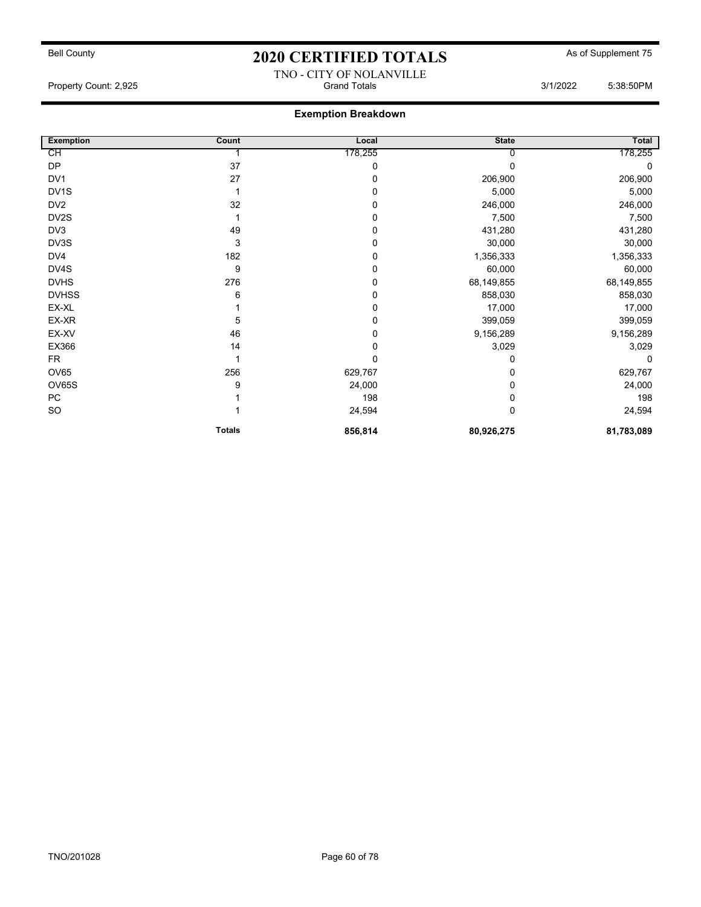#### TNO - CITY OF NOLANVILLE Property Count: 2,925 Grand Totals 3/1/2022 5:38:50PM

| <b>Exemption</b> | Count         | Local   | <b>State</b> | Total      |
|------------------|---------------|---------|--------------|------------|
| СH               |               | 178,255 |              | 178,255    |
| <b>DP</b>        | 37            | 0       |              | 0          |
| DV <sub>1</sub>  | 27            | 0       | 206,900      | 206,900    |
| DV1S             |               | 0       | 5,000        | 5,000      |
| DV <sub>2</sub>  | 32            | 0       | 246,000      | 246,000    |
| DV2S             |               | 0       | 7,500        | 7,500      |
| DV3              | 49            | 0       | 431,280      | 431,280    |
| DV3S             | 3             | 0       | 30,000       | 30,000     |
| DV4              | 182           | 0       | 1,356,333    | 1,356,333  |
| DV4S             | 9             | 0       | 60,000       | 60,000     |
| <b>DVHS</b>      | 276           | 0       | 68,149,855   | 68,149,855 |
| <b>DVHSS</b>     | 6             | 0       | 858,030      | 858,030    |
| EX-XL            |               | 0       | 17,000       | 17,000     |
| EX-XR            | 5             | 0       | 399,059      | 399,059    |
| EX-XV            | 46            | 0       | 9,156,289    | 9,156,289  |
| EX366            | 14            | 0       | 3,029        | 3,029      |
| FR.              |               | 0       | 0            | $\Omega$   |
| <b>OV65</b>      | 256           | 629,767 | 0            | 629,767    |
| OV65S            | 9             | 24,000  | 0            | 24,000     |
| PC               |               | 198     | 0            | 198        |
| <b>SO</b>        |               | 24,594  | 0            | 24,594     |
|                  | <b>Totals</b> | 856,814 | 80,926,275   | 81,783,089 |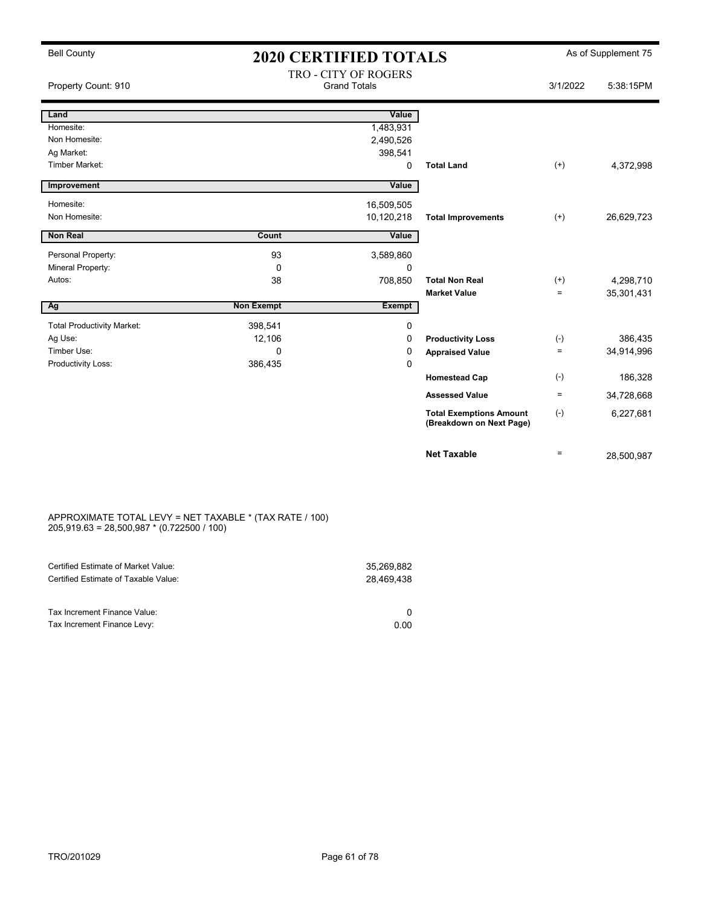| <b>Bell County</b>                  |                   | <b>2020 CERTIFIED TOTALS</b>                |                                                            |          | As of Supplement 75 |
|-------------------------------------|-------------------|---------------------------------------------|------------------------------------------------------------|----------|---------------------|
| Property Count: 910                 |                   | TRO - CITY OF ROGERS<br><b>Grand Totals</b> |                                                            | 3/1/2022 | 5:38:15PM           |
| Land                                |                   | Value                                       |                                                            |          |                     |
| Homesite:                           |                   | 1,483,931                                   |                                                            |          |                     |
| Non Homesite:                       |                   | 2,490,526                                   |                                                            |          |                     |
| Ag Market:<br><b>Timber Market:</b> |                   | 398,541                                     |                                                            |          |                     |
|                                     |                   | $\Omega$                                    | <b>Total Land</b>                                          | $(+)$    | 4,372,998           |
| Improvement                         |                   | Value                                       |                                                            |          |                     |
| Homesite:                           |                   | 16,509,505                                  |                                                            |          |                     |
| Non Homesite:                       |                   | 10,120,218                                  | <b>Total Improvements</b>                                  | $(+)$    | 26,629,723          |
| <b>Non Real</b>                     | Count             | Value                                       |                                                            |          |                     |
|                                     |                   |                                             |                                                            |          |                     |
| Personal Property:                  | 93                | 3,589,860                                   |                                                            |          |                     |
| Mineral Property:                   | $\mathbf 0$       | 0                                           |                                                            |          |                     |
| Autos:                              | 38                | 708,850                                     | <b>Total Non Real</b>                                      | $^{(+)}$ | 4,298,710           |
|                                     | <b>Non Exempt</b> | <b>Exempt</b>                               | <b>Market Value</b>                                        | $\equiv$ | 35,301,431          |
| Ag                                  |                   |                                             |                                                            |          |                     |
| <b>Total Productivity Market:</b>   | 398,541           | 0                                           |                                                            |          |                     |
| Ag Use:                             | 12,106            | 0                                           | <b>Productivity Loss</b>                                   | $(-)$    | 386,435             |
| Timber Use:                         | $\Omega$          | 0                                           | <b>Appraised Value</b>                                     | $\equiv$ | 34,914,996          |
| Productivity Loss:                  | 386,435           | 0                                           |                                                            |          |                     |
|                                     |                   |                                             | <b>Homestead Cap</b>                                       | $(-)$    | 186,328             |
|                                     |                   |                                             | <b>Assessed Value</b>                                      | $\equiv$ | 34,728,668          |
|                                     |                   |                                             | <b>Total Exemptions Amount</b><br>(Breakdown on Next Page) | $(-)$    | 6,227,681           |
|                                     |                   |                                             | <b>Net Taxable</b>                                         | $=$      | 28.500.987          |

#### APPROXIMATE TOTAL LEVY = NET TAXABLE \* (TAX RATE / 100) 205,919.63 = 28,500,987 \* (0.722500 / 100)

| Certified Estimate of Market Value:<br>Certified Estimate of Taxable Value: | 35.269.882<br>28.469.438 |
|-----------------------------------------------------------------------------|--------------------------|
| Tax Increment Finance Value:                                                |                          |
| Tax Increment Finance Levy:                                                 | 0.00                     |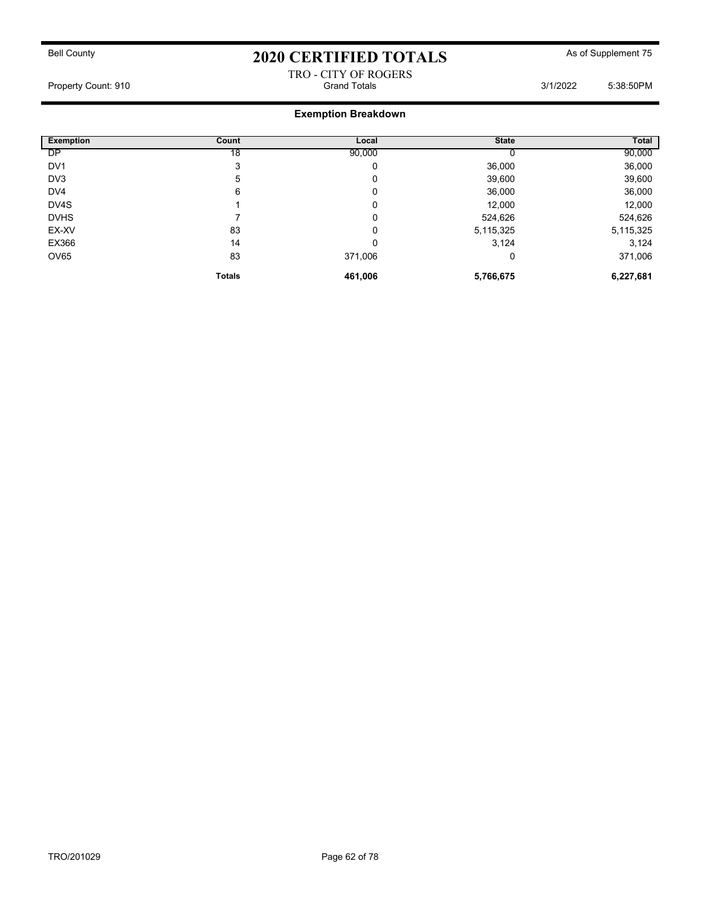### TRO - CITY OF ROGERS Property Count: 910 **Crand Totals** 3/1/2022 5:38:50PM

| Exemption       | Count         | Local   | <b>State</b> | Total     |
|-----------------|---------------|---------|--------------|-----------|
| DP              | 18            | 90,000  |              | 90,000    |
| DV <sub>1</sub> | 3             | 0       | 36,000       | 36,000    |
| DV3             | 5             | 0       | 39,600       | 39,600    |
| DV4             | 6             | 0       | 36,000       | 36,000    |
| DV4S            |               | 0       | 12,000       | 12,000    |
| <b>DVHS</b>     |               | 0       | 524,626      | 524,626   |
| EX-XV           | 83            | 0       | 5,115,325    | 5,115,325 |
| EX366           | 14            | 0       | 3,124        | 3,124     |
| OV65            | 83            | 371,006 | 0            | 371,006   |
|                 | <b>Totals</b> | 461,006 | 5,766,675    | 6,227,681 |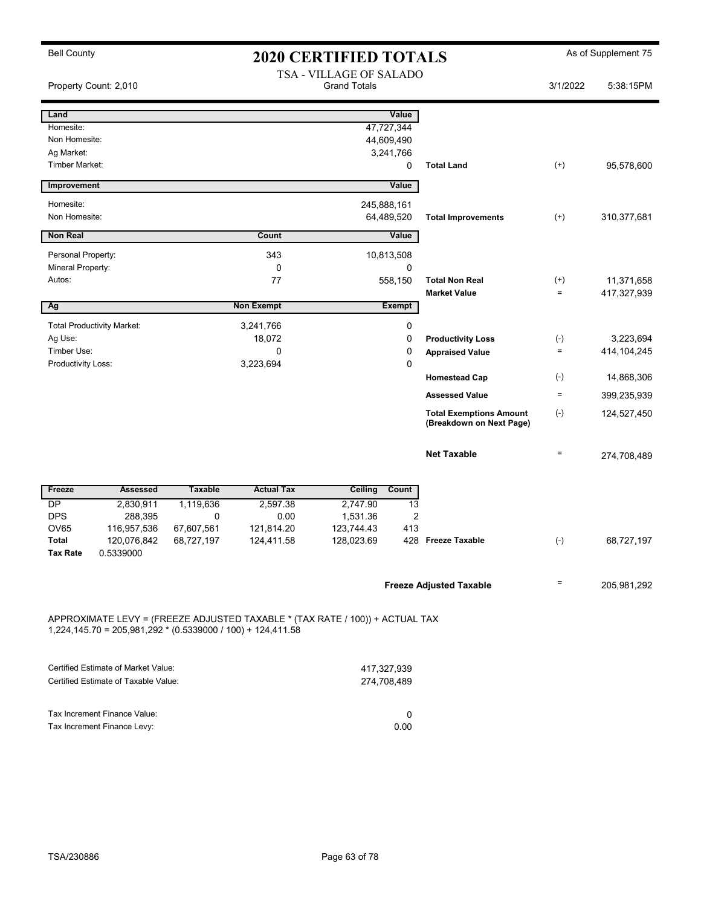|  | <b>Bell County</b> |
|--|--------------------|
|--|--------------------|

# 2020 CERTIFIED TOTALS As of Supplement 75

|                    | Property Count: 2,010                                         |                |                                                                              | TSA - VILLAGE OF SALADO<br><b>Grand Totals</b> |               |                                                            | 3/1/2022     | 5:38:15PM     |
|--------------------|---------------------------------------------------------------|----------------|------------------------------------------------------------------------------|------------------------------------------------|---------------|------------------------------------------------------------|--------------|---------------|
| Land               |                                                               |                |                                                                              |                                                | Value         |                                                            |              |               |
| Homesite:          |                                                               |                |                                                                              |                                                | 47,727,344    |                                                            |              |               |
| Non Homesite:      |                                                               |                |                                                                              |                                                | 44,609,490    |                                                            |              |               |
| Ag Market:         |                                                               |                |                                                                              |                                                | 3,241,766     |                                                            |              |               |
| Timber Market:     |                                                               |                |                                                                              |                                                | 0             | <b>Total Land</b>                                          | $^{(+)}$     | 95,578,600    |
| Improvement        |                                                               |                |                                                                              |                                                | Value         |                                                            |              |               |
| Homesite:          |                                                               |                |                                                                              | 245,888,161                                    |               |                                                            |              |               |
| Non Homesite:      |                                                               |                |                                                                              |                                                | 64,489,520    | <b>Total Improvements</b>                                  | $^{(+)}$     | 310,377,681   |
| <b>Non Real</b>    |                                                               |                | Count                                                                        |                                                | Value         |                                                            |              |               |
|                    |                                                               |                |                                                                              |                                                |               |                                                            |              |               |
| Personal Property: |                                                               |                | 343                                                                          |                                                | 10,813,508    |                                                            |              |               |
| Mineral Property:  |                                                               |                | 0                                                                            |                                                | 0             |                                                            |              |               |
| Autos:             |                                                               |                | 77                                                                           |                                                | 558,150       | <b>Total Non Real</b>                                      | $^{(+)}$     | 11,371,658    |
|                    |                                                               |                |                                                                              |                                                |               | <b>Market Value</b>                                        | $\quad =$    | 417,327,939   |
| Ag                 |                                                               |                | <b>Non Exempt</b>                                                            |                                                | <b>Exempt</b> |                                                            |              |               |
|                    | <b>Total Productivity Market:</b>                             |                | 3,241,766                                                                    |                                                | 0             |                                                            |              |               |
| Ag Use:            |                                                               |                | 18,072                                                                       |                                                | $\mathbf 0$   | <b>Productivity Loss</b>                                   | $(-)$        | 3,223,694     |
| Timber Use:        |                                                               |                | 0                                                                            |                                                | $\mathbf 0$   | <b>Appraised Value</b>                                     | $\equiv$     | 414, 104, 245 |
| Productivity Loss: |                                                               |                | 3,223,694                                                                    |                                                | $\mathbf 0$   |                                                            |              |               |
|                    |                                                               |                |                                                                              |                                                |               | <b>Homestead Cap</b>                                       | $(\text{-})$ | 14,868,306    |
|                    |                                                               |                |                                                                              |                                                |               | <b>Assessed Value</b>                                      | $\equiv$     | 399,235,939   |
|                    |                                                               |                |                                                                              |                                                |               | <b>Total Exemptions Amount</b><br>(Breakdown on Next Page) | $(\text{-})$ | 124,527,450   |
|                    |                                                               |                |                                                                              |                                                |               | <b>Net Taxable</b>                                         | $\equiv$     | 274,708,489   |
| Freeze             | <b>Assessed</b>                                               | <b>Taxable</b> | <b>Actual Tax</b>                                                            | Ceiling                                        | Count         |                                                            |              |               |
| <b>DP</b>          | 2,830,911                                                     | 1,119,636      | 2,597.38                                                                     | 2,747.90                                       | 13            |                                                            |              |               |
| <b>DPS</b>         | 288,395                                                       | $\mathbf 0$    | 0.00                                                                         | 1,531.36                                       | 2             |                                                            |              |               |
| OV65               | 116,957,536                                                   | 67,607,561     | 121,814.20                                                                   | 123,744.43                                     | 413           |                                                            |              |               |
| <b>Total</b>       | 120,076,842                                                   | 68,727,197     | 124,411.58                                                                   | 128,023.69                                     |               | 428 Freeze Taxable                                         | $(\text{-})$ | 68,727,197    |
| <b>Tax Rate</b>    | 0.5339000                                                     |                |                                                                              |                                                |               |                                                            |              |               |
|                    |                                                               |                |                                                                              |                                                |               | <b>Freeze Adjusted Taxable</b>                             | $=$          | 205, 981, 292 |
|                    | $1,224,145.70 = 205,981,292 * (0.5339000 / 100) + 124,411.58$ |                | APPROXIMATE LEVY = (FREEZE ADJUSTED TAXABLE * (TAX RATE / 100)) + ACTUAL TAX |                                                |               |                                                            |              |               |
|                    | <b>Certified Estimate of Market Value:</b>                    |                |                                                                              | 417,327,939                                    |               |                                                            |              |               |
|                    | Certified Estimate of Taxable Value:                          |                |                                                                              | 274,708,489                                    |               |                                                            |              |               |
|                    |                                                               |                |                                                                              |                                                |               |                                                            |              |               |
|                    | Tax Increment Finance Value:                                  |                |                                                                              |                                                | 0             |                                                            |              |               |
|                    | Tax Increment Finance Levy:                                   |                |                                                                              |                                                | 0.00          |                                                            |              |               |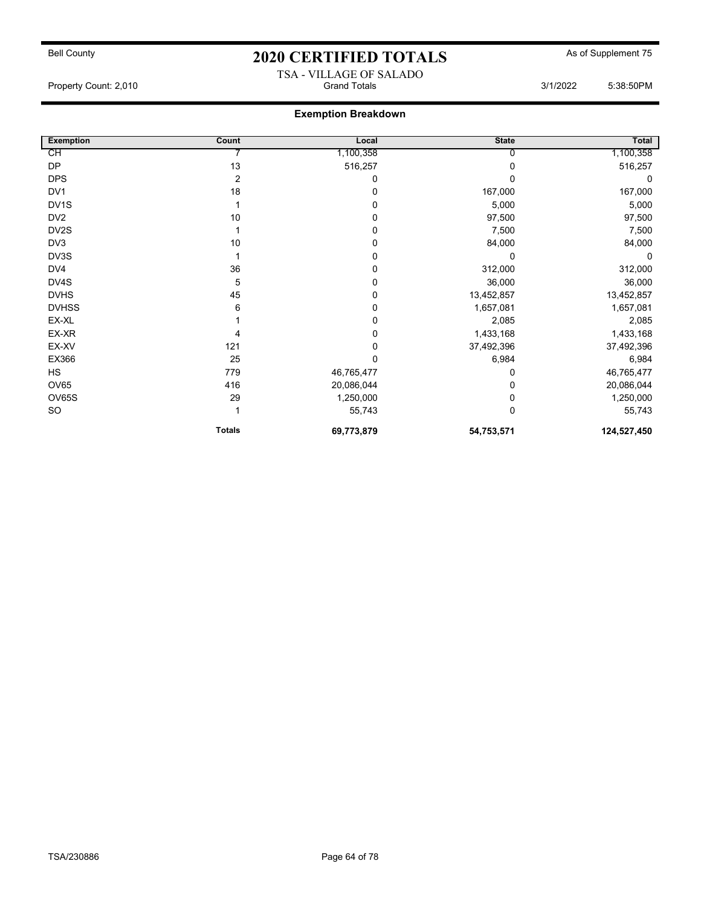## Bell County **As of Supplement 75** 2020 CERTIFIED TOTALS As of Supplement 75 TSA - VILLAGE OF SALADO

Property Count: 2,010 **Crand Totals 3/1/2022** 5:38:50PM

| <b>Exemption</b>  | Count          | Local       | <b>State</b> | Total       |
|-------------------|----------------|-------------|--------------|-------------|
| СH                |                | 1,100,358   |              | 1,100,358   |
| <b>DP</b>         | 13             | 516,257     |              | 516,257     |
| <b>DPS</b>        | $\overline{2}$ | 0           |              | 0           |
| DV <sub>1</sub>   | 18             | 0           | 167,000      | 167,000     |
| DV <sub>1</sub> S |                | 0           | 5,000        | 5,000       |
| DV <sub>2</sub>   | 10             | 0           | 97,500       | 97,500      |
| DV2S              |                | 0           | 7,500        | 7,500       |
| DV3               | 10             | 0           | 84,000       | 84,000      |
| DV3S              |                | 0           | $\Omega$     | 0           |
| DV4               | 36             | 0           | 312,000      | 312,000     |
| DV4S              | 5              | 0           | 36,000       | 36,000      |
| <b>DVHS</b>       | 45             | 0           | 13,452,857   | 13,452,857  |
| <b>DVHSS</b>      | 6              | 0           | 1,657,081    | 1,657,081   |
| EX-XL             |                | 0           | 2,085        | 2,085       |
| EX-XR             |                | 0           | 1,433,168    | 1,433,168   |
| EX-XV             | 121            | 0           | 37,492,396   | 37,492,396  |
| EX366             | 25             | $\mathbf 0$ | 6,984        | 6,984       |
| <b>HS</b>         | 779            | 46,765,477  |              | 46,765,477  |
| <b>OV65</b>       | 416            | 20,086,044  | 0            | 20,086,044  |
| OV65S             | 29             | 1,250,000   |              | 1,250,000   |
| SO                |                | 55,743      | 0            | 55,743      |
|                   | <b>Totals</b>  | 69,773,879  | 54,753,571   | 124,527,450 |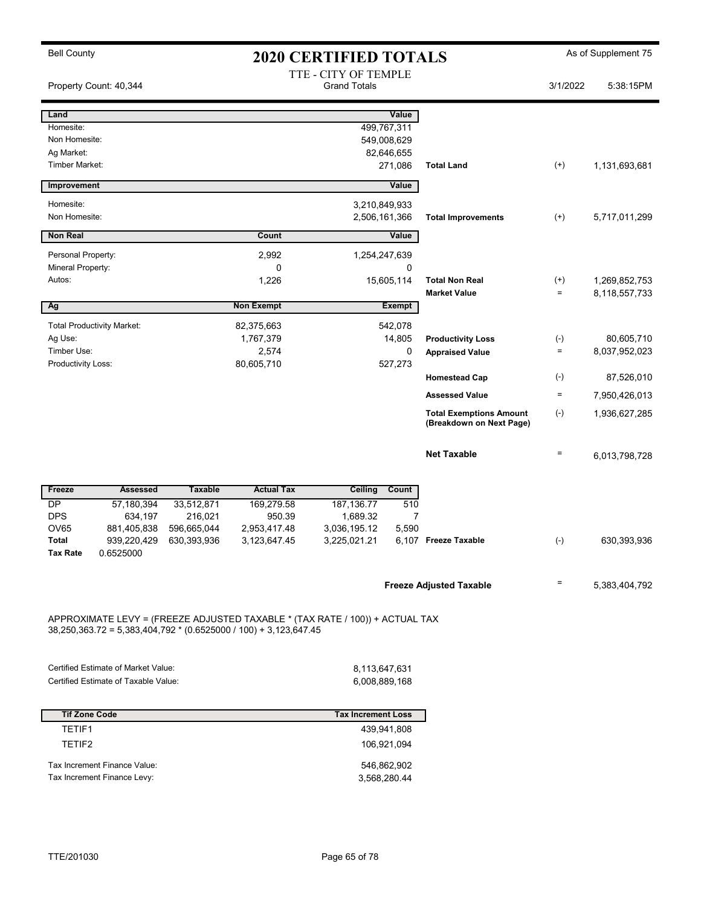Bell County **As of Supplement 75** 2020 CERTIFIED TOTALS As of Supplement 75 TTE - CITY OF TEMPLE<br>Grand Totals Property Count: 40,344 **5:38:15PM** Grand Totals 3/1/2022 5:38:15PM Land Value Homesite: 499,767,311 Non Homesite: 549,008,629 Ag Market: 82,646,655 Timber Market: 271,086 Total Land (+) 1,131,693,681 **Improvement** Value Homesite: 3,210,849,933 Non Homesite: 2,506,161,366 Total Improvements (+) 5,717,011,299 **Non Real Value Count Count Count Count** Value Personal Property: 2,992 1,254,247,639 Mineral Property: 0 0 Autos: 1,226 1,226 1,226 15,605,114 **Total Non Real** (+) 1,269,852,753 Market Value  $= 8,118,557,733$ Ag Non Exempt Exempt Exempt Total Productivity Market: 82,375,663 542,078 Ag Use: 1,767,379 14,805 80,605,710 Productivity Loss (-) Timber Use: 2,574 2,574 2,574 0 Appraised Value = 8,037,952,023 Productivity Loss: 627,273 Homestead Cap (-) 87,526,010 Assessed Value  $=$  7,950,426,013 Total Exemptions Amount (-) (Breakdown on Next Page) 1,936,627,285 **Net Taxable**  $= 6,013,798,728$ Freeze **Assessed** Taxable Actual Tax Ceiling Count DP 57,180,394 33,512,871 169,279.58 187,136.77 510 DPS 634,197 216,021 950.39 1,689.32 7 OV65 881,405,838 596,665,044 2,953,417.48 3,036,195.12 5,590 Total 939,220,429 630,393,936 3,123,647.45 3,225,021.21 6,107 Freeze Taxable (-) 630,393,936 Tax Rate 0.6525000 Freeze Adjusted Taxable  $\overline{5,383,404,792}$ APPROXIMATE LEVY = (FREEZE ADJUSTED TAXABLE \* (TAX RATE / 100)) + ACTUAL TAX 38,250,363.72 = 5,383,404,792 \* (0.6525000 / 100) + 3,123,647.45 Certified Estimate of Market Value: 8,113,647,631 Certified Estimate of Taxable Value: 6,008,889,168 Tif Zone Code Tax Increment Loss TETIF1 439,941,808 TETIF2 106,921,094 Tax Increment Finance Value: 546,862,902

Tax Increment Finance Levy: 3,568,280.44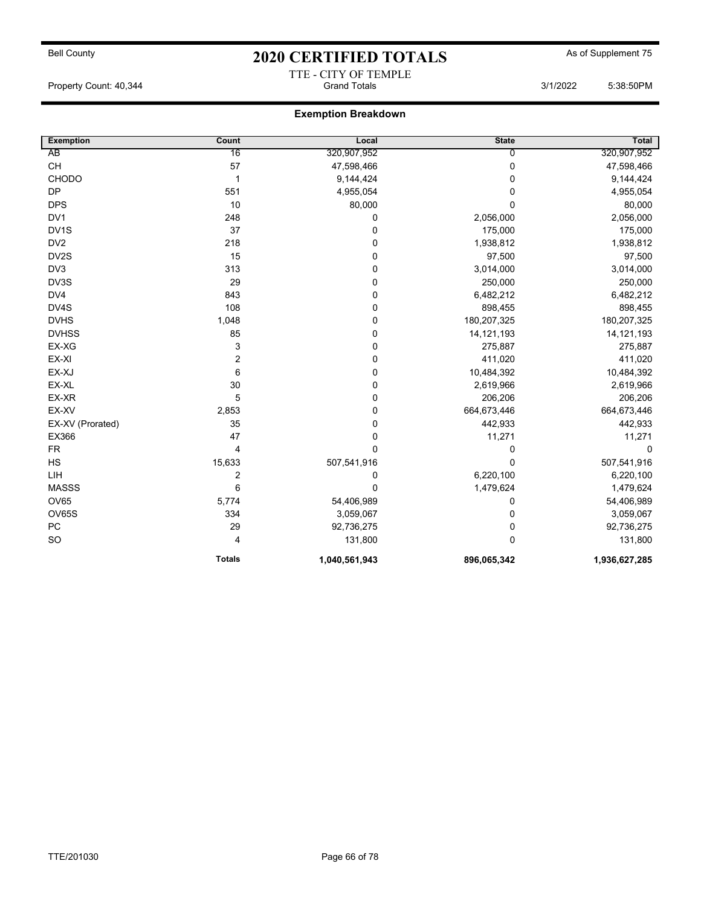# Bell County **As of Supplement 75** 2020 CERTIFIED TOTALS As of Supplement 75 TTE - CITY OF TEMPLE

Property Count: 40,344 **State 1, 2006** Grand Totals 3/1/2022 5:38:50PM

| <b>Exemption</b>  | Count          | Local         | <b>State</b>   | <b>Total</b>  |
|-------------------|----------------|---------------|----------------|---------------|
| AB                | 16             | 320,907,952   | $\overline{0}$ | 320,907,952   |
| <b>CH</b>         | 57             | 47,598,466    | 0              | 47,598,466    |
| <b>CHODO</b>      | $\mathbf 1$    | 9,144,424     | 0              | 9,144,424     |
| <b>DP</b>         | 551            | 4,955,054     | 0              | 4,955,054     |
| <b>DPS</b>        | 10             | 80,000        | $\Omega$       | 80,000        |
| DV <sub>1</sub>   | 248            | $\pmb{0}$     | 2,056,000      | 2,056,000     |
| DV <sub>1</sub> S | 37             | 0             | 175,000        | 175,000       |
| DV <sub>2</sub>   | 218            | 0             | 1,938,812      | 1,938,812     |
| DV2S              | 15             | 0             | 97,500         | 97,500        |
| DV <sub>3</sub>   | 313            | 0             | 3,014,000      | 3,014,000     |
| DV3S              | 29             | $\pmb{0}$     | 250,000        | 250,000       |
| DV4               | 843            | 0             | 6,482,212      | 6,482,212     |
| DV4S              | 108            | 0             | 898,455        | 898,455       |
| <b>DVHS</b>       | 1,048          | 0             | 180,207,325    | 180,207,325   |
| <b>DVHSS</b>      | 85             | 0             | 14, 121, 193   | 14, 121, 193  |
| EX-XG             | 3              | $\pmb{0}$     | 275,887        | 275,887       |
| EX-XI             | $\overline{2}$ | $\mathbf 0$   | 411,020        | 411,020       |
| EX-XJ             | 6              | 0             | 10,484,392     | 10,484,392    |
| EX-XL             | 30             | $\pmb{0}$     | 2,619,966      | 2,619,966     |
| EX-XR             | 5              | 0             | 206,206        | 206,206       |
| EX-XV             | 2,853          | 0             | 664,673,446    | 664,673,446   |
| EX-XV (Prorated)  | 35             | 0             | 442,933        | 442,933       |
| EX366             | 47             | $\pmb{0}$     | 11,271         | 11,271        |
| <b>FR</b>         | 4              | $\mathbf 0$   | 0              | $\mathbf 0$   |
| HS                | 15,633         | 507,541,916   | 0              | 507,541,916   |
| LIH               | 2              | 0             | 6,220,100      | 6,220,100     |
| <b>MASSS</b>      | 6              | $\mathbf 0$   | 1,479,624      | 1,479,624     |
| <b>OV65</b>       | 5,774          | 54,406,989    | 0              | 54,406,989    |
| OV65S             | 334            | 3,059,067     | 0              | 3,059,067     |
| PC                | 29             | 92,736,275    | 0              | 92,736,275    |
| SO                | 4              | 131,800       | $\Omega$       | 131,800       |
|                   | <b>Totals</b>  | 1,040,561,943 | 896,065,342    | 1,936,627,285 |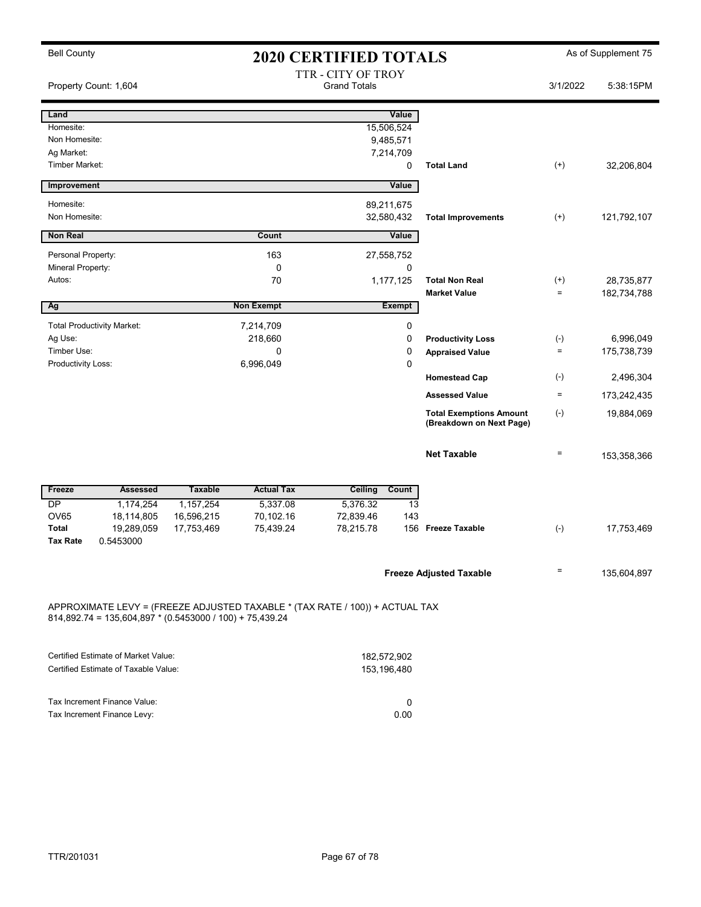| <b>Bell County</b>           |                                                            |                |                        | <b>2020 CERTIFIED TOTALS</b>                                                 |                          |                                                            |                          | As of Supplement 75      |
|------------------------------|------------------------------------------------------------|----------------|------------------------|------------------------------------------------------------------------------|--------------------------|------------------------------------------------------------|--------------------------|--------------------------|
|                              | Property Count: 1,604                                      |                |                        | TTR - CITY OF TROY<br><b>Grand Totals</b>                                    |                          |                                                            | 3/1/2022                 | 5:38:15PM                |
| Land                         |                                                            |                |                        |                                                                              | Value                    |                                                            |                          |                          |
| Homesite:                    |                                                            |                |                        | 15,506,524                                                                   |                          |                                                            |                          |                          |
| Non Homesite:                |                                                            |                |                        | 9,485,571                                                                    |                          |                                                            |                          |                          |
| Ag Market:<br>Timber Market: |                                                            |                |                        | 7,214,709                                                                    | 0                        | <b>Total Land</b>                                          | $(+)$                    | 32,206,804               |
|                              |                                                            |                |                        |                                                                              |                          |                                                            |                          |                          |
| Improvement                  |                                                            |                |                        |                                                                              | Value                    |                                                            |                          |                          |
| Homesite:                    |                                                            |                |                        | 89,211,675                                                                   |                          |                                                            |                          |                          |
| Non Homesite:                |                                                            |                |                        | 32,580,432                                                                   |                          | <b>Total Improvements</b>                                  | $^{(+)}$                 | 121,792,107              |
| <b>Non Real</b>              |                                                            |                | Count                  |                                                                              | Value                    |                                                            |                          |                          |
| Personal Property:           |                                                            |                | 163                    | 27,558,752                                                                   |                          |                                                            |                          |                          |
| Mineral Property:            |                                                            |                | $\mathbf 0$            |                                                                              | 0                        |                                                            |                          |                          |
| Autos:                       |                                                            |                | 70                     | 1,177,125                                                                    |                          | <b>Total Non Real</b>                                      | $^{(+)}$                 | 28,735,877               |
| Ag                           |                                                            |                | <b>Non Exempt</b>      | <b>Exempt</b>                                                                |                          | <b>Market Value</b>                                        | $=$                      | 182,734,788              |
|                              |                                                            |                |                        |                                                                              |                          |                                                            |                          |                          |
|                              | <b>Total Productivity Market:</b>                          |                | 7,214,709              |                                                                              | $\pmb{0}$                |                                                            |                          |                          |
| Ag Use:<br>Timber Use:       |                                                            |                | 218,660<br>$\mathbf 0$ |                                                                              | $\pmb{0}$<br>$\mathbf 0$ | <b>Productivity Loss</b>                                   | $(\text{-})$<br>$\equiv$ | 6,996,049<br>175,738,739 |
| Productivity Loss:           |                                                            |                | 6,996,049              |                                                                              | $\mathbf 0$              | <b>Appraised Value</b>                                     |                          |                          |
|                              |                                                            |                |                        |                                                                              |                          | <b>Homestead Cap</b>                                       | $(\cdot)$                | 2,496,304                |
|                              |                                                            |                |                        |                                                                              |                          | <b>Assessed Value</b>                                      | $\equiv$                 | 173,242,435              |
|                              |                                                            |                |                        |                                                                              |                          | <b>Total Exemptions Amount</b><br>(Breakdown on Next Page) | $(\cdot)$                | 19,884,069               |
|                              |                                                            |                |                        |                                                                              |                          | <b>Net Taxable</b>                                         | $\qquad \qquad =$        | 153,358,366              |
| Freeze                       | <b>Assessed</b>                                            | <b>Taxable</b> | <b>Actual Tax</b>      | <b>Ceiling</b>                                                               | Count                    |                                                            |                          |                          |
| <b>DP</b>                    | 1,174,254                                                  | 1,157,254      | 5,337.08               | 5,376.32                                                                     | 13                       |                                                            |                          |                          |
| <b>OV65</b>                  | 18,114,805                                                 | 16,596,215     | 70,102.16              | 72,839.46                                                                    | 143                      |                                                            |                          |                          |
| <b>Total</b>                 | 19,289,059                                                 | 17,753,469     | 75,439.24              | 78,215.78                                                                    |                          | 156 Freeze Taxable                                         | $(-)$                    | 17,753,469               |
| <b>Tax Rate</b>              | 0.5453000                                                  |                |                        |                                                                              |                          |                                                            |                          |                          |
|                              |                                                            |                |                        |                                                                              |                          | <b>Freeze Adjusted Taxable</b>                             | $\qquad \qquad =$        | 135,604,897              |
|                              | $814,892.74 = 135,604,897 * (0.5453000 / 100) + 75,439.24$ |                |                        | APPROXIMATE LEVY = (FREEZE ADJUSTED TAXABLE * (TAX RATE / 100)) + ACTUAL TAX |                          |                                                            |                          |                          |

| Certified Estimate of Market Value:  | 182.572.902 |
|--------------------------------------|-------------|
| Certified Estimate of Taxable Value: | 153.196.480 |
|                                      |             |
|                                      |             |
| Tax Increment Finance Value:         |             |
| Tax Increment Finance Levy:          | 0.00        |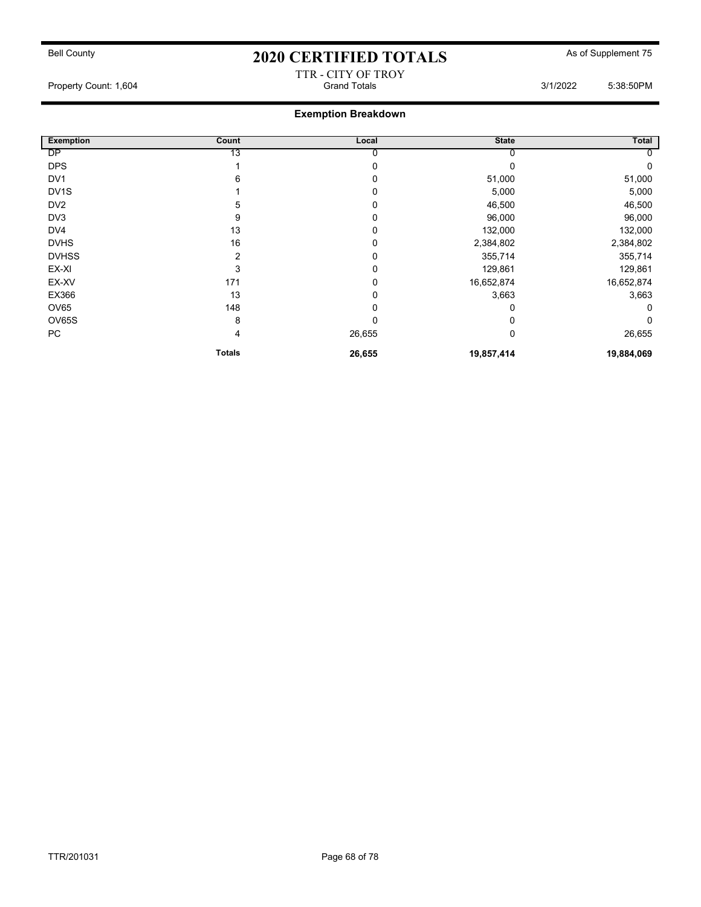#### TTR - CITY OF TROY Property Count: 1,604 **Count: 1,604** Grand Totals 3/1/2022 5:38:50PM

| <b>Exemption</b>  | Count          | Local  | <b>State</b> | Total        |
|-------------------|----------------|--------|--------------|--------------|
| <b>DP</b>         | 13             |        |              |              |
| <b>DPS</b>        |                |        | 0            | $\mathbf{0}$ |
| DV <sub>1</sub>   | 6              | 0      | 51,000       | 51,000       |
| DV <sub>1</sub> S |                | 0      | 5,000        | 5,000        |
| DV <sub>2</sub>   | 5              | 0      | 46,500       | 46,500       |
| DV3               | 9              |        | 96,000       | 96,000       |
| DV4               | 13             |        | 132,000      | 132,000      |
| <b>DVHS</b>       | 16             |        | 2,384,802    | 2,384,802    |
| <b>DVHSS</b>      | $\overline{2}$ |        | 355,714      | 355,714      |
| EX-XI             | 3              | 0      | 129,861      | 129,861      |
| EX-XV             | 171            | 0      | 16,652,874   | 16,652,874   |
| EX366             | 13             | 0      | 3,663        | 3,663        |
| OV65              | 148            | 0      | 0            | 0            |
| OV65S             | 8              | 0      | 0            | $\mathbf{0}$ |
| PC                | 4              | 26,655 | 0            | 26,655       |
|                   | <b>Totals</b>  | 26,655 | 19,857,414   | 19,884,069   |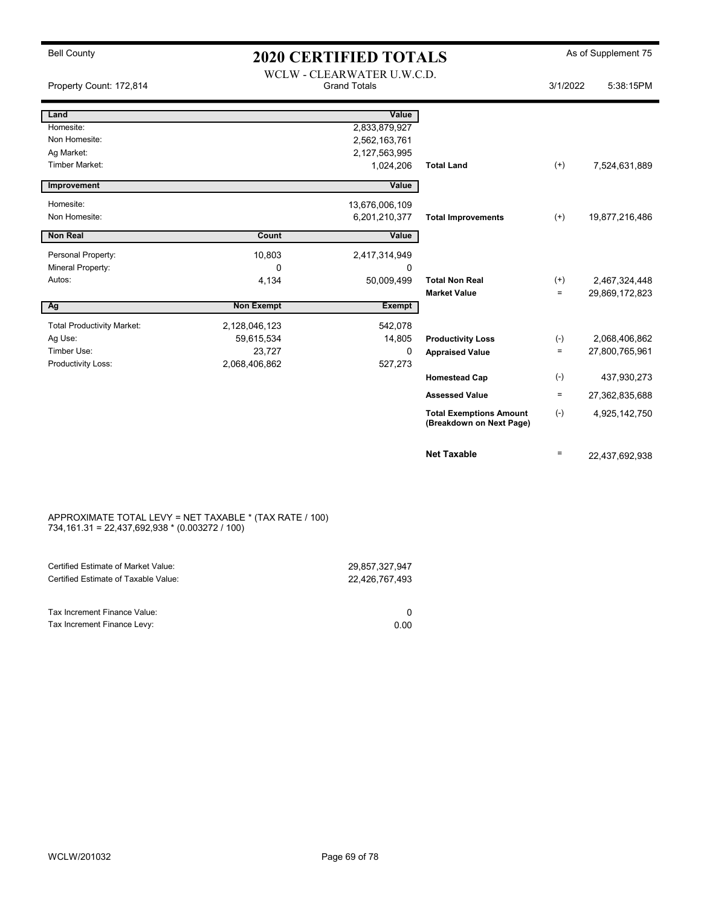### Bell County **As of Supplement 75** 2020 CERTIFIED TOTALS As of Supplement 75 WCLW - CLEARWATER U.W.C.D.

|                                   |                   | WCLW - CLEARWATER U.W.C.D. |                                                            |          |                |
|-----------------------------------|-------------------|----------------------------|------------------------------------------------------------|----------|----------------|
| Property Count: 172,814           |                   | <b>Grand Totals</b>        |                                                            | 3/1/2022 | 5:38:15PM      |
| Land                              |                   | Value                      |                                                            |          |                |
| Homesite:                         |                   | 2,833,879,927              |                                                            |          |                |
| Non Homesite:                     |                   | 2,562,163,761              |                                                            |          |                |
| Ag Market:                        |                   | 2, 127, 563, 995           |                                                            |          |                |
| <b>Timber Market:</b>             |                   | 1,024,206                  | <b>Total Land</b>                                          | $^{(+)}$ | 7,524,631,889  |
| Improvement                       |                   | Value                      |                                                            |          |                |
|                                   |                   |                            |                                                            |          |                |
| Homesite:                         |                   | 13,676,006,109             |                                                            |          |                |
| Non Homesite:                     |                   | 6,201,210,377              | <b>Total Improvements</b>                                  | $(+)$    | 19,877,216,486 |
| <b>Non Real</b>                   | Count             | Value                      |                                                            |          |                |
| Personal Property:                | 10,803            | 2,417,314,949              |                                                            |          |                |
| Mineral Property:                 | $\Omega$          | 0                          |                                                            |          |                |
| Autos:                            | 4,134             | 50,009,499                 | <b>Total Non Real</b>                                      | $^{(+)}$ | 2,467,324,448  |
|                                   |                   |                            | <b>Market Value</b>                                        | $\equiv$ | 29,869,172,823 |
| Ag                                | <b>Non Exempt</b> | <b>Exempt</b>              |                                                            |          |                |
| <b>Total Productivity Market:</b> | 2,128,046,123     | 542,078                    |                                                            |          |                |
| Ag Use:                           | 59,615,534        | 14,805                     | <b>Productivity Loss</b>                                   | $(-)$    | 2,068,406,862  |
| Timber Use:                       | 23,727            | 0                          | <b>Appraised Value</b>                                     | $\equiv$ | 27,800,765,961 |
| Productivity Loss:                | 2,068,406,862     | 527,273                    |                                                            |          |                |
|                                   |                   |                            | <b>Homestead Cap</b>                                       | $(-)$    | 437,930,273    |
|                                   |                   |                            | <b>Assessed Value</b>                                      | $\equiv$ | 27,362,835,688 |
|                                   |                   |                            | <b>Total Exemptions Amount</b><br>(Breakdown on Next Page) | $(-)$    | 4,925,142,750  |
|                                   |                   |                            | <b>Net Taxable</b>                                         | $=$      | 22,437,692,938 |

#### APPROXIMATE TOTAL LEVY = NET TAXABLE \* (TAX RATE / 100) 734,161.31 = 22,437,692,938 \* (0.003272 / 100)

| Certified Estimate of Market Value:                         | 29.857.327.947 |
|-------------------------------------------------------------|----------------|
| Certified Estimate of Taxable Value:                        | 22.426.767.493 |
| Tax Increment Finance Value:<br>Tax Increment Finance Levy: | 0.00           |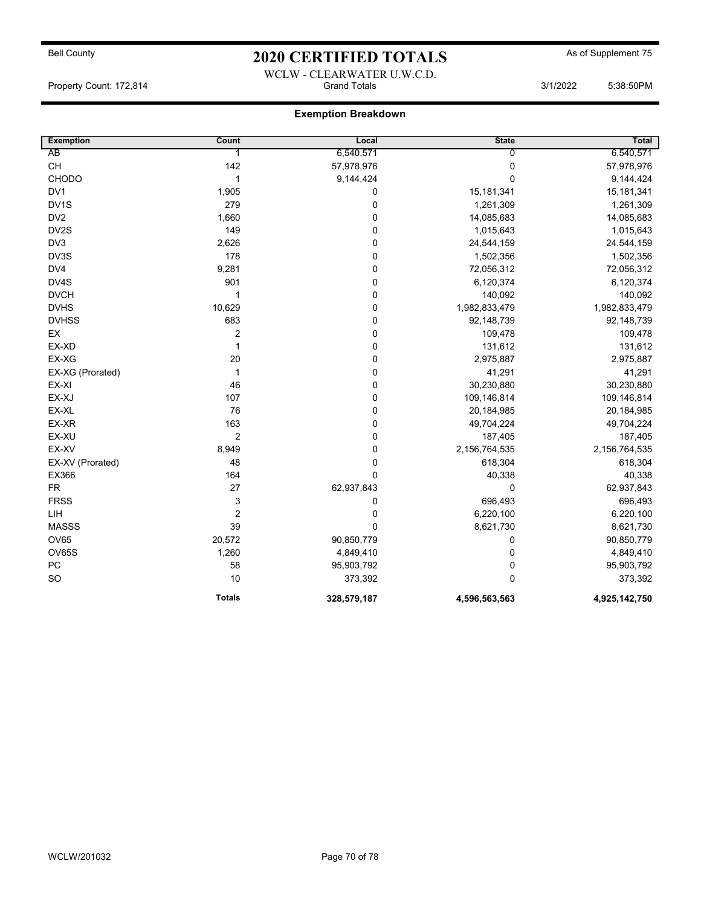## Bell County **As of Supplement 75** 2020 CERTIFIED TOTALS As of Supplement 75 WCLW - CLEARWATER U.W.C.D.

Property Count: 172,814 **Community Count: 172,814** Grand Totals 3/1/2022 5:38:50PM

| <b>Exemption</b> | Count                   | Local       | <b>State</b>  | <b>Total</b>  |
|------------------|-------------------------|-------------|---------------|---------------|
| AB               | 1                       | 6,540,571   | 0             | 6,540,571     |
| CH               | 142                     | 57,978,976  | $\mathbf 0$   | 57,978,976    |
| <b>CHODO</b>     | 1                       | 9,144,424   | $\Omega$      | 9,144,424     |
| DV <sub>1</sub>  | 1,905                   | $\mathbf 0$ | 15,181,341    | 15, 181, 341  |
| DV1S             | 279                     | $\pmb{0}$   | 1,261,309     | 1,261,309     |
| DV <sub>2</sub>  | 1,660                   | 0           | 14,085,683    | 14,085,683    |
| DV2S             | 149                     | $\mathbf 0$ | 1,015,643     | 1,015,643     |
| DV3              | 2,626                   | $\pmb{0}$   | 24,544,159    | 24,544,159    |
| DV3S             | 178                     | 0           | 1,502,356     | 1,502,356     |
| DV4              | 9,281                   | $\pmb{0}$   | 72,056,312    | 72,056,312    |
| DV4S             | 901                     | $\pmb{0}$   | 6,120,374     | 6,120,374     |
| <b>DVCH</b>      | 1                       | 0           | 140,092       | 140,092       |
| <b>DVHS</b>      | 10,629                  | $\pmb{0}$   | 1,982,833,479 | 1,982,833,479 |
| <b>DVHSS</b>     | 683                     | $\pmb{0}$   | 92,148,739    | 92,148,739    |
| EX               | $\overline{\mathbf{c}}$ | 0           | 109,478       | 109,478       |
| EX-XD            | 1                       | 0           | 131,612       | 131,612       |
| EX-XG            | 20                      | $\pmb{0}$   | 2,975,887     | 2,975,887     |
| EX-XG (Prorated) | $\mathbf{1}$            | $\pmb{0}$   | 41,291        | 41,291        |
| EX-XI            | 46                      | $\pmb{0}$   | 30,230,880    | 30,230,880    |
| EX-XJ            | 107                     | $\pmb{0}$   | 109,146,814   | 109,146,814   |
| EX-XL            | 76                      | 0           | 20,184,985    | 20, 184, 985  |
| EX-XR            | 163                     | $\pmb{0}$   | 49,704,224    | 49,704,224    |
| EX-XU            | $\overline{c}$          | $\mathbf 0$ | 187,405       | 187,405       |
| EX-XV            | 8,949                   | 0           | 2,156,764,535 | 2,156,764,535 |
| EX-XV (Prorated) | 48                      | $\mathbf 0$ | 618,304       | 618,304       |
| EX366            | 164                     | $\mathbf 0$ | 40,338        | 40,338        |
| <b>FR</b>        | 27                      | 62,937,843  | $\mathbf 0$   | 62,937,843    |
| <b>FRSS</b>      | 3                       | $\mathbf 0$ | 696,493       | 696,493       |
| LIH              | $\overline{c}$          | $\pmb{0}$   | 6,220,100     | 6,220,100     |
| <b>MASSS</b>     | 39                      | $\mathbf 0$ | 8,621,730     | 8,621,730     |
| OV65             | 20,572                  | 90,850,779  | 0             | 90,850,779    |
| OV65S            | 1,260                   | 4,849,410   | $\mathbf 0$   | 4,849,410     |
| PC               | 58                      | 95,903,792  | $\mathbf 0$   | 95,903,792    |
| SO               | 10                      | 373,392     | $\Omega$      | 373,392       |
|                  | <b>Totals</b>           | 328,579,187 | 4,596,563,563 | 4,925,142,750 |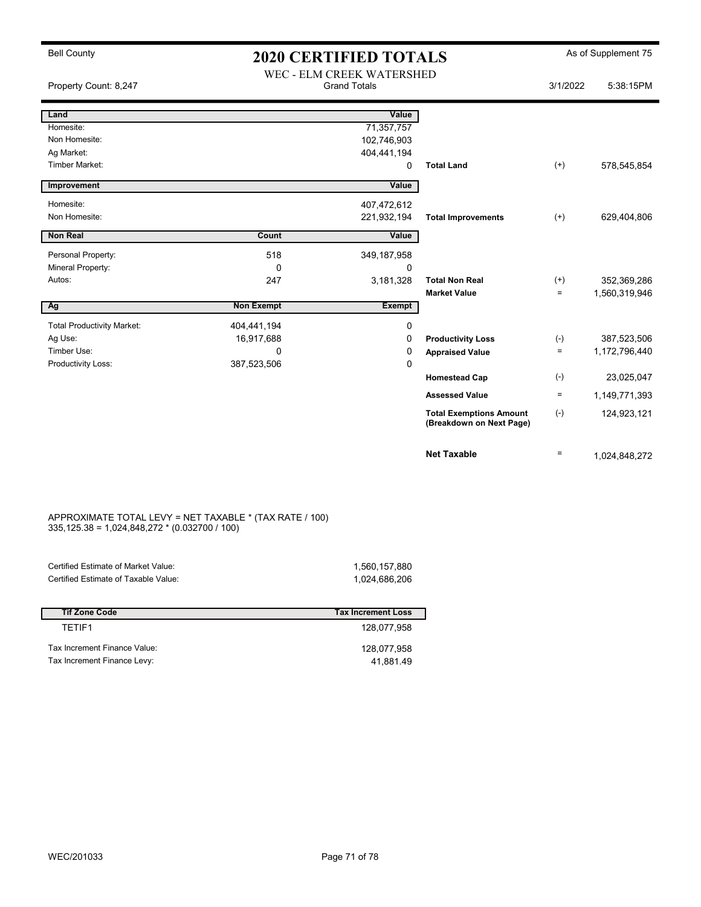| <b>Bell County</b>                | <b>2020 CERTIFIED TOTALS</b> |                                                  |                                                            | As of Supplement 75 |               |
|-----------------------------------|------------------------------|--------------------------------------------------|------------------------------------------------------------|---------------------|---------------|
| Property Count: 8,247             |                              | WEC - ELM CREEK WATERSHED<br><b>Grand Totals</b> |                                                            | 3/1/2022            | 5:38:15PM     |
| Land                              |                              | Value                                            |                                                            |                     |               |
| Homesite:                         |                              | 71,357,757                                       |                                                            |                     |               |
| Non Homesite:                     |                              | 102,746,903                                      |                                                            |                     |               |
| Ag Market:                        |                              | 404,441,194                                      |                                                            |                     |               |
| Timber Market:                    |                              | 0                                                | <b>Total Land</b>                                          | $(+)$               | 578,545,854   |
| Improvement                       |                              | Value                                            |                                                            |                     |               |
| Homesite:                         |                              | 407,472,612                                      |                                                            |                     |               |
| Non Homesite:                     |                              | 221,932,194                                      | <b>Total Improvements</b>                                  | $(+)$               | 629,404,806   |
| <b>Non Real</b>                   | Count                        | Value                                            |                                                            |                     |               |
| Personal Property:                | 518                          | 349, 187, 958                                    |                                                            |                     |               |
| Mineral Property:                 | 0                            | 0                                                |                                                            |                     |               |
| Autos:                            | 247                          | 3,181,328                                        | <b>Total Non Real</b>                                      | $^{(+)}$            | 352,369,286   |
|                                   |                              |                                                  | <b>Market Value</b>                                        | $\equiv$            | 1,560,319,946 |
| Ag                                | <b>Non Exempt</b>            | <b>Exempt</b>                                    |                                                            |                     |               |
| <b>Total Productivity Market:</b> | 404,441,194                  | 0                                                |                                                            |                     |               |
| Ag Use:                           | 16,917,688                   | 0                                                | <b>Productivity Loss</b>                                   | $(-)$               | 387,523,506   |
| Timber Use:                       | $\Omega$                     | 0                                                | <b>Appraised Value</b>                                     | $=$                 | 1,172,796,440 |
| Productivity Loss:                | 387,523,506                  | 0                                                |                                                            |                     |               |
|                                   |                              |                                                  | <b>Homestead Cap</b>                                       | $(-)$               | 23,025,047    |
|                                   |                              |                                                  | <b>Assessed Value</b>                                      | $\equiv$            | 1,149,771,393 |
|                                   |                              |                                                  | <b>Total Exemptions Amount</b><br>(Breakdown on Next Page) | $(-)$               | 124,923,121   |
|                                   |                              |                                                  | <b>Net Taxable</b>                                         | $\equiv$            | 1,024,848,272 |

#### APPROXIMATE TOTAL LEVY = NET TAXABLE \* (TAX RATE / 100) 335,125.38 = 1,024,848,272 \* (0.032700 / 100)

| Certified Estimate of Market Value:  | 1,560,157,880             |
|--------------------------------------|---------------------------|
| Certified Estimate of Taxable Value: | 1.024.686.206             |
|                                      |                           |
|                                      |                           |
| <b>Tif Zone Code</b>                 | <b>Tax Increment Loss</b> |

| TFTIF1                                                      | 128.077.958              |
|-------------------------------------------------------------|--------------------------|
| Tax Increment Finance Value:<br>Tax Increment Finance Levy: | 128.077.958<br>41.881.49 |
|                                                             |                          |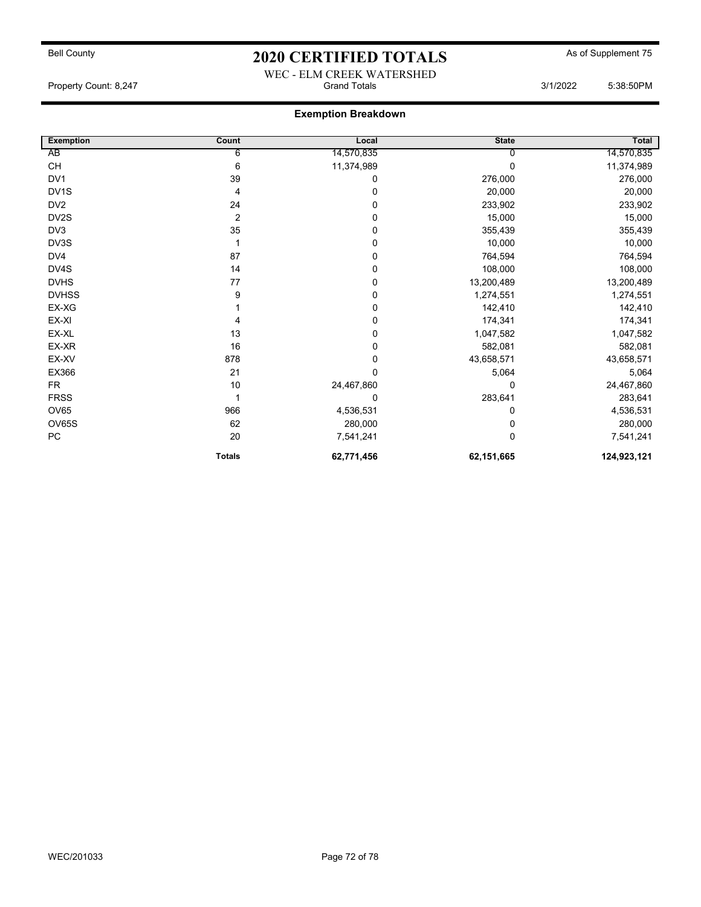## Bell County **As of Supplement 75** 2020 CERTIFIED TOTALS As of Supplement 75 WEC - ELM CREEK WATERSHED

Property Count: 8,247 **Count: 8,247** Crand Totals 3/1/2022 5:38:50PM

| <b>Exemption</b>                         | Count          | Local       | <b>State</b> | Total       |
|------------------------------------------|----------------|-------------|--------------|-------------|
| AB                                       | 6              | 14,570,835  |              | 14,570,835  |
| $\mathsf{CH}% \left( \mathcal{M}\right)$ | 6              | 11,374,989  | 0            | 11,374,989  |
| DV1                                      | 39             | 0           | 276,000      | 276,000     |
| DV <sub>1</sub> S                        | 4              | $\mathbf 0$ | 20,000       | 20,000      |
| DV <sub>2</sub>                          | 24             | $\mathbf 0$ | 233,902      | 233,902     |
| DV2S                                     | $\overline{2}$ | $\mathbf 0$ | 15,000       | 15,000      |
| DV3                                      | 35             | $\mathbf 0$ | 355,439      | 355,439     |
| DV3S                                     |                | $\mathbf 0$ | 10,000       | 10,000      |
| DV4                                      | 87             | 0           | 764,594      | 764,594     |
| DV4S                                     | 14             | $\mathbf 0$ | 108,000      | 108,000     |
| <b>DVHS</b>                              | 77             | 0           | 13,200,489   | 13,200,489  |
| <b>DVHSS</b>                             | 9              | $\mathbf 0$ | 1,274,551    | 1,274,551   |
| EX-XG                                    |                | $\mathbf 0$ | 142,410      | 142,410     |
| EX-XI                                    |                | $\mathbf 0$ | 174,341      | 174,341     |
| EX-XL                                    | 13             | $\mathbf 0$ | 1,047,582    | 1,047,582   |
| EX-XR                                    | 16             | $\mathbf 0$ | 582,081      | 582,081     |
| EX-XV                                    | 878            | $\mathbf 0$ | 43,658,571   | 43,658,571  |
| EX366                                    | 21             | $\mathbf 0$ | 5,064        | 5,064       |
| <b>FR</b>                                | 10             | 24,467,860  | $\Omega$     | 24,467,860  |
| <b>FRSS</b>                              |                | 0           | 283,641      | 283,641     |
| <b>OV65</b>                              | 966            | 4,536,531   | 0            | 4,536,531   |
| OV65S                                    | 62             | 280,000     | 0            | 280,000     |
| ${\sf PC}$                               | 20             | 7,541,241   | $\Omega$     | 7,541,241   |
|                                          | <b>Totals</b>  | 62,771,456  | 62,151,665   | 124,923,121 |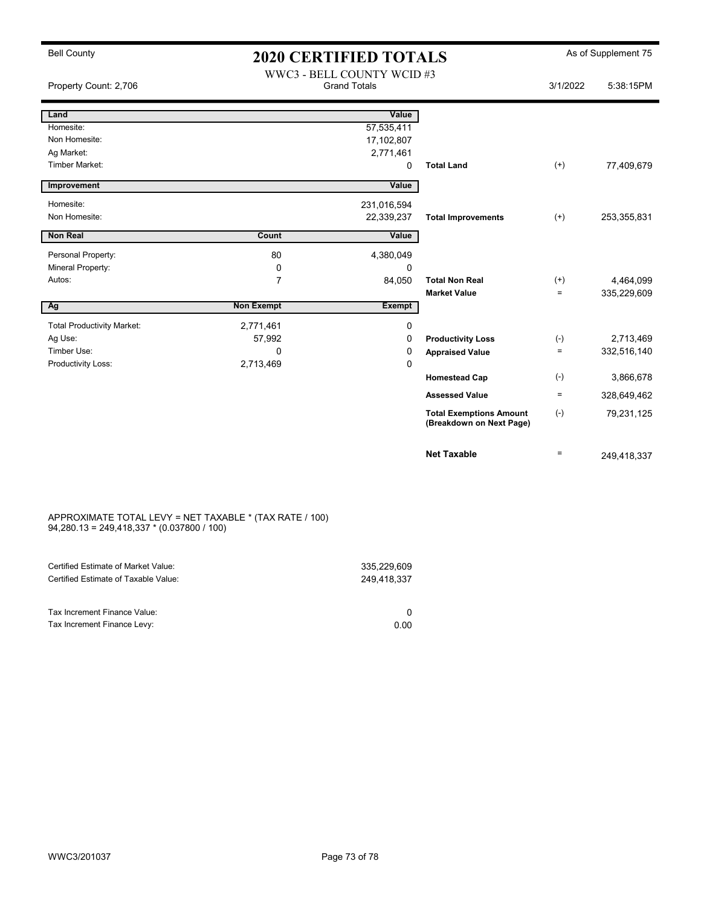| <b>Bell County</b>                | <b>2020 CERTIFIED TOTALS</b> |                                                   |                                                            | As of Supplement 75 |             |
|-----------------------------------|------------------------------|---------------------------------------------------|------------------------------------------------------------|---------------------|-------------|
| Property Count: 2,706             |                              | WWC3 - BELL COUNTY WCID #3<br><b>Grand Totals</b> |                                                            | 3/1/2022            | 5:38:15PM   |
| Land                              |                              | Value                                             |                                                            |                     |             |
| Homesite:                         |                              | 57,535,411                                        |                                                            |                     |             |
| Non Homesite:                     |                              | 17,102,807                                        |                                                            |                     |             |
| Ag Market:                        |                              | 2,771,461                                         |                                                            |                     |             |
| <b>Timber Market:</b>             |                              | $\mathbf 0$                                       | <b>Total Land</b>                                          | $^{(+)}$            | 77,409,679  |
| Improvement                       |                              | Value                                             |                                                            |                     |             |
| Homesite:                         |                              | 231,016,594                                       |                                                            |                     |             |
| Non Homesite:                     |                              | 22,339,237                                        | <b>Total Improvements</b>                                  | $(+)$               | 253,355,831 |
| <b>Non Real</b>                   | Count                        | Value                                             |                                                            |                     |             |
| Personal Property:                | 80                           | 4,380,049                                         |                                                            |                     |             |
| Mineral Property:                 | 0                            | $\mathbf 0$                                       |                                                            |                     |             |
| Autos:                            | $\overline{7}$               | 84,050                                            | <b>Total Non Real</b>                                      | $(+)$               | 4,464,099   |
|                                   |                              |                                                   | <b>Market Value</b>                                        | $=$                 | 335,229,609 |
| Ag                                | <b>Non Exempt</b>            | <b>Exempt</b>                                     |                                                            |                     |             |
| <b>Total Productivity Market:</b> | 2,771,461                    | $\mathbf 0$                                       |                                                            |                     |             |
| Ag Use:                           | 57,992                       | 0                                                 | <b>Productivity Loss</b>                                   | $(-)$               | 2,713,469   |
| Timber Use:                       | 0                            | 0                                                 | <b>Appraised Value</b>                                     | $=$                 | 332,516,140 |
| Productivity Loss:                | 2,713,469                    | 0                                                 |                                                            |                     |             |
|                                   |                              |                                                   | <b>Homestead Cap</b>                                       | $(-)$               | 3,866,678   |
|                                   |                              |                                                   | <b>Assessed Value</b>                                      | $\equiv$            | 328,649,462 |
|                                   |                              |                                                   | <b>Total Exemptions Amount</b><br>(Breakdown on Next Page) | $(-)$               | 79,231,125  |
|                                   |                              |                                                   | <b>Net Taxable</b>                                         | $=$                 | 249.418.337 |

#### APPROXIMATE TOTAL LEVY = NET TAXABLE \* (TAX RATE / 100) 94,280.13 = 249,418,337 \* (0.037800 / 100)

| Certified Estimate of Market Value:<br>Certified Estimate of Taxable Value: | 335.229.609<br>249.418.337 |
|-----------------------------------------------------------------------------|----------------------------|
| Tax Increment Finance Value:                                                |                            |
| Tax Increment Finance Levy:                                                 | 0.00                       |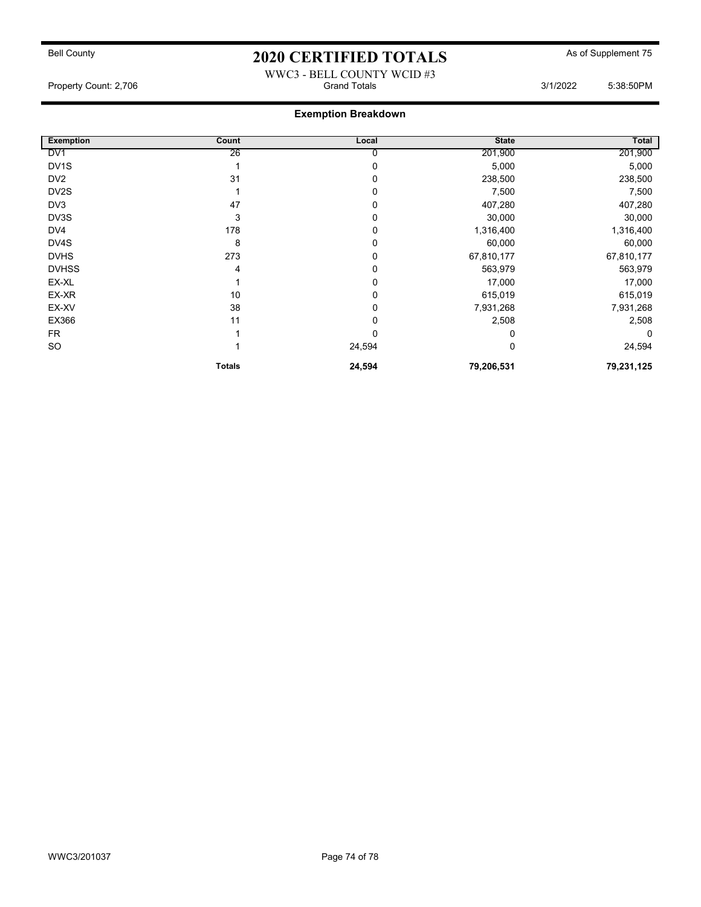# Bell County **As of Supplement 75** 2020 CERTIFIED TOTALS As of Supplement 75

### WWC3 - BELL COUNTY WCID #3 Property Count: 2,706 **Crand Totals 3/1/2022** 5:38:50PM

## Exemption Breakdown

| <b>Exemption</b>  | Count         | Local  | <b>State</b> | Total      |
|-------------------|---------------|--------|--------------|------------|
| DV <sub>1</sub>   | 26            | 0      | 201,900      | 201,900    |
| DV <sub>1</sub> S |               | 0      | 5,000        | 5,000      |
| DV <sub>2</sub>   | 31            | 0      | 238,500      | 238,500    |
| DV2S              |               | 0      | 7,500        | 7,500      |
| DV3               | 47            | 0      | 407,280      | 407,280    |
| DV3S              | 3             | 0      | 30,000       | 30,000     |
| DV4               | 178           | 0      | 1,316,400    | 1,316,400  |
| DV4S              | 8             | 0      | 60,000       | 60,000     |
| <b>DVHS</b>       | 273           | 0      | 67,810,177   | 67,810,177 |
| <b>DVHSS</b>      | 4             | 0      | 563,979      | 563,979    |
| EX-XL             |               | 0      | 17,000       | 17,000     |
| EX-XR             | 10            | 0      | 615,019      | 615,019    |
| EX-XV             | 38            | 0      | 7,931,268    | 7,931,268  |
| EX366             | 11            | 0      | 2,508        | 2,508      |
| <b>FR</b>         |               | 0      | 0            | 0          |
| SO                |               | 24,594 | 0            | 24,594     |
|                   | <b>Totals</b> | 24,594 | 79,206,531   | 79,231,125 |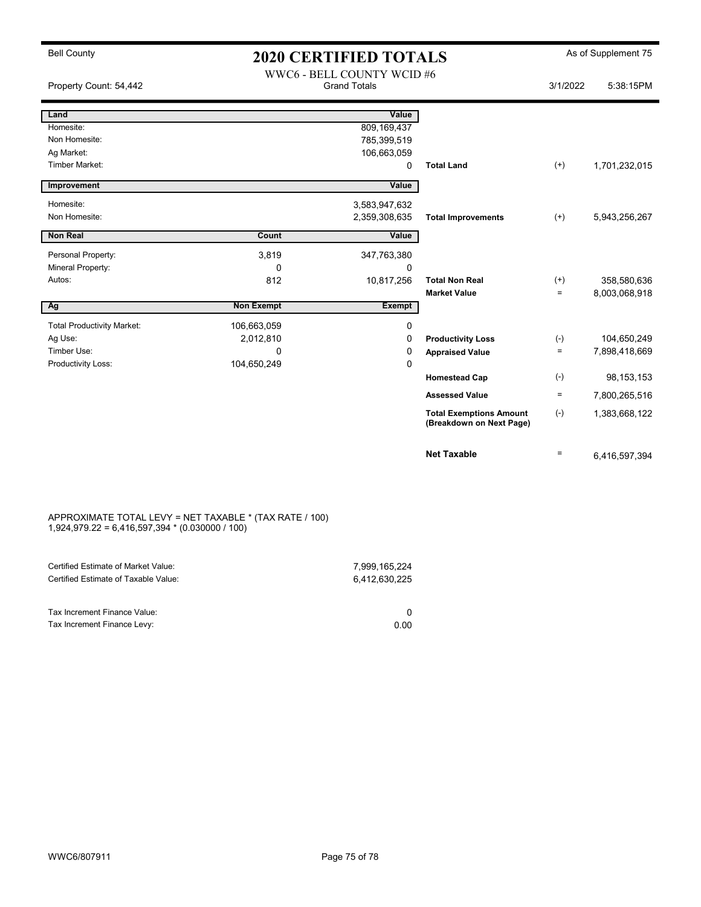| <b>Bell County</b>                | <b>2020 CERTIFIED TOTALS</b> |                                                   |                                                            |          | As of Supplement 75 |
|-----------------------------------|------------------------------|---------------------------------------------------|------------------------------------------------------------|----------|---------------------|
| Property Count: 54,442            |                              | WWC6 - BELL COUNTY WCID #6<br><b>Grand Totals</b> |                                                            | 3/1/2022 | 5:38:15PM           |
| Land                              |                              | Value                                             |                                                            |          |                     |
| Homesite:                         |                              | 809,169,437                                       |                                                            |          |                     |
| Non Homesite:                     |                              | 785,399,519                                       |                                                            |          |                     |
| Ag Market:                        |                              | 106,663,059                                       |                                                            |          |                     |
| Timber Market:                    |                              | 0                                                 | <b>Total Land</b>                                          | $^{(+)}$ | 1,701,232,015       |
| Improvement                       |                              | Value                                             |                                                            |          |                     |
| Homesite:                         |                              | 3,583,947,632                                     |                                                            |          |                     |
| Non Homesite:                     |                              | 2,359,308,635                                     | <b>Total Improvements</b>                                  | $^{(+)}$ | 5,943,256,267       |
| <b>Non Real</b>                   | Count                        | Value                                             |                                                            |          |                     |
|                                   |                              |                                                   |                                                            |          |                     |
| Personal Property:                | 3,819                        | 347,763,380                                       |                                                            |          |                     |
| Mineral Property:                 | 0                            | 0                                                 |                                                            |          |                     |
| Autos:                            | 812                          | 10,817,256                                        | <b>Total Non Real</b>                                      | $^{(+)}$ | 358,580,636         |
|                                   |                              |                                                   | <b>Market Value</b>                                        | $\equiv$ | 8,003,068,918       |
| Ag                                | <b>Non Exempt</b>            | <b>Exempt</b>                                     |                                                            |          |                     |
| <b>Total Productivity Market:</b> | 106,663,059                  | 0                                                 |                                                            |          |                     |
| Ag Use:                           | 2,012,810                    | 0                                                 | <b>Productivity Loss</b>                                   | $(-)$    | 104,650,249         |
| Timber Use:                       | $\Omega$                     | 0                                                 | <b>Appraised Value</b>                                     | $\equiv$ | 7,898,418,669       |
| Productivity Loss:                | 104,650,249                  | $\mathbf 0$                                       |                                                            |          |                     |
|                                   |                              |                                                   | <b>Homestead Cap</b>                                       | $(-)$    | 98, 153, 153        |
|                                   |                              |                                                   | <b>Assessed Value</b>                                      | $=$      | 7,800,265,516       |
|                                   |                              |                                                   | <b>Total Exemptions Amount</b><br>(Breakdown on Next Page) | $(-)$    | 1,383,668,122       |
|                                   |                              |                                                   | <b>Net Taxable</b>                                         | $=$      | 6,416,597,394       |

#### APPROXIMATE TOTAL LEVY = NET TAXABLE \* (TAX RATE / 100) 1,924,979.22 = 6,416,597,394 \* (0.030000 / 100)

| Certified Estimate of Market Value:<br>Certified Estimate of Taxable Value: | 7,999,165,224<br>6,412,630,225 |
|-----------------------------------------------------------------------------|--------------------------------|
| Tax Increment Finance Value:                                                |                                |
| Tax Increment Finance Levy:                                                 | 0.00                           |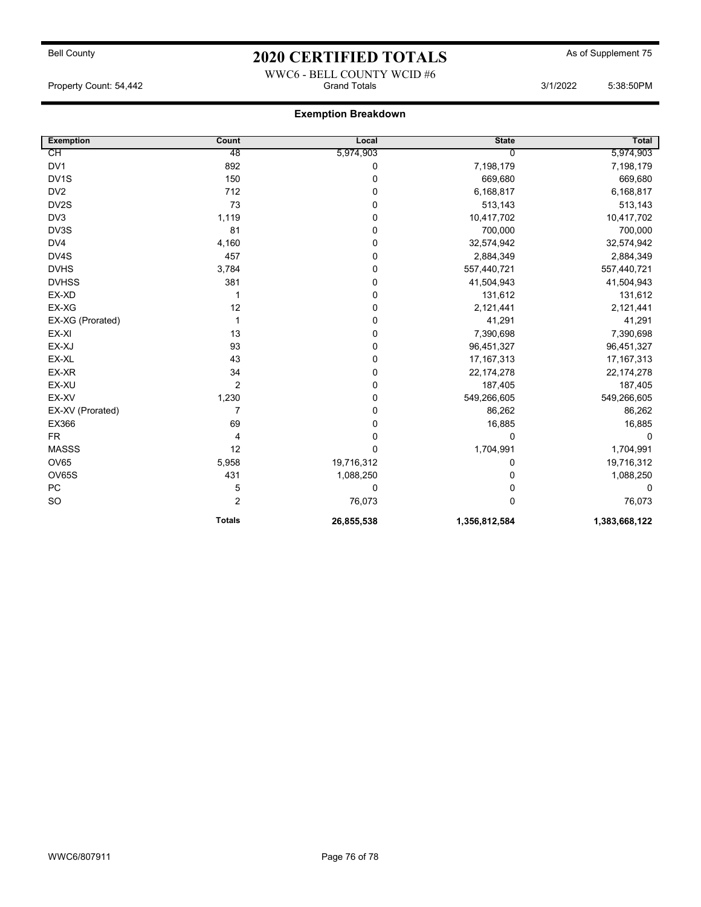# Bell County **As of Supplement 75** 2020 CERTIFIED TOTALS As of Supplement 75 WWC6 - BELL COUNTY WCID #6

### Property Count: 54,442 **Crand Totals 3/1/2022** 5:38:50PM

## Exemption Breakdown

| <b>Exemption</b>  | Count         | Local       | <b>State</b>  | <b>Total</b>  |
|-------------------|---------------|-------------|---------------|---------------|
| СH                | 48            | 5,974,903   | 0             | 5,974,903     |
| DV1               | 892           | 0           | 7,198,179     | 7,198,179     |
| DV <sub>1</sub> S | 150           | 0           | 669,680       | 669,680       |
| DV <sub>2</sub>   | 712           | 0           | 6,168,817     | 6,168,817     |
| DV2S              | 73            | 0           | 513,143       | 513,143       |
| DV3               | 1,119         | 0           | 10,417,702    | 10,417,702    |
| DV3S              | 81            | 0           | 700,000       | 700,000       |
| DV4               | 4,160         | 0           | 32,574,942    | 32,574,942    |
| DV4S              | 457           | 0           | 2,884,349     | 2,884,349     |
| <b>DVHS</b>       | 3,784         | 0           | 557,440,721   | 557,440,721   |
| <b>DVHSS</b>      | 381           | 0           | 41,504,943    | 41,504,943    |
| EX-XD             |               | $\mathbf 0$ | 131,612       | 131,612       |
| EX-XG             | 12            | $\mathbf 0$ | 2,121,441     | 2,121,441     |
| EX-XG (Prorated)  | 1             | 0           | 41,291        | 41,291        |
| EX-XI             | 13            | 0           | 7,390,698     | 7,390,698     |
| EX-XJ             | 93            | $\mathbf 0$ | 96,451,327    | 96,451,327    |
| EX-XL             | 43            | $\mathbf 0$ | 17, 167, 313  | 17, 167, 313  |
| EX-XR             | 34            | 0           | 22, 174, 278  | 22, 174, 278  |
| EX-XU             | 2             | $\mathbf 0$ | 187,405       | 187,405       |
| EX-XV             | 1,230         | $\mathbf 0$ | 549,266,605   | 549,266,605   |
| EX-XV (Prorated)  | 7             | $\mathbf 0$ | 86,262        | 86,262        |
| EX366             | 69            | 0           | 16,885        | 16,885        |
| <b>FR</b>         | 4             | $\pmb{0}$   | 0             | 0             |
| <b>MASSS</b>      | 12            | $\mathbf 0$ | 1,704,991     | 1,704,991     |
| <b>OV65</b>       | 5,958         | 19,716,312  | 0             | 19,716,312    |
| <b>OV65S</b>      | 431           | 1,088,250   | 0             | 1,088,250     |
| PC                | 5             | 0           | 0             | 0             |
| <b>SO</b>         | 2             | 76,073      | 0             | 76,073        |
|                   | <b>Totals</b> | 26,855,538  | 1,356,812,584 | 1,383,668,122 |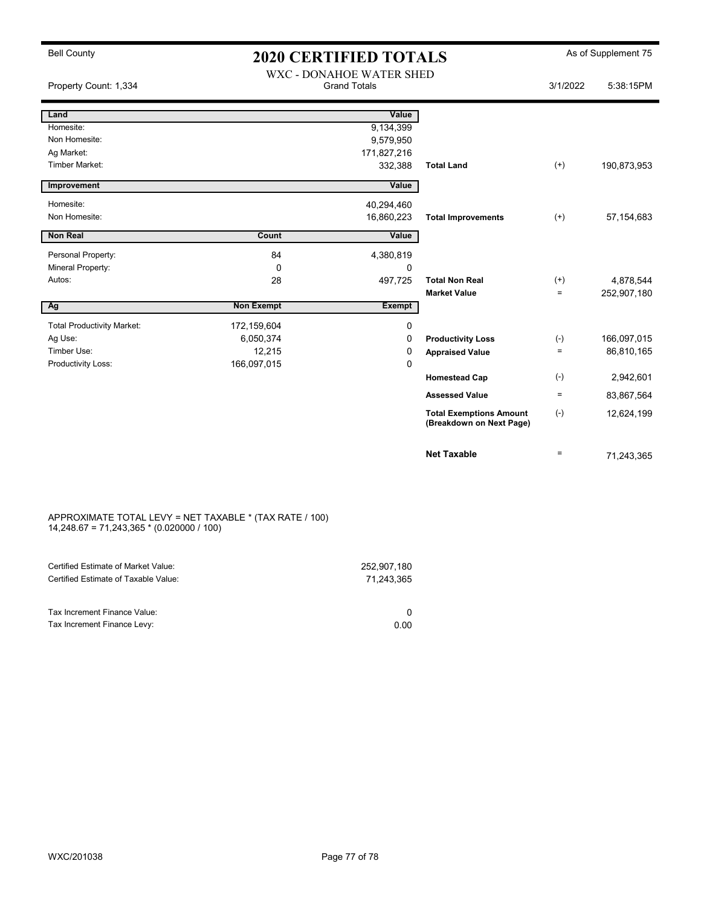## Bell County **As of Supplement 75** 2020 CERTIFIED TOTALS As of Supplement 75 WXC - DONAHOE WATER SHED

| Property Count: 1,334             |                   | WAC - DOINAHOE WATER SHED<br><b>Grand Totals</b> |                                                            | 3/1/2022        | 5:38:15PM    |
|-----------------------------------|-------------------|--------------------------------------------------|------------------------------------------------------------|-----------------|--------------|
| Land                              |                   | Value                                            |                                                            |                 |              |
| Homesite:                         |                   | 9,134,399                                        |                                                            |                 |              |
| Non Homesite:                     |                   | 9,579,950                                        |                                                            |                 |              |
| Ag Market:                        |                   | 171,827,216                                      |                                                            |                 |              |
| <b>Timber Market:</b>             |                   | 332,388                                          | <b>Total Land</b>                                          | $^{(+)}$        | 190,873,953  |
| Improvement                       |                   | Value                                            |                                                            |                 |              |
| Homesite:                         |                   | 40,294,460                                       |                                                            |                 |              |
| Non Homesite:                     |                   | 16,860,223                                       | <b>Total Improvements</b>                                  | $^{(+)}$        | 57, 154, 683 |
| <b>Non Real</b>                   | Count             | Value                                            |                                                            |                 |              |
| Personal Property:                | 84                | 4,380,819                                        |                                                            |                 |              |
| Mineral Property:                 | $\Omega$          | 0                                                |                                                            |                 |              |
| Autos:                            | 28                | 497,725                                          | <b>Total Non Real</b>                                      | $^{(+)}$        | 4,878,544    |
|                                   |                   |                                                  | <b>Market Value</b>                                        | $=$             | 252,907,180  |
| Ag                                | <b>Non Exempt</b> | <b>Exempt</b>                                    |                                                            |                 |              |
| <b>Total Productivity Market:</b> | 172,159,604       | 0                                                |                                                            |                 |              |
| Ag Use:                           | 6,050,374         | 0                                                | <b>Productivity Loss</b>                                   | $(-)$           | 166,097,015  |
| Timber Use:                       | 12,215            | 0                                                | <b>Appraised Value</b>                                     | $=$             | 86,810,165   |
| Productivity Loss:                | 166,097,015       | $\mathbf 0$                                      |                                                            |                 |              |
|                                   |                   |                                                  | <b>Homestead Cap</b>                                       | $(-)$           | 2,942,601    |
|                                   |                   |                                                  | <b>Assessed Value</b>                                      | $\quad \  \  =$ | 83,867,564   |
|                                   |                   |                                                  | <b>Total Exemptions Amount</b><br>(Breakdown on Next Page) | $(-)$           | 12,624,199   |
|                                   |                   |                                                  | <b>Net Taxable</b>                                         | $=$             | 71,243,365   |

#### APPROXIMATE TOTAL LEVY = NET TAXABLE \* (TAX RATE / 100) 14,248.67 = 71,243,365 \* (0.020000 / 100)

| Certified Estimate of Market Value:  | 252.907.180 |
|--------------------------------------|-------------|
| Certified Estimate of Taxable Value: | 71.243.365  |
|                                      |             |
| Tax Increment Finance Value:         |             |
| Tax Increment Finance Levy:          | 0.00        |